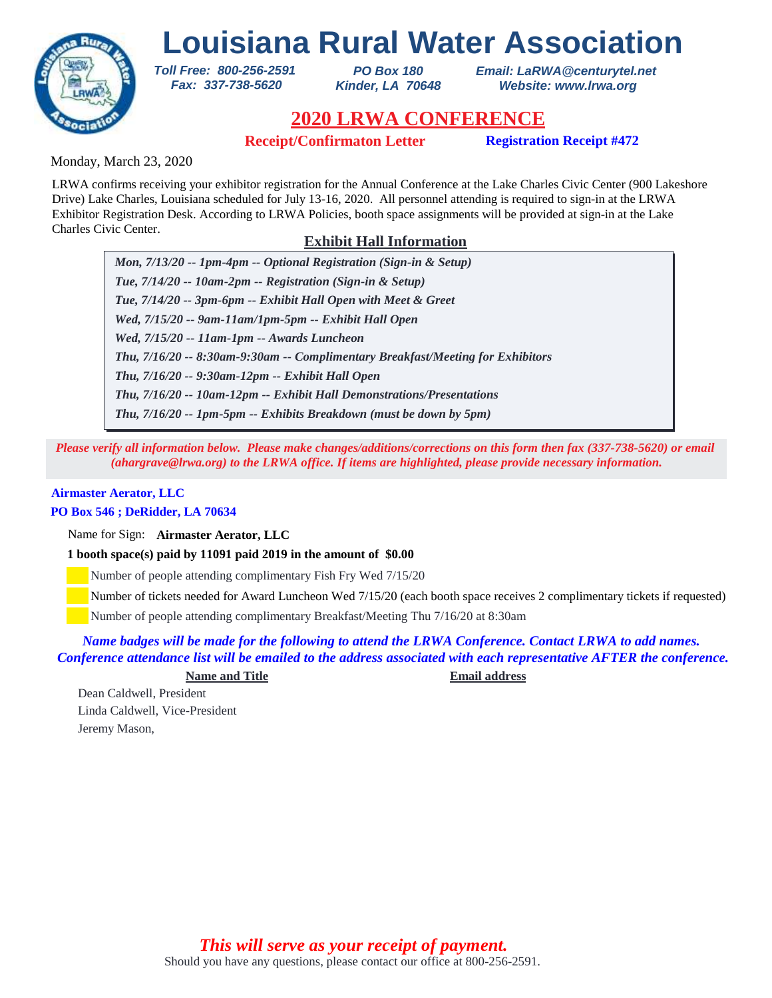

*PO Box 180 Kinder, LA 70648* *Email: LaRWA@centurytel.net Website: www.lrwa.org*

# **2020 LRWA CONFERENCE**

**Receipt/Confirmaton Letter Registration Receipt #472**

Monday, March 23, 2020

LRWA confirms receiving your exhibitor registration for the Annual Conference at the Lake Charles Civic Center (900 Lakeshore Drive) Lake Charles, Louisiana scheduled for July 13-16, 2020. All personnel attending is required to sign-in at the LRWA Exhibitor Registration Desk. According to LRWA Policies, booth space assignments will be provided at sign-in at the Lake Charles Civic Center.

# **Exhibit Hall Information**

*Mon, 7/13/20 -- 1pm-4pm -- Optional Registration (Sign-in & Setup) Tue, 7/14/20 -- 10am-2pm -- Registration (Sign-in & Setup) Tue, 7/14/20 -- 3pm-6pm -- Exhibit Hall Open with Meet & Greet Wed, 7/15/20 -- 9am-11am/1pm-5pm -- Exhibit Hall Open Wed, 7/15/20 -- 11am-1pm -- Awards Luncheon Thu, 7/16/20 -- 9:30am-12pm -- Exhibit Hall Open Thu, 7/16/20 -- 8:30am-9:30am -- Complimentary Breakfast/Meeting for Exhibitors Thu, 7/16/20 -- 10am-12pm -- Exhibit Hall Demonstrations/Presentations Thu, 7/16/20 -- 1pm-5pm -- Exhibits Breakdown (must be down by 5pm)*

*Please verify all information below. Please make changes/additions/corrections on this form then fax (337-738-5620) or email (ahargrave@lrwa.org) to the LRWA office. If items are highlighted, please provide necessary information.*

## **Airmaster Aerator, LLC**

## **PO Box 546 ; DeRidder, LA 70634**

Name for Sign: **Airmaster Aerator, LLC**

**1 booth space(s) paid by 11091 paid 2019 in the amount of \$0.00**

*Toll Free: 800-256-2591 Fax: 337-738-5620*

Number of people attending complimentary Fish Fry Wed 7/15/20

Number of tickets needed for Award Luncheon Wed 7/15/20 (each booth space receives 2 complimentary tickets if requested)

Number of people attending complimentary Breakfast/Meeting Thu 7/16/20 at 8:30am

*Name badges will be made for the following to attend the LRWA Conference. Contact LRWA to add names. Conference attendance list will be emailed to the address associated with each representative AFTER the conference.*

**Name and Title Email address**

Dean Caldwell, President Linda Caldwell, Vice-President Jeremy Mason,

> Should you have any questions, please contact our office at 800-256-2591. *This will serve as your receipt of payment.*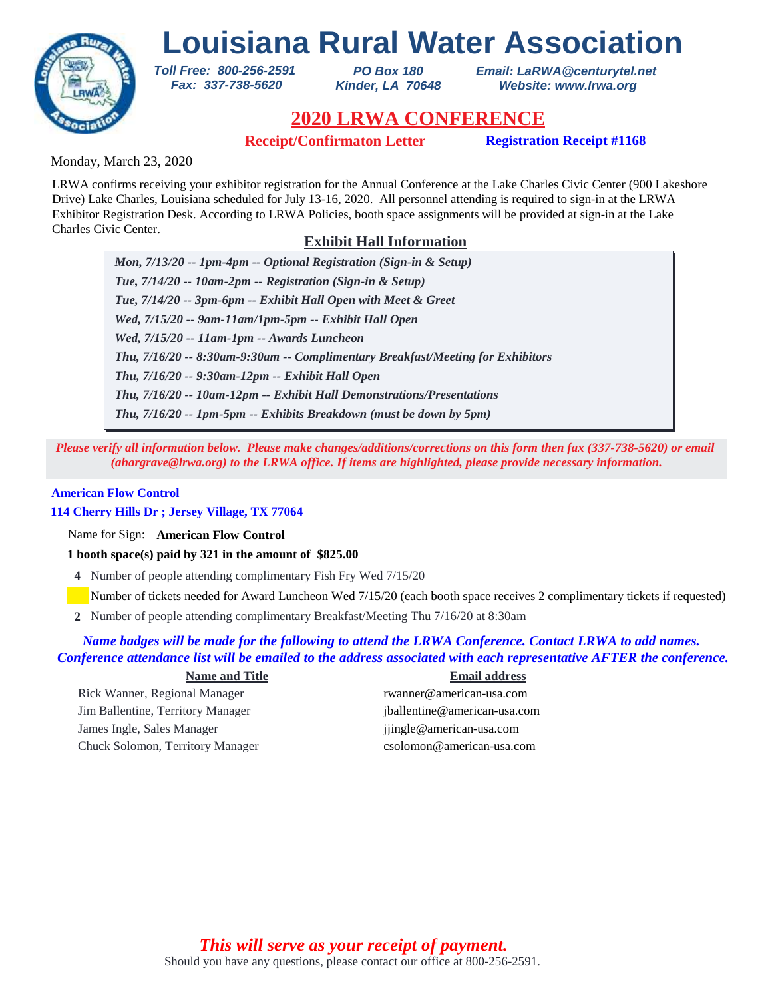

*PO Box 180 Kinder, LA 70648* *Email: LaRWA@centurytel.net Website: www.lrwa.org*

# **2020 LRWA CONFERENCE**

**Receipt/Confirmaton Letter Registration Receipt #1168**

Monday, March 23, 2020

LRWA confirms receiving your exhibitor registration for the Annual Conference at the Lake Charles Civic Center (900 Lakeshore Drive) Lake Charles, Louisiana scheduled for July 13-16, 2020. All personnel attending is required to sign-in at the LRWA Exhibitor Registration Desk. According to LRWA Policies, booth space assignments will be provided at sign-in at the Lake Charles Civic Center.

# **Exhibit Hall Information**

*Mon, 7/13/20 -- 1pm-4pm -- Optional Registration (Sign-in & Setup) Tue, 7/14/20 -- 10am-2pm -- Registration (Sign-in & Setup) Tue, 7/14/20 -- 3pm-6pm -- Exhibit Hall Open with Meet & Greet Wed, 7/15/20 -- 9am-11am/1pm-5pm -- Exhibit Hall Open Wed, 7/15/20 -- 11am-1pm -- Awards Luncheon Thu, 7/16/20 -- 9:30am-12pm -- Exhibit Hall Open Thu, 7/16/20 -- 8:30am-9:30am -- Complimentary Breakfast/Meeting for Exhibitors Thu, 7/16/20 -- 10am-12pm -- Exhibit Hall Demonstrations/Presentations Thu, 7/16/20 -- 1pm-5pm -- Exhibits Breakdown (must be down by 5pm)*

*Please verify all information below. Please make changes/additions/corrections on this form then fax (337-738-5620) or email (ahargrave@lrwa.org) to the LRWA office. If items are highlighted, please provide necessary information.*

## **American Flow Control**

## **114 Cherry Hills Dr ; Jersey Village, TX 77064**

Name for Sign: **American Flow Control**

**1 booth space(s) paid by 321 in the amount of \$825.00**

*Toll Free: 800-256-2591 Fax: 337-738-5620*

**4** Number of people attending complimentary Fish Fry Wed 7/15/20

Number of tickets needed for Award Luncheon Wed 7/15/20 (each booth space receives 2 complimentary tickets if requested)

Number of people attending complimentary Breakfast/Meeting Thu 7/16/20 at 8:30am **2**

## *Name badges will be made for the following to attend the LRWA Conference. Contact LRWA to add names. Conference attendance list will be emailed to the address associated with each representative AFTER the conference.*

### **Name and Title Email address**

Rick Wanner, Regional Manager rwanner@american-usa.com Jim Ballentine, Territory Manager jballentine@american-usa.com James Ingle, Sales Manager jjingle@american-usa.com Chuck Solomon, Territory Manager csolomon@american-usa.com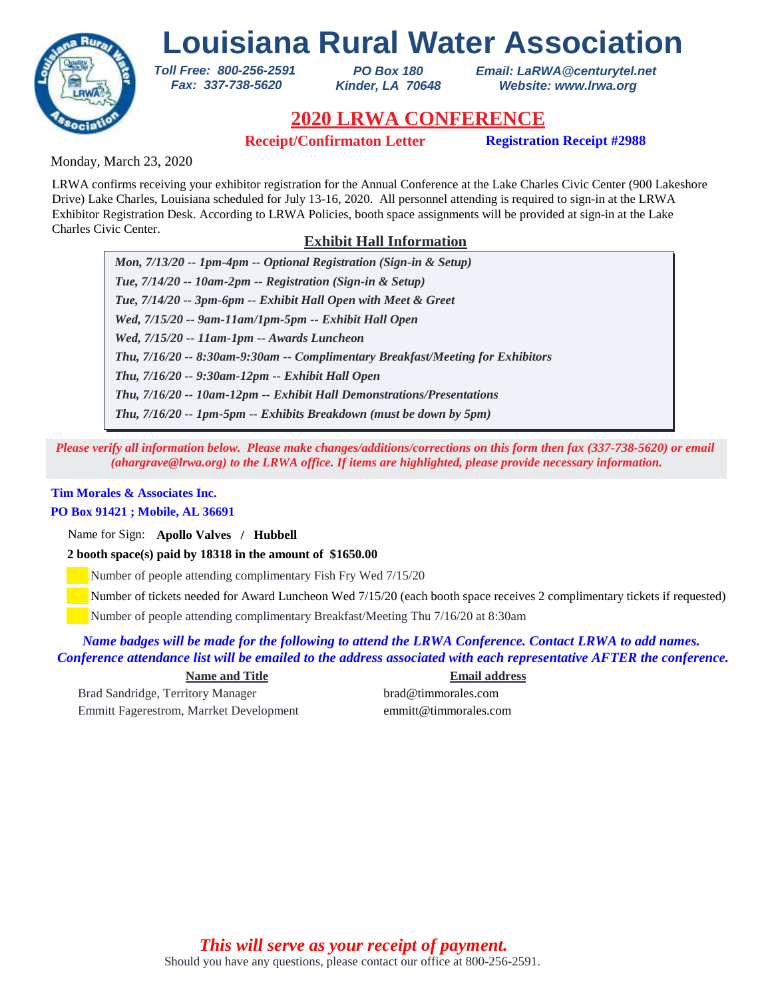

*PO Box 180 Kinder, LA 70648* *Email: LaRWA@centurytel.net Website: www.lrwa.org*

# **2020 LRWA CONFERENCE**

**Receipt/Confirmaton Letter Registration Receipt #2988**

Monday, March 23, 2020

LRWA confirms receiving your exhibitor registration for the Annual Conference at the Lake Charles Civic Center (900 Lakeshore Drive) Lake Charles, Louisiana scheduled for July 13-16, 2020. All personnel attending is required to sign-in at the LRWA Exhibitor Registration Desk. According to LRWA Policies, booth space assignments will be provided at sign-in at the Lake Charles Civic Center.

# **Exhibit Hall Information**

*Mon, 7/13/20 -- 1pm-4pm -- Optional Registration (Sign-in & Setup) Tue, 7/14/20 -- 10am-2pm -- Registration (Sign-in & Setup) Tue, 7/14/20 -- 3pm-6pm -- Exhibit Hall Open with Meet & Greet Wed, 7/15/20 -- 9am-11am/1pm-5pm -- Exhibit Hall Open Wed, 7/15/20 -- 11am-1pm -- Awards Luncheon Thu, 7/16/20 -- 9:30am-12pm -- Exhibit Hall Open Thu, 7/16/20 -- 8:30am-9:30am -- Complimentary Breakfast/Meeting for Exhibitors Thu, 7/16/20 -- 10am-12pm -- Exhibit Hall Demonstrations/Presentations Thu, 7/16/20 -- 1pm-5pm -- Exhibits Breakdown (must be down by 5pm)*

*Please verify all information below. Please make changes/additions/corrections on this form then fax (337-738-5620) or email (ahargrave@lrwa.org) to the LRWA office. If items are highlighted, please provide necessary information.*

# **Tim Morales & Associates Inc.**

## **PO Box 91421 ; Mobile, AL 36691**

Name for Sign: **Apollo Valves / Hubbell**

**2 booth space(s) paid by 18318 in the amount of \$1650.00**

*Toll Free: 800-256-2591 Fax: 337-738-5620*

Number of people attending complimentary Fish Fry Wed 7/15/20

Number of tickets needed for Award Luncheon Wed 7/15/20 (each booth space receives 2 complimentary tickets if requested)

Number of people attending complimentary Breakfast/Meeting Thu 7/16/20 at 8:30am

*Name badges will be made for the following to attend the LRWA Conference. Contact LRWA to add names. Conference attendance list will be emailed to the address associated with each representative AFTER the conference.*

**Name and Title Email address**

Brad Sandridge, Territory Manager brad@timmorales.com Emmitt Fagerestrom, Marrket Development emmitt@timmorales.com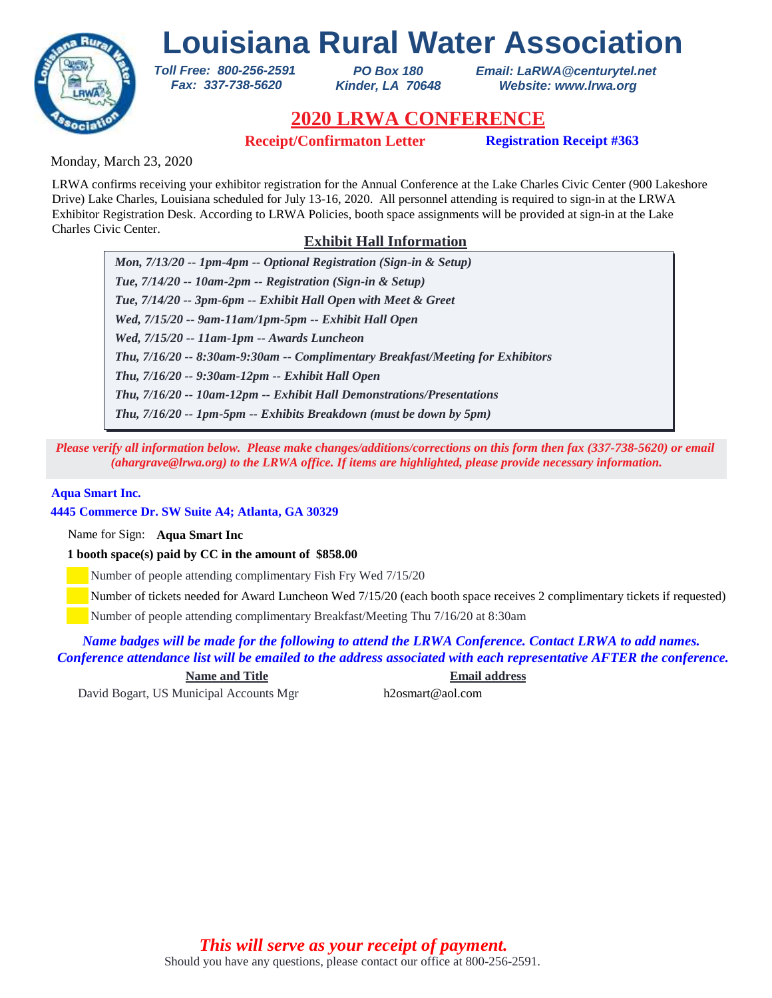

*PO Box 180 Kinder, LA 70648* *Email: LaRWA@centurytel.net Website: www.lrwa.org*

# **2020 LRWA CONFERENCE**

**Receipt/Confirmaton Letter Registration Receipt #363**

Monday, March 23, 2020

LRWA confirms receiving your exhibitor registration for the Annual Conference at the Lake Charles Civic Center (900 Lakeshore Drive) Lake Charles, Louisiana scheduled for July 13-16, 2020. All personnel attending is required to sign-in at the LRWA Exhibitor Registration Desk. According to LRWA Policies, booth space assignments will be provided at sign-in at the Lake Charles Civic Center.

# **Exhibit Hall Information**

*Mon, 7/13/20 -- 1pm-4pm -- Optional Registration (Sign-in & Setup) Tue, 7/14/20 -- 10am-2pm -- Registration (Sign-in & Setup) Tue, 7/14/20 -- 3pm-6pm -- Exhibit Hall Open with Meet & Greet Wed, 7/15/20 -- 9am-11am/1pm-5pm -- Exhibit Hall Open Wed, 7/15/20 -- 11am-1pm -- Awards Luncheon Thu, 7/16/20 -- 9:30am-12pm -- Exhibit Hall Open Thu, 7/16/20 -- 8:30am-9:30am -- Complimentary Breakfast/Meeting for Exhibitors Thu, 7/16/20 -- 10am-12pm -- Exhibit Hall Demonstrations/Presentations Thu, 7/16/20 -- 1pm-5pm -- Exhibits Breakdown (must be down by 5pm)*

*Please verify all information below. Please make changes/additions/corrections on this form then fax (337-738-5620) or email (ahargrave@lrwa.org) to the LRWA office. If items are highlighted, please provide necessary information.*

## **Aqua Smart Inc.**

**4445 Commerce Dr. SW Suite A4; Atlanta, GA 30329**

Name for Sign: **Aqua Smart Inc**

**1 booth space(s) paid by CC in the amount of \$858.00**

*Toll Free: 800-256-2591 Fax: 337-738-5620*

Number of people attending complimentary Fish Fry Wed 7/15/20

Number of tickets needed for Award Luncheon Wed 7/15/20 (each booth space receives 2 complimentary tickets if requested)

Number of people attending complimentary Breakfast/Meeting Thu 7/16/20 at 8:30am

*Name badges will be made for the following to attend the LRWA Conference. Contact LRWA to add names. Conference attendance list will be emailed to the address associated with each representative AFTER the conference.*

**Name and Title Email address**

David Bogart, US Municipal Accounts Mgr h2osmart@aol.com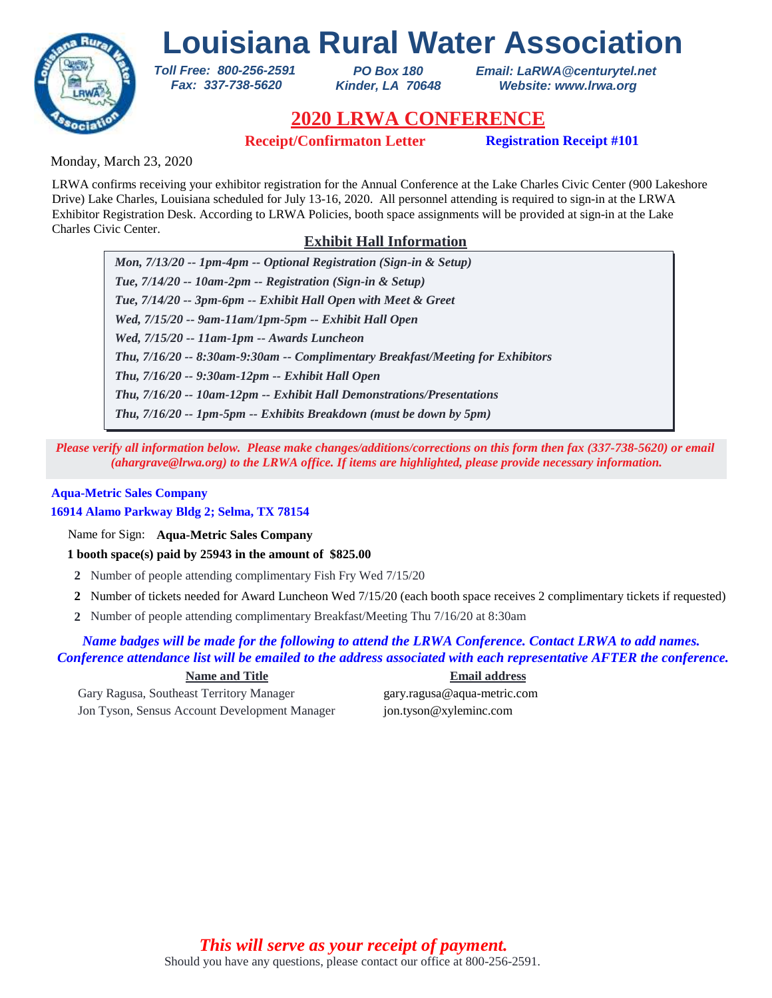

*PO Box 180 Kinder, LA 70648* *Email: LaRWA@centurytel.net Website: www.lrwa.org*

# **2020 LRWA CONFERENCE**

**Receipt/Confirmaton Letter Registration Receipt #101**

Monday, March 23, 2020

LRWA confirms receiving your exhibitor registration for the Annual Conference at the Lake Charles Civic Center (900 Lakeshore Drive) Lake Charles, Louisiana scheduled for July 13-16, 2020. All personnel attending is required to sign-in at the LRWA Exhibitor Registration Desk. According to LRWA Policies, booth space assignments will be provided at sign-in at the Lake Charles Civic Center.

# **Exhibit Hall Information**

*Mon, 7/13/20 -- 1pm-4pm -- Optional Registration (Sign-in & Setup) Tue, 7/14/20 -- 10am-2pm -- Registration (Sign-in & Setup) Tue, 7/14/20 -- 3pm-6pm -- Exhibit Hall Open with Meet & Greet Wed, 7/15/20 -- 9am-11am/1pm-5pm -- Exhibit Hall Open Wed, 7/15/20 -- 11am-1pm -- Awards Luncheon Thu, 7/16/20 -- 9:30am-12pm -- Exhibit Hall Open Thu, 7/16/20 -- 8:30am-9:30am -- Complimentary Breakfast/Meeting for Exhibitors Thu, 7/16/20 -- 10am-12pm -- Exhibit Hall Demonstrations/Presentations Thu, 7/16/20 -- 1pm-5pm -- Exhibits Breakdown (must be down by 5pm)*

*Please verify all information below. Please make changes/additions/corrections on this form then fax (337-738-5620) or email (ahargrave@lrwa.org) to the LRWA office. If items are highlighted, please provide necessary information.*

## **Aqua-Metric Sales Company**

**16914 Alamo Parkway Bldg 2; Selma, TX 78154**

Name for Sign: **Aqua-Metric Sales Company**

**1 booth space(s) paid by 25943 in the amount of \$825.00**

*Toll Free: 800-256-2591 Fax: 337-738-5620*

- **2** Number of people attending complimentary Fish Fry Wed 7/15/20
- Number of tickets needed for Award Luncheon Wed 7/15/20 (each booth space receives 2 complimentary tickets if requested) **2**
- Number of people attending complimentary Breakfast/Meeting Thu 7/16/20 at 8:30am **2**

## *Name badges will be made for the following to attend the LRWA Conference. Contact LRWA to add names. Conference attendance list will be emailed to the address associated with each representative AFTER the conference.*

Gary Ragusa, Southeast Territory Manager gary.ragusa@aqua-metric.com Jon Tyson, Sensus Account Development Manager jon.tyson@xyleminc.com

**Name and Title Email address**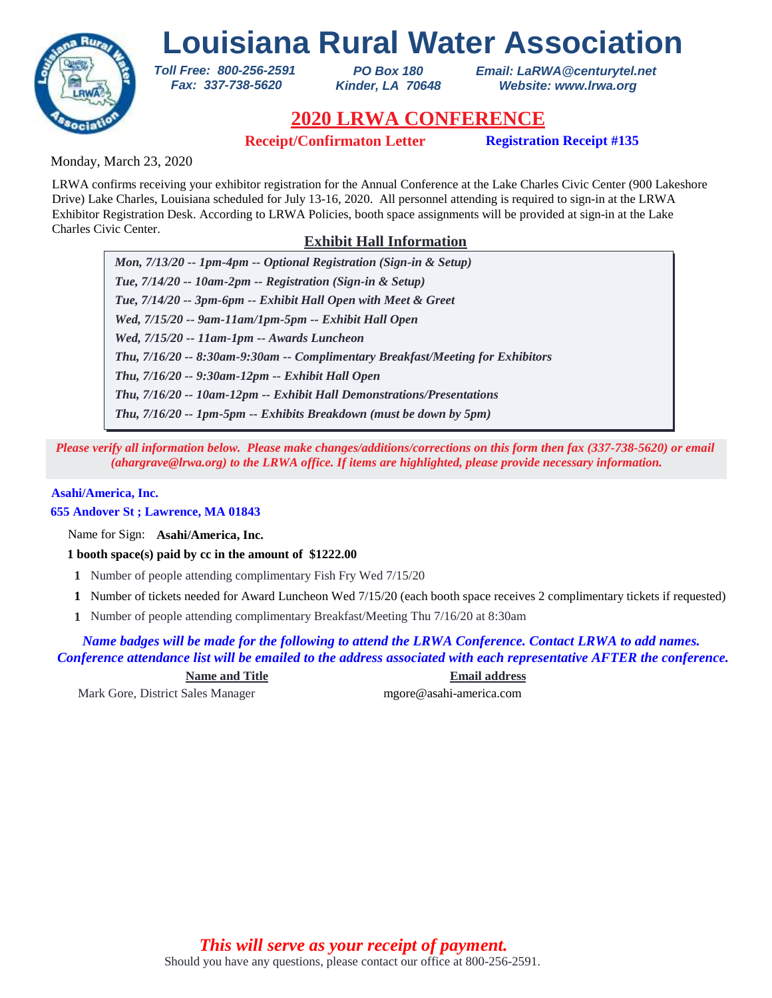

*PO Box 180 Kinder, LA 70648* *Email: LaRWA@centurytel.net Website: www.lrwa.org*

# **2020 LRWA CONFERENCE**

**Receipt/Confirmaton Letter Registration Receipt #135**

Monday, March 23, 2020

LRWA confirms receiving your exhibitor registration for the Annual Conference at the Lake Charles Civic Center (900 Lakeshore Drive) Lake Charles, Louisiana scheduled for July 13-16, 2020. All personnel attending is required to sign-in at the LRWA Exhibitor Registration Desk. According to LRWA Policies, booth space assignments will be provided at sign-in at the Lake Charles Civic Center.

# **Exhibit Hall Information**

*Mon, 7/13/20 -- 1pm-4pm -- Optional Registration (Sign-in & Setup) Tue, 7/14/20 -- 10am-2pm -- Registration (Sign-in & Setup) Tue, 7/14/20 -- 3pm-6pm -- Exhibit Hall Open with Meet & Greet Wed, 7/15/20 -- 9am-11am/1pm-5pm -- Exhibit Hall Open Wed, 7/15/20 -- 11am-1pm -- Awards Luncheon Thu, 7/16/20 -- 9:30am-12pm -- Exhibit Hall Open Thu, 7/16/20 -- 8:30am-9:30am -- Complimentary Breakfast/Meeting for Exhibitors Thu, 7/16/20 -- 10am-12pm -- Exhibit Hall Demonstrations/Presentations Thu, 7/16/20 -- 1pm-5pm -- Exhibits Breakdown (must be down by 5pm)*

*Please verify all information below. Please make changes/additions/corrections on this form then fax (337-738-5620) or email (ahargrave@lrwa.org) to the LRWA office. If items are highlighted, please provide necessary information.*

## **Asahi/America, Inc.**

**655 Andover St ; Lawrence, MA 01843**

Name for Sign: **Asahi/America, Inc.**

**1 booth space(s) paid by cc in the amount of \$1222.00**

*Toll Free: 800-256-2591 Fax: 337-738-5620*

- **1** Number of people attending complimentary Fish Fry Wed 7/15/20
- Number of tickets needed for Award Luncheon Wed 7/15/20 (each booth space receives 2 complimentary tickets if requested) **1**
- Number of people attending complimentary Breakfast/Meeting Thu 7/16/20 at 8:30am **1**

*Name badges will be made for the following to attend the LRWA Conference. Contact LRWA to add names. Conference attendance list will be emailed to the address associated with each representative AFTER the conference.*

**Name and Title Email address**

Mark Gore, District Sales Manager mgore@asahi-america.com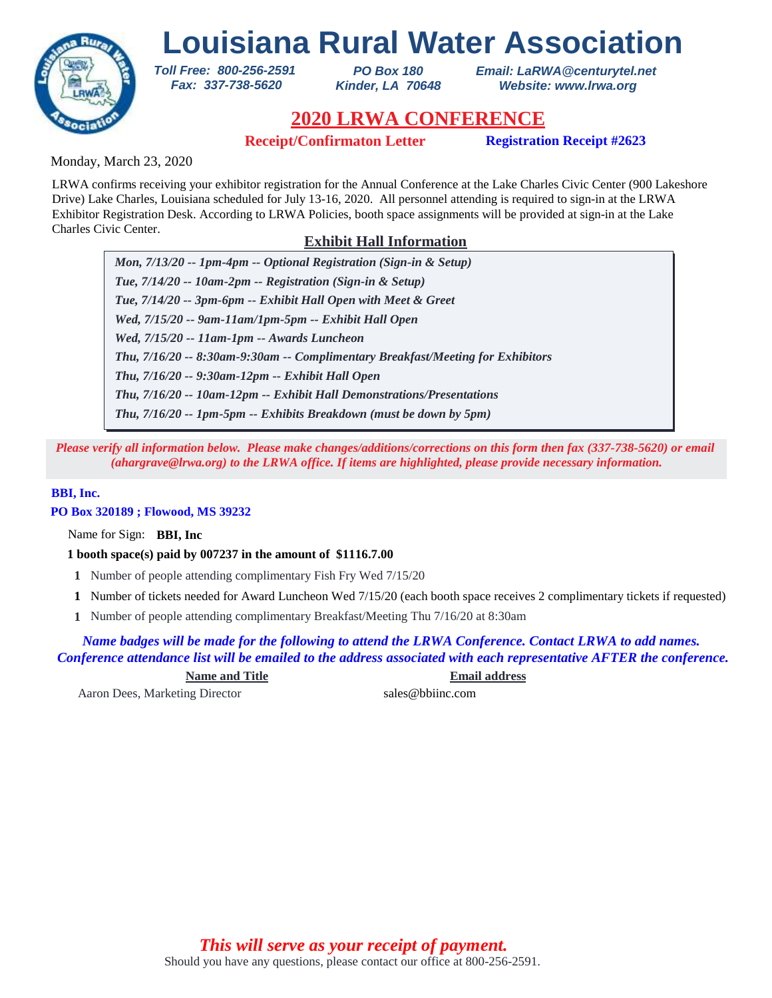

*PO Box 180 Kinder, LA 70648* *Email: LaRWA@centurytel.net Website: www.lrwa.org*

# **2020 LRWA CONFERENCE**

**Receipt/Confirmaton Letter Registration Receipt #2623**

Monday, March 23, 2020

LRWA confirms receiving your exhibitor registration for the Annual Conference at the Lake Charles Civic Center (900 Lakeshore Drive) Lake Charles, Louisiana scheduled for July 13-16, 2020. All personnel attending is required to sign-in at the LRWA Exhibitor Registration Desk. According to LRWA Policies, booth space assignments will be provided at sign-in at the Lake Charles Civic Center.

# **Exhibit Hall Information**

*Mon, 7/13/20 -- 1pm-4pm -- Optional Registration (Sign-in & Setup) Tue, 7/14/20 -- 10am-2pm -- Registration (Sign-in & Setup) Tue, 7/14/20 -- 3pm-6pm -- Exhibit Hall Open with Meet & Greet Wed, 7/15/20 -- 9am-11am/1pm-5pm -- Exhibit Hall Open Wed, 7/15/20 -- 11am-1pm -- Awards Luncheon Thu, 7/16/20 -- 9:30am-12pm -- Exhibit Hall Open Thu, 7/16/20 -- 8:30am-9:30am -- Complimentary Breakfast/Meeting for Exhibitors Thu, 7/16/20 -- 10am-12pm -- Exhibit Hall Demonstrations/Presentations Thu, 7/16/20 -- 1pm-5pm -- Exhibits Breakdown (must be down by 5pm)*

*Please verify all information below. Please make changes/additions/corrections on this form then fax (337-738-5620) or email (ahargrave@lrwa.org) to the LRWA office. If items are highlighted, please provide necessary information.*

## **BBI, Inc.**

**PO Box 320189 ; Flowood, MS 39232**

Name for Sign: **BBI, Inc**

**1 booth space(s) paid by 007237 in the amount of \$1116.7.00**

*Toll Free: 800-256-2591 Fax: 337-738-5620*

- **1** Number of people attending complimentary Fish Fry Wed 7/15/20
- Number of tickets needed for Award Luncheon Wed 7/15/20 (each booth space receives 2 complimentary tickets if requested) **1**
- Number of people attending complimentary Breakfast/Meeting Thu 7/16/20 at 8:30am **1**

*Name badges will be made for the following to attend the LRWA Conference. Contact LRWA to add names. Conference attendance list will be emailed to the address associated with each representative AFTER the conference.*

**Name and Title Email address**

Aaron Dees, Marketing Director sales@bbiinc.com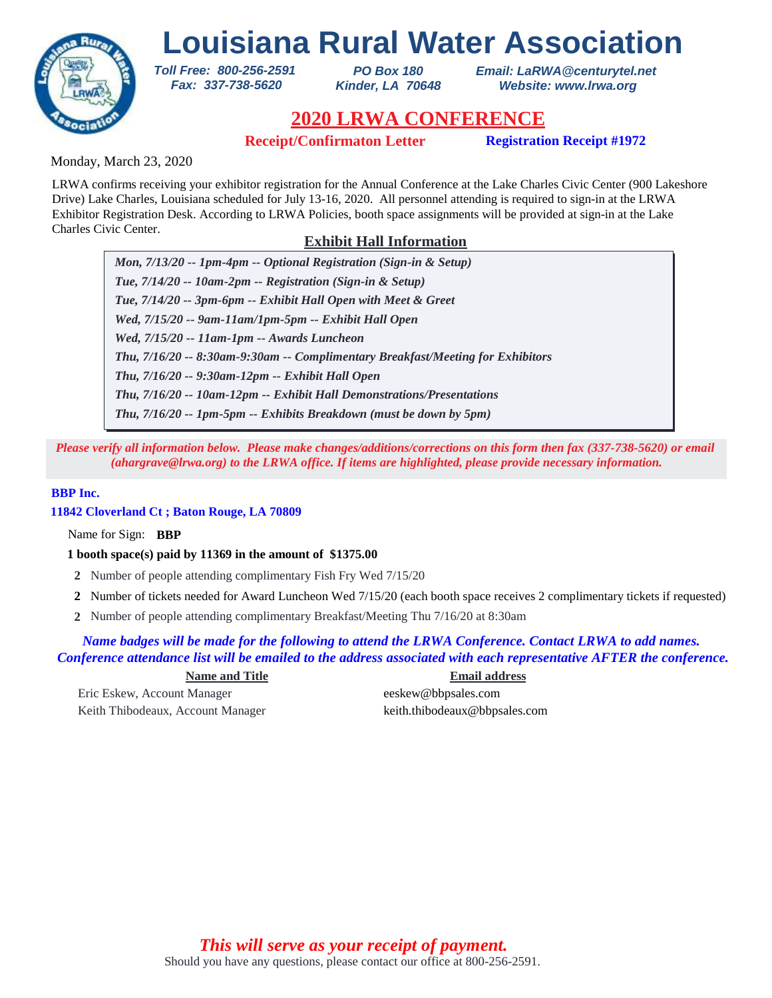

*PO Box 180 Kinder, LA 70648* *Email: LaRWA@centurytel.net Website: www.lrwa.org*

# **2020 LRWA CONFERENCE**

**Receipt/Confirmaton Letter Registration Receipt #1972**

Monday, March 23, 2020

LRWA confirms receiving your exhibitor registration for the Annual Conference at the Lake Charles Civic Center (900 Lakeshore Drive) Lake Charles, Louisiana scheduled for July 13-16, 2020. All personnel attending is required to sign-in at the LRWA Exhibitor Registration Desk. According to LRWA Policies, booth space assignments will be provided at sign-in at the Lake Charles Civic Center.

# **Exhibit Hall Information**

*Mon, 7/13/20 -- 1pm-4pm -- Optional Registration (Sign-in & Setup) Tue, 7/14/20 -- 10am-2pm -- Registration (Sign-in & Setup) Tue, 7/14/20 -- 3pm-6pm -- Exhibit Hall Open with Meet & Greet Wed, 7/15/20 -- 9am-11am/1pm-5pm -- Exhibit Hall Open Wed, 7/15/20 -- 11am-1pm -- Awards Luncheon Thu, 7/16/20 -- 9:30am-12pm -- Exhibit Hall Open Thu, 7/16/20 -- 8:30am-9:30am -- Complimentary Breakfast/Meeting for Exhibitors Thu, 7/16/20 -- 10am-12pm -- Exhibit Hall Demonstrations/Presentations Thu, 7/16/20 -- 1pm-5pm -- Exhibits Breakdown (must be down by 5pm)*

*Please verify all information below. Please make changes/additions/corrections on this form then fax (337-738-5620) or email (ahargrave@lrwa.org) to the LRWA office. If items are highlighted, please provide necessary information.*

## **BBP Inc.**

**11842 Cloverland Ct ; Baton Rouge, LA 70809**

Name for Sign: **BBP**

**1 booth space(s) paid by 11369 in the amount of \$1375.00**

*Toll Free: 800-256-2591 Fax: 337-738-5620*

- **2** Number of people attending complimentary Fish Fry Wed 7/15/20
- Number of tickets needed for Award Luncheon Wed 7/15/20 (each booth space receives 2 complimentary tickets if requested) **2**
- Number of people attending complimentary Breakfast/Meeting Thu 7/16/20 at 8:30am **2**

*Name badges will be made for the following to attend the LRWA Conference. Contact LRWA to add names. Conference attendance list will be emailed to the address associated with each representative AFTER the conference.*

Eric Eskew, Account Manager eeskew@bbpsales.com Keith Thibodeaux, Account Manager keith.thibodeaux@bbpsales.com

**Name and Title Email address**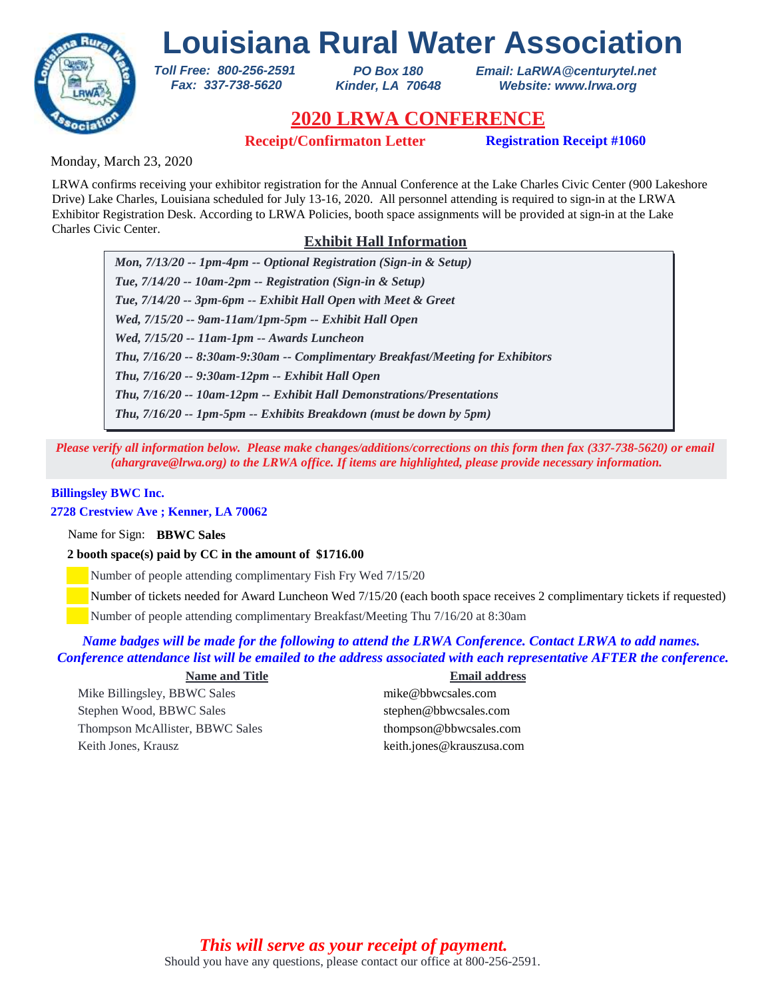

*PO Box 180 Kinder, LA 70648* *Email: LaRWA@centurytel.net Website: www.lrwa.org*

# **2020 LRWA CONFERENCE**

**Receipt/Confirmaton Letter Registration Receipt #1060**

Monday, March 23, 2020

LRWA confirms receiving your exhibitor registration for the Annual Conference at the Lake Charles Civic Center (900 Lakeshore Drive) Lake Charles, Louisiana scheduled for July 13-16, 2020. All personnel attending is required to sign-in at the LRWA Exhibitor Registration Desk. According to LRWA Policies, booth space assignments will be provided at sign-in at the Lake Charles Civic Center.

# **Exhibit Hall Information**

*Mon, 7/13/20 -- 1pm-4pm -- Optional Registration (Sign-in & Setup) Tue, 7/14/20 -- 10am-2pm -- Registration (Sign-in & Setup) Tue, 7/14/20 -- 3pm-6pm -- Exhibit Hall Open with Meet & Greet Wed, 7/15/20 -- 9am-11am/1pm-5pm -- Exhibit Hall Open Wed, 7/15/20 -- 11am-1pm -- Awards Luncheon Thu, 7/16/20 -- 9:30am-12pm -- Exhibit Hall Open Thu, 7/16/20 -- 8:30am-9:30am -- Complimentary Breakfast/Meeting for Exhibitors Thu, 7/16/20 -- 10am-12pm -- Exhibit Hall Demonstrations/Presentations Thu, 7/16/20 -- 1pm-5pm -- Exhibits Breakdown (must be down by 5pm)*

*Please verify all information below. Please make changes/additions/corrections on this form then fax (337-738-5620) or email (ahargrave@lrwa.org) to the LRWA office. If items are highlighted, please provide necessary information.*

## **Billingsley BWC Inc.**

## **2728 Crestview Ave ; Kenner, LA 70062**

Name for Sign: **BBWC Sales**

## **2 booth space(s) paid by CC in the amount of \$1716.00**

*Toll Free: 800-256-2591 Fax: 337-738-5620*

Number of people attending complimentary Fish Fry Wed 7/15/20

Number of tickets needed for Award Luncheon Wed 7/15/20 (each booth space receives 2 complimentary tickets if requested)

Number of people attending complimentary Breakfast/Meeting Thu 7/16/20 at 8:30am

## *Name badges will be made for the following to attend the LRWA Conference. Contact LRWA to add names. Conference attendance list will be emailed to the address associated with each representative AFTER the conference.*

### **Name and Title Email address**

Mike Billingsley, BBWC Sales mike@bbwcsales.com Stephen Wood, BBWC Sales stephen@bbwcsales.com Thompson McAllister, BBWC Sales thompson@bbwcsales.com Keith Jones, Krausz keith.jones@krauszusa.com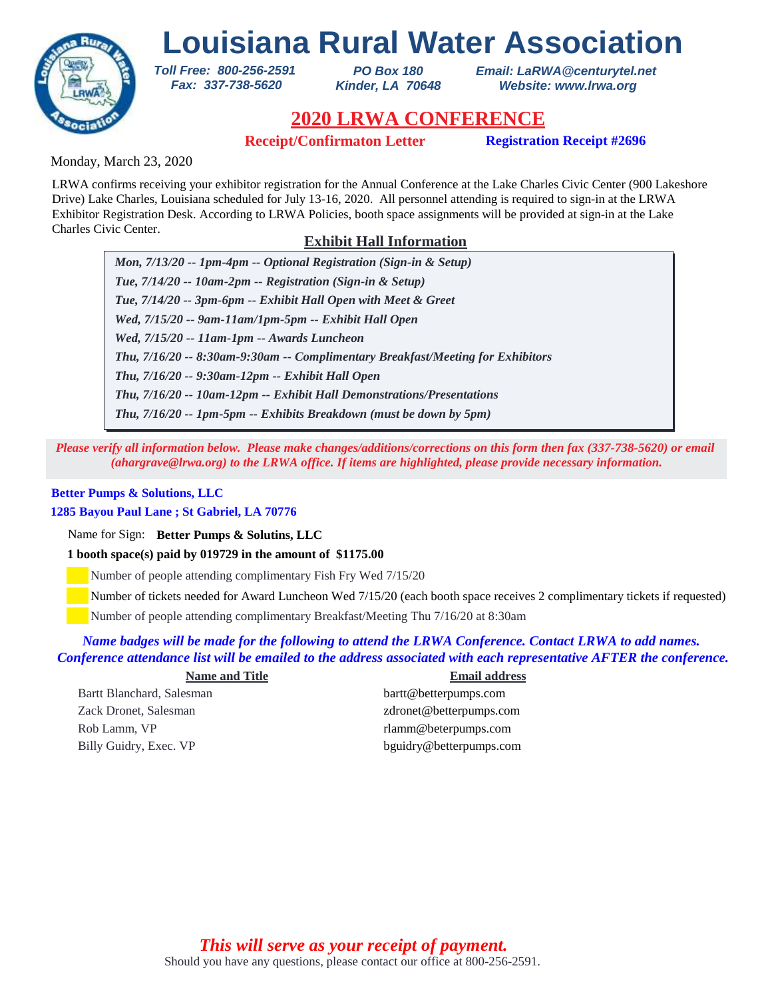

*PO Box 180 Kinder, LA 70648* *Email: LaRWA@centurytel.net Website: www.lrwa.org*

# **2020 LRWA CONFERENCE**

**Receipt/Confirmaton Letter Registration Receipt #2696**

Monday, March 23, 2020

LRWA confirms receiving your exhibitor registration for the Annual Conference at the Lake Charles Civic Center (900 Lakeshore Drive) Lake Charles, Louisiana scheduled for July 13-16, 2020. All personnel attending is required to sign-in at the LRWA Exhibitor Registration Desk. According to LRWA Policies, booth space assignments will be provided at sign-in at the Lake Charles Civic Center.

# **Exhibit Hall Information**

*Mon, 7/13/20 -- 1pm-4pm -- Optional Registration (Sign-in & Setup) Tue, 7/14/20 -- 10am-2pm -- Registration (Sign-in & Setup) Tue, 7/14/20 -- 3pm-6pm -- Exhibit Hall Open with Meet & Greet Wed, 7/15/20 -- 9am-11am/1pm-5pm -- Exhibit Hall Open Wed, 7/15/20 -- 11am-1pm -- Awards Luncheon Thu, 7/16/20 -- 9:30am-12pm -- Exhibit Hall Open Thu, 7/16/20 -- 8:30am-9:30am -- Complimentary Breakfast/Meeting for Exhibitors Thu, 7/16/20 -- 10am-12pm -- Exhibit Hall Demonstrations/Presentations Thu, 7/16/20 -- 1pm-5pm -- Exhibits Breakdown (must be down by 5pm)*

*Please verify all information below. Please make changes/additions/corrections on this form then fax (337-738-5620) or email (ahargrave@lrwa.org) to the LRWA office. If items are highlighted, please provide necessary information.*

## **Better Pumps & Solutions, LLC**

## **1285 Bayou Paul Lane ; St Gabriel, LA 70776**

Name for Sign: **Better Pumps & Solutins, LLC**

**1 booth space(s) paid by 019729 in the amount of \$1175.00**

*Toll Free: 800-256-2591 Fax: 337-738-5620*

Number of people attending complimentary Fish Fry Wed 7/15/20

Number of tickets needed for Award Luncheon Wed 7/15/20 (each booth space receives 2 complimentary tickets if requested)

Number of people attending complimentary Breakfast/Meeting Thu 7/16/20 at 8:30am

## *Name badges will be made for the following to attend the LRWA Conference. Contact LRWA to add names. Conference attendance list will be emailed to the address associated with each representative AFTER the conference.*

| <b>Name and Title</b>     | <b>Email address</b>    |
|---------------------------|-------------------------|
| Bartt Blanchard, Salesman | bartt@betterpumps.com   |
| Zack Dronet, Salesman     | zdronet@betterpumps.com |
| Rob Lamm, VP              | rlamm@beterpumps.com    |
| Billy Guidry, Exec. VP    | bguidry@betterpumps.com |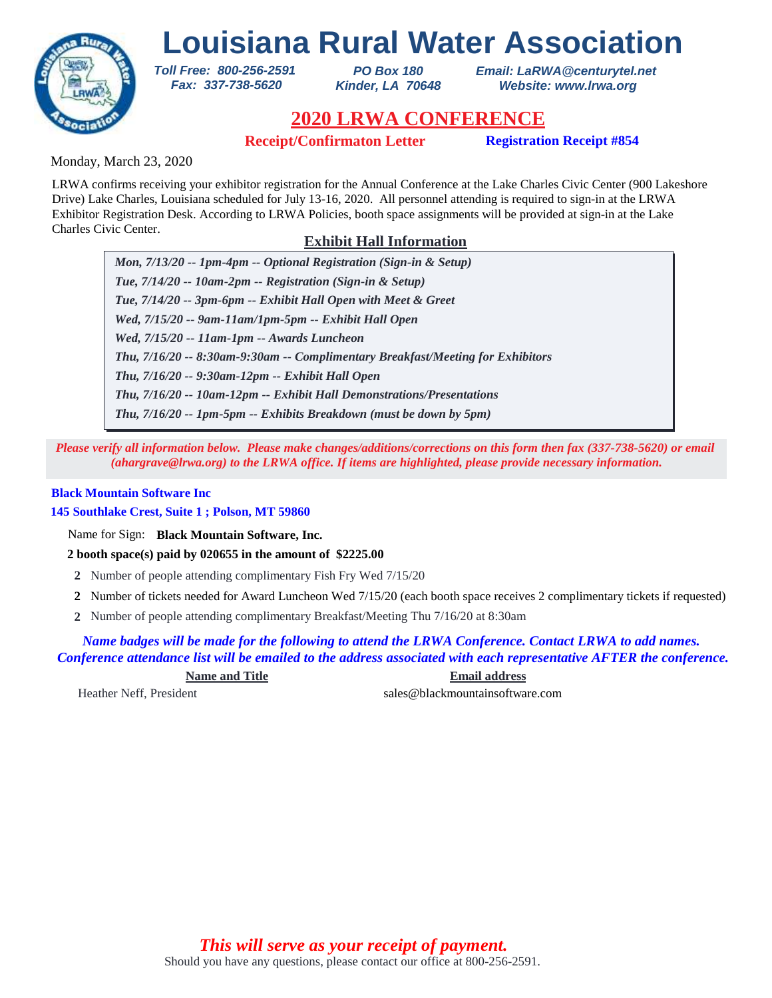

*PO Box 180 Kinder, LA 70648* *Email: LaRWA@centurytel.net Website: www.lrwa.org*

# **2020 LRWA CONFERENCE**

**Receipt/Confirmaton Letter Registration Receipt #854**

Monday, March 23, 2020

LRWA confirms receiving your exhibitor registration for the Annual Conference at the Lake Charles Civic Center (900 Lakeshore Drive) Lake Charles, Louisiana scheduled for July 13-16, 2020. All personnel attending is required to sign-in at the LRWA Exhibitor Registration Desk. According to LRWA Policies, booth space assignments will be provided at sign-in at the Lake Charles Civic Center.

# **Exhibit Hall Information**

*Mon, 7/13/20 -- 1pm-4pm -- Optional Registration (Sign-in & Setup) Tue, 7/14/20 -- 10am-2pm -- Registration (Sign-in & Setup) Tue, 7/14/20 -- 3pm-6pm -- Exhibit Hall Open with Meet & Greet Wed, 7/15/20 -- 9am-11am/1pm-5pm -- Exhibit Hall Open Wed, 7/15/20 -- 11am-1pm -- Awards Luncheon Thu, 7/16/20 -- 9:30am-12pm -- Exhibit Hall Open Thu, 7/16/20 -- 8:30am-9:30am -- Complimentary Breakfast/Meeting for Exhibitors Thu, 7/16/20 -- 10am-12pm -- Exhibit Hall Demonstrations/Presentations Thu, 7/16/20 -- 1pm-5pm -- Exhibits Breakdown (must be down by 5pm)*

*Please verify all information below. Please make changes/additions/corrections on this form then fax (337-738-5620) or email (ahargrave@lrwa.org) to the LRWA office. If items are highlighted, please provide necessary information.*

## **Black Mountain Software Inc**

**145 Southlake Crest, Suite 1 ; Polson, MT 59860**

Name for Sign: **Black Mountain Software, Inc.**

**2 booth space(s) paid by 020655 in the amount of \$2225.00**

*Toll Free: 800-256-2591 Fax: 337-738-5620*

- **2** Number of people attending complimentary Fish Fry Wed 7/15/20
- Number of tickets needed for Award Luncheon Wed 7/15/20 (each booth space receives 2 complimentary tickets if requested) **2**
- Number of people attending complimentary Breakfast/Meeting Thu 7/16/20 at 8:30am **2**

*Name badges will be made for the following to attend the LRWA Conference. Contact LRWA to add names. Conference attendance list will be emailed to the address associated with each representative AFTER the conference.*

**Name and Title Email address** Heather Neff, President sales@blackmountainsoftware.com

Should you have any questions, please contact our office at 800-256-2591. *This will serve as your receipt of payment.*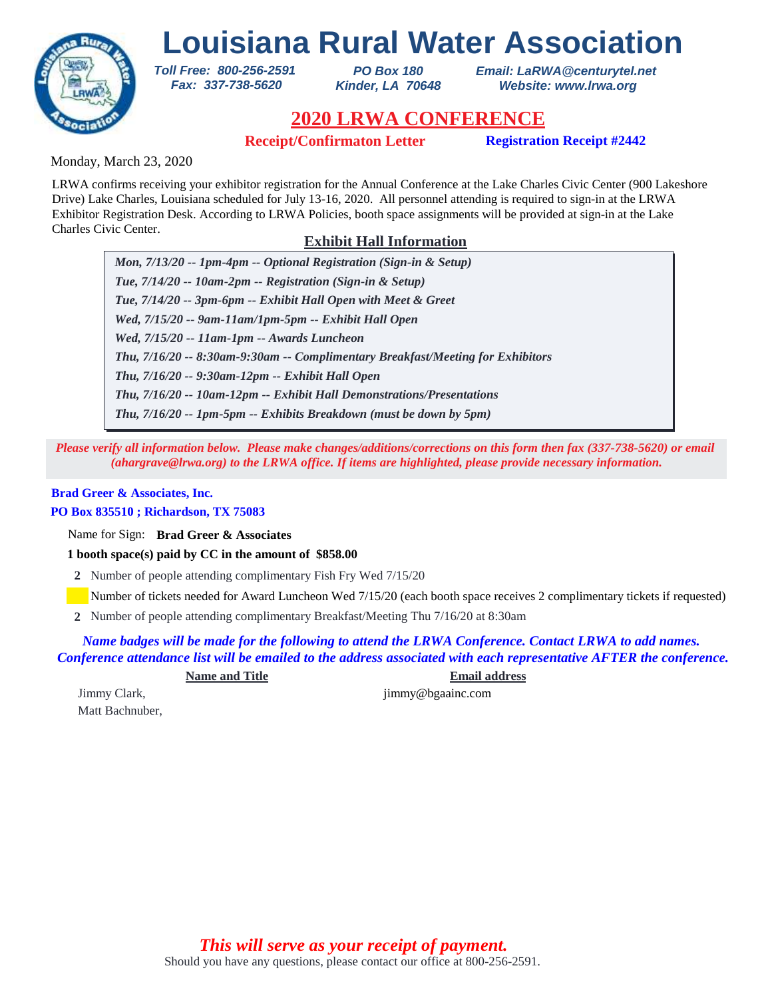

*PO Box 180 Kinder, LA 70648* *Email: LaRWA@centurytel.net Website: www.lrwa.org*

# **2020 LRWA CONFERENCE**

**Receipt/Confirmaton Letter Registration Receipt #2442**

Monday, March 23, 2020

LRWA confirms receiving your exhibitor registration for the Annual Conference at the Lake Charles Civic Center (900 Lakeshore Drive) Lake Charles, Louisiana scheduled for July 13-16, 2020. All personnel attending is required to sign-in at the LRWA Exhibitor Registration Desk. According to LRWA Policies, booth space assignments will be provided at sign-in at the Lake Charles Civic Center.

# **Exhibit Hall Information**

*Mon, 7/13/20 -- 1pm-4pm -- Optional Registration (Sign-in & Setup) Tue, 7/14/20 -- 10am-2pm -- Registration (Sign-in & Setup) Tue, 7/14/20 -- 3pm-6pm -- Exhibit Hall Open with Meet & Greet Wed, 7/15/20 -- 9am-11am/1pm-5pm -- Exhibit Hall Open Wed, 7/15/20 -- 11am-1pm -- Awards Luncheon Thu, 7/16/20 -- 9:30am-12pm -- Exhibit Hall Open Thu, 7/16/20 -- 8:30am-9:30am -- Complimentary Breakfast/Meeting for Exhibitors Thu, 7/16/20 -- 10am-12pm -- Exhibit Hall Demonstrations/Presentations Thu, 7/16/20 -- 1pm-5pm -- Exhibits Breakdown (must be down by 5pm)*

*Please verify all information below. Please make changes/additions/corrections on this form then fax (337-738-5620) or email (ahargrave@lrwa.org) to the LRWA office. If items are highlighted, please provide necessary information.*

## **Brad Greer & Associates, Inc.**

## **PO Box 835510 ; Richardson, TX 75083**

Name for Sign: **Brad Greer & Associates**

**1 booth space(s) paid by CC in the amount of \$858.00**

*Toll Free: 800-256-2591 Fax: 337-738-5620*

**2** Number of people attending complimentary Fish Fry Wed 7/15/20

Number of tickets needed for Award Luncheon Wed 7/15/20 (each booth space receives 2 complimentary tickets if requested)

Number of people attending complimentary Breakfast/Meeting Thu 7/16/20 at 8:30am **2**

*Name badges will be made for the following to attend the LRWA Conference. Contact LRWA to add names. Conference attendance list will be emailed to the address associated with each representative AFTER the conference.*

**Name and Title Email address**

Matt Bachnuber,

Jimmy Clark, jimmy @bgaainc.com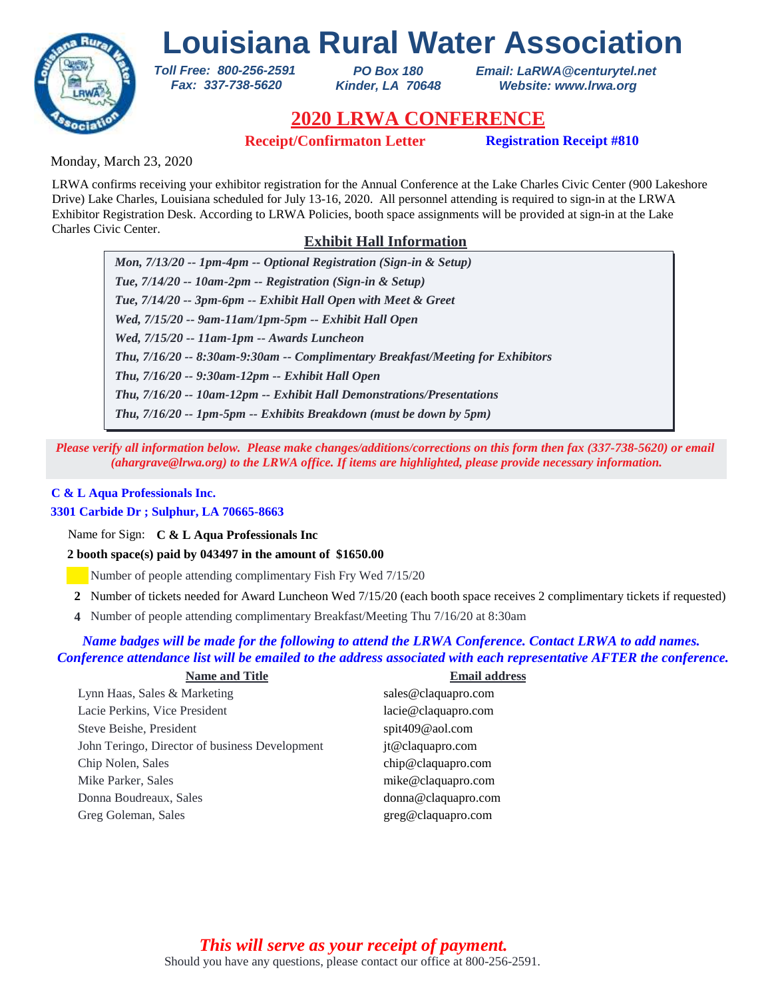

*PO Box 180 Kinder, LA 70648* *Email: LaRWA@centurytel.net Website: www.lrwa.org*

# **2020 LRWA CONFERENCE**

**Receipt/Confirmaton Letter Registration Receipt #810**

Monday, March 23, 2020

LRWA confirms receiving your exhibitor registration for the Annual Conference at the Lake Charles Civic Center (900 Lakeshore Drive) Lake Charles, Louisiana scheduled for July 13-16, 2020. All personnel attending is required to sign-in at the LRWA Exhibitor Registration Desk. According to LRWA Policies, booth space assignments will be provided at sign-in at the Lake Charles Civic Center.

# **Exhibit Hall Information**

*Mon, 7/13/20 -- 1pm-4pm -- Optional Registration (Sign-in & Setup) Tue, 7/14/20 -- 10am-2pm -- Registration (Sign-in & Setup) Tue, 7/14/20 -- 3pm-6pm -- Exhibit Hall Open with Meet & Greet Wed, 7/15/20 -- 9am-11am/1pm-5pm -- Exhibit Hall Open Wed, 7/15/20 -- 11am-1pm -- Awards Luncheon Thu, 7/16/20 -- 9:30am-12pm -- Exhibit Hall Open Thu, 7/16/20 -- 8:30am-9:30am -- Complimentary Breakfast/Meeting for Exhibitors Thu, 7/16/20 -- 10am-12pm -- Exhibit Hall Demonstrations/Presentations Thu, 7/16/20 -- 1pm-5pm -- Exhibits Breakdown (must be down by 5pm)*

*Please verify all information below. Please make changes/additions/corrections on this form then fax (337-738-5620) or email (ahargrave@lrwa.org) to the LRWA office. If items are highlighted, please provide necessary information.*

## **C & L Aqua Professionals Inc.**

## **3301 Carbide Dr ; Sulphur, LA 70665-8663**

Name for Sign: **C & L Aqua Professionals Inc**

**2 booth space(s) paid by 043497 in the amount of \$1650.00**

*Toll Free: 800-256-2591 Fax: 337-738-5620*

Number of people attending complimentary Fish Fry Wed 7/15/20

- Number of tickets needed for Award Luncheon Wed 7/15/20 (each booth space receives 2 complimentary tickets if requested) **2**
- Number of people attending complimentary Breakfast/Meeting Thu 7/16/20 at 8:30am **4**

## *Name badges will be made for the following to attend the LRWA Conference. Contact LRWA to add names. Conference attendance list will be emailed to the address associated with each representative AFTER the conference.*

| <b>Name and Title</b>                          | <b>Email address</b> |
|------------------------------------------------|----------------------|
| Lynn Haas, Sales & Marketing                   | sales@claquapro.com  |
| Lacie Perkins, Vice President                  | lacie@claquapro.com  |
| Steve Beishe, President                        | spit409@aol.com      |
| John Teringo, Director of business Development | jt@claquapro.com     |
| Chip Nolen, Sales                              | chip@claquapro.com   |
| Mike Parker, Sales                             | mike@claquapro.com   |
| Donna Boudreaux, Sales                         | donna@claquapro.com  |
| Greg Goleman, Sales                            | greg@claquapro.com   |
|                                                |                      |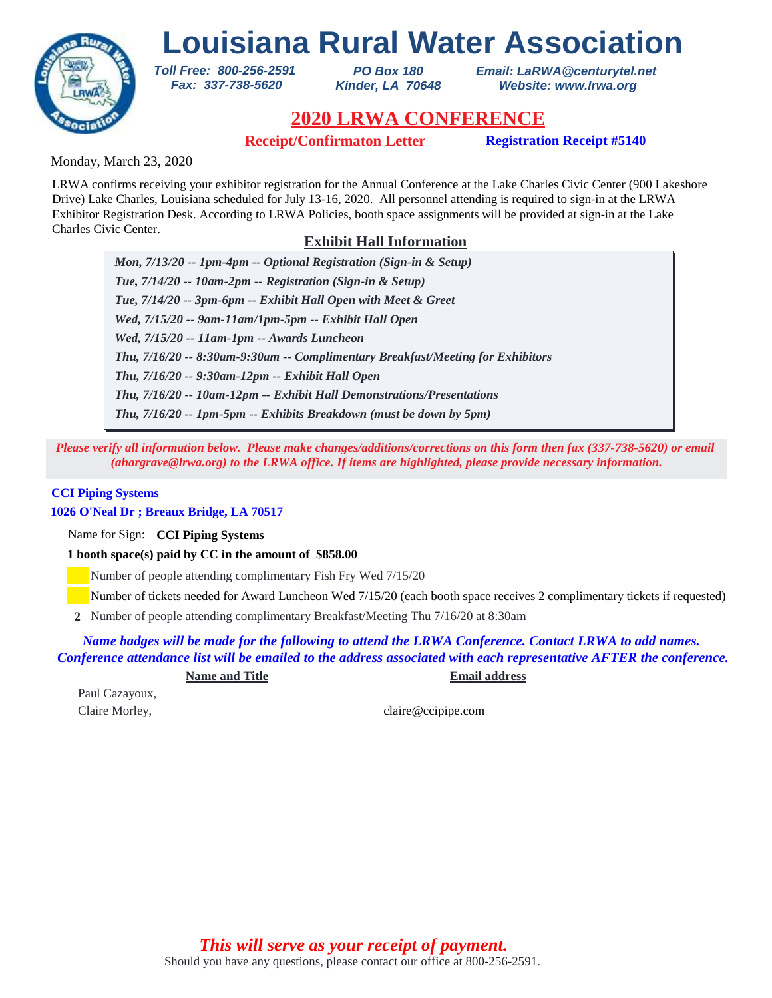

*PO Box 180 Kinder, LA 70648* *Email: LaRWA@centurytel.net Website: www.lrwa.org*

# **2020 LRWA CONFERENCE**

**Receipt/Confirmaton Letter Registration Receipt #5140** 

Monday, March 23, 2020

LRWA confirms receiving your exhibitor registration for the Annual Conference at the Lake Charles Civic Center (900 Lakeshore Drive) Lake Charles, Louisiana scheduled for July 13-16, 2020. All personnel attending is required to sign-in at the LRWA Exhibitor Registration Desk. According to LRWA Policies, booth space assignments will be provided at sign-in at the Lake Charles Civic Center.

# **Exhibit Hall Information**

*Mon, 7/13/20 -- 1pm-4pm -- Optional Registration (Sign-in & Setup) Tue, 7/14/20 -- 10am-2pm -- Registration (Sign-in & Setup) Tue, 7/14/20 -- 3pm-6pm -- Exhibit Hall Open with Meet & Greet Wed, 7/15/20 -- 9am-11am/1pm-5pm -- Exhibit Hall Open Wed, 7/15/20 -- 11am-1pm -- Awards Luncheon Thu, 7/16/20 -- 9:30am-12pm -- Exhibit Hall Open Thu, 7/16/20 -- 8:30am-9:30am -- Complimentary Breakfast/Meeting for Exhibitors Thu, 7/16/20 -- 10am-12pm -- Exhibit Hall Demonstrations/Presentations Thu, 7/16/20 -- 1pm-5pm -- Exhibits Breakdown (must be down by 5pm)*

*Please verify all information below. Please make changes/additions/corrections on this form then fax (337-738-5620) or email (ahargrave@lrwa.org) to the LRWA office. If items are highlighted, please provide necessary information.*

### **CCI Piping Systems**

**1026 O'Neal Dr ; Breaux Bridge, LA 70517**

Name for Sign: **CCI Piping Systems**

**1 booth space(s) paid by CC in the amount of \$858.00**

*Toll Free: 800-256-2591 Fax: 337-738-5620*

Number of people attending complimentary Fish Fry Wed 7/15/20

Number of tickets needed for Award Luncheon Wed 7/15/20 (each booth space receives 2 complimentary tickets if requested)

Number of people attending complimentary Breakfast/Meeting Thu 7/16/20 at 8:30am **2**

*Name badges will be made for the following to attend the LRWA Conference. Contact LRWA to add names. Conference attendance list will be emailed to the address associated with each representative AFTER the conference.*

**Name and Title Email address**

Paul Cazayoux,

Claire Morley, claire Computer of the Claire Computer of the Claire Computer of the Claire Computer of the Claire Computer of the Claire Computer of the Claire Computer of the Claire Computer of the Claire Computer of the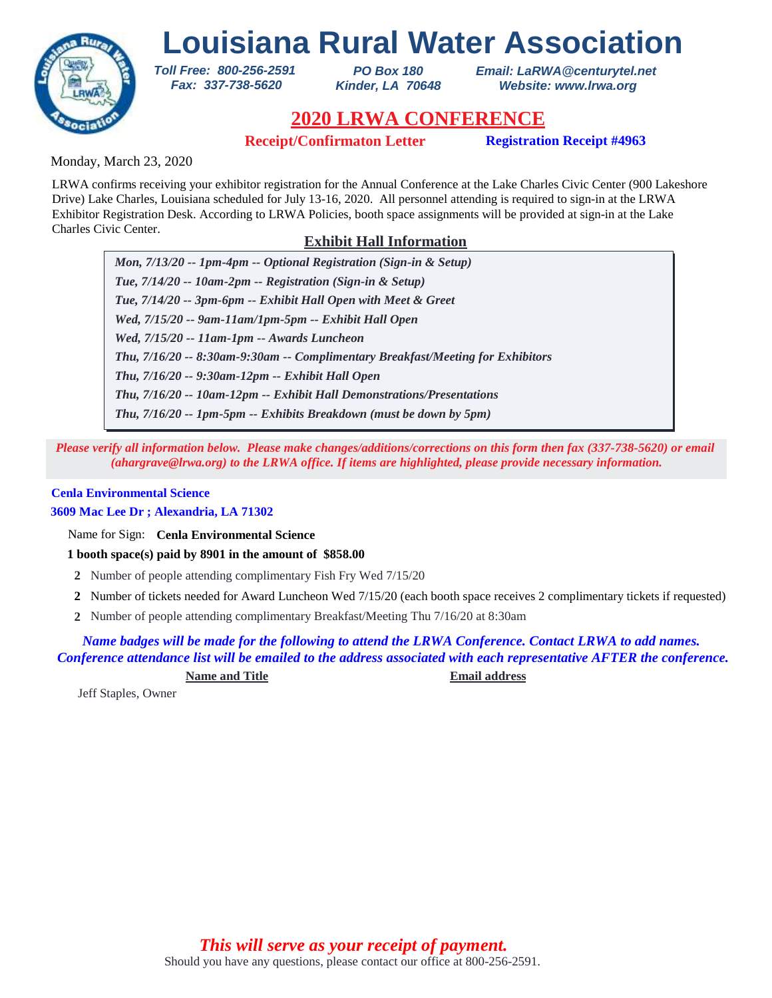

*PO Box 180 Kinder, LA 70648* *Email: LaRWA@centurytel.net Website: www.lrwa.org*

# **2020 LRWA CONFERENCE**

**Receipt/Confirmaton Letter Registration Receipt #4963**

Monday, March 23, 2020

LRWA confirms receiving your exhibitor registration for the Annual Conference at the Lake Charles Civic Center (900 Lakeshore Drive) Lake Charles, Louisiana scheduled for July 13-16, 2020. All personnel attending is required to sign-in at the LRWA Exhibitor Registration Desk. According to LRWA Policies, booth space assignments will be provided at sign-in at the Lake Charles Civic Center.

# **Exhibit Hall Information**

*Mon, 7/13/20 -- 1pm-4pm -- Optional Registration (Sign-in & Setup) Tue, 7/14/20 -- 10am-2pm -- Registration (Sign-in & Setup) Tue, 7/14/20 -- 3pm-6pm -- Exhibit Hall Open with Meet & Greet Wed, 7/15/20 -- 9am-11am/1pm-5pm -- Exhibit Hall Open Wed, 7/15/20 -- 11am-1pm -- Awards Luncheon Thu, 7/16/20 -- 9:30am-12pm -- Exhibit Hall Open Thu, 7/16/20 -- 8:30am-9:30am -- Complimentary Breakfast/Meeting for Exhibitors Thu, 7/16/20 -- 10am-12pm -- Exhibit Hall Demonstrations/Presentations Thu, 7/16/20 -- 1pm-5pm -- Exhibits Breakdown (must be down by 5pm)*

*Please verify all information below. Please make changes/additions/corrections on this form then fax (337-738-5620) or email (ahargrave@lrwa.org) to the LRWA office. If items are highlighted, please provide necessary information.*

### **Cenla Environmental Science**

**3609 Mac Lee Dr ; Alexandria, LA 71302**

Name for Sign: **Cenla Environmental Science**

**1 booth space(s) paid by 8901 in the amount of \$858.00**

*Toll Free: 800-256-2591 Fax: 337-738-5620*

- **2** Number of people attending complimentary Fish Fry Wed 7/15/20
- Number of tickets needed for Award Luncheon Wed 7/15/20 (each booth space receives 2 complimentary tickets if requested) **2**
- Number of people attending complimentary Breakfast/Meeting Thu 7/16/20 at 8:30am **2**

*Name badges will be made for the following to attend the LRWA Conference. Contact LRWA to add names. Conference attendance list will be emailed to the address associated with each representative AFTER the conference.*

**Name and Title Email address**

Jeff Staples, Owner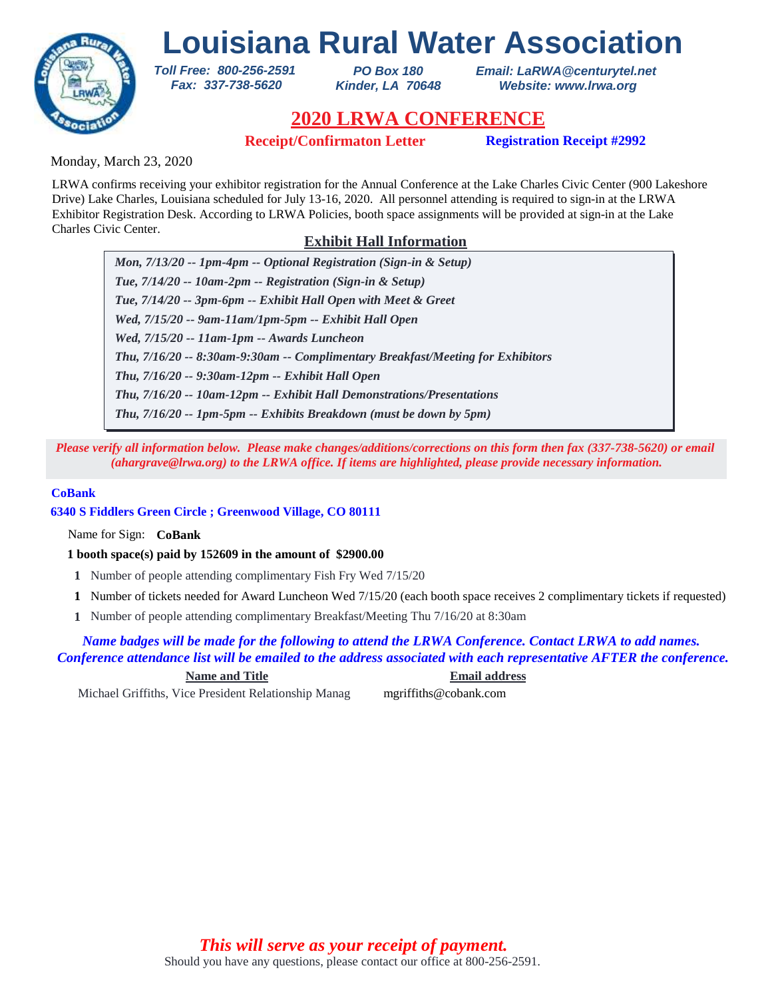

*PO Box 180 Kinder, LA 70648* *Email: LaRWA@centurytel.net Website: www.lrwa.org*

# **2020 LRWA CONFERENCE**

**Receipt/Confirmaton Letter Registration Receipt #2992**

Monday, March 23, 2020

LRWA confirms receiving your exhibitor registration for the Annual Conference at the Lake Charles Civic Center (900 Lakeshore Drive) Lake Charles, Louisiana scheduled for July 13-16, 2020. All personnel attending is required to sign-in at the LRWA Exhibitor Registration Desk. According to LRWA Policies, booth space assignments will be provided at sign-in at the Lake Charles Civic Center.

# **Exhibit Hall Information**

*Mon, 7/13/20 -- 1pm-4pm -- Optional Registration (Sign-in & Setup) Tue, 7/14/20 -- 10am-2pm -- Registration (Sign-in & Setup) Tue, 7/14/20 -- 3pm-6pm -- Exhibit Hall Open with Meet & Greet Wed, 7/15/20 -- 9am-11am/1pm-5pm -- Exhibit Hall Open Wed, 7/15/20 -- 11am-1pm -- Awards Luncheon Thu, 7/16/20 -- 9:30am-12pm -- Exhibit Hall Open Thu, 7/16/20 -- 8:30am-9:30am -- Complimentary Breakfast/Meeting for Exhibitors Thu, 7/16/20 -- 10am-12pm -- Exhibit Hall Demonstrations/Presentations Thu, 7/16/20 -- 1pm-5pm -- Exhibits Breakdown (must be down by 5pm)*

*Please verify all information below. Please make changes/additions/corrections on this form then fax (337-738-5620) or email (ahargrave@lrwa.org) to the LRWA office. If items are highlighted, please provide necessary information.*

### **CoBank**

**6340 S Fiddlers Green Circle ; Greenwood Village, CO 80111**

*Toll Free: 800-256-2591 Fax: 337-738-5620*

Name for Sign: **CoBank**

**1 booth space(s) paid by 152609 in the amount of \$2900.00**

- **1** Number of people attending complimentary Fish Fry Wed 7/15/20
- Number of tickets needed for Award Luncheon Wed 7/15/20 (each booth space receives 2 complimentary tickets if requested) **1**
- Number of people attending complimentary Breakfast/Meeting Thu 7/16/20 at 8:30am **1**

## *Name badges will be made for the following to attend the LRWA Conference. Contact LRWA to add names. Conference attendance list will be emailed to the address associated with each representative AFTER the conference.*

**Name and Title Email address**

Michael Griffiths, Vice President Relationship Manag mgriffiths@cobank.com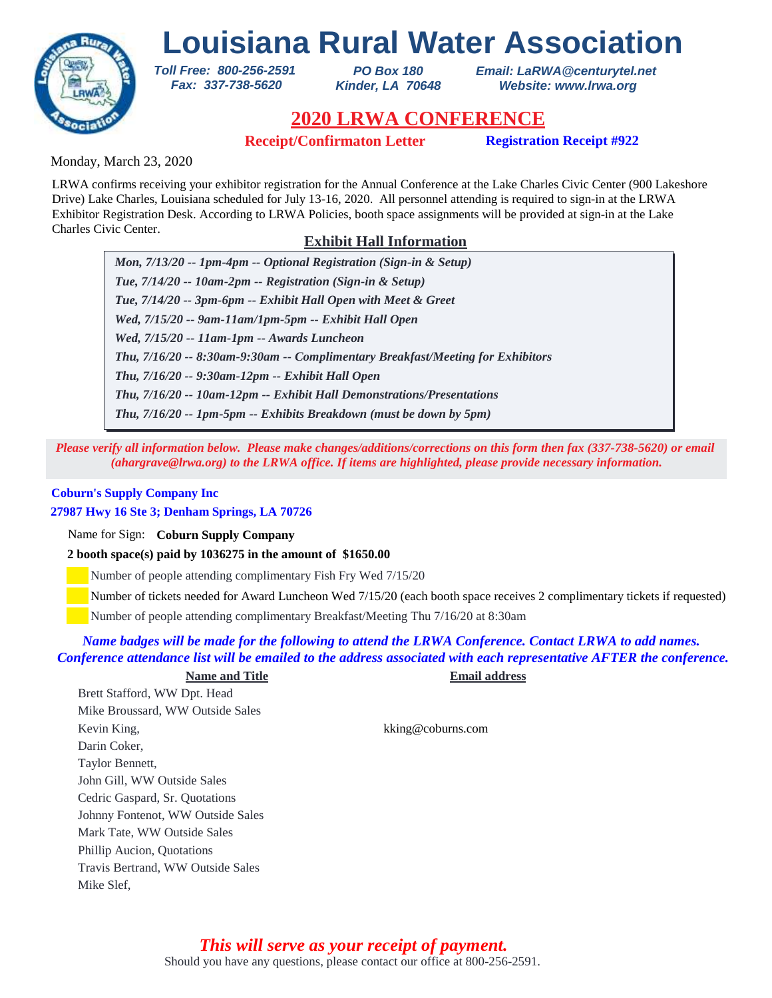

*PO Box 180 Kinder, LA 70648* *Email: LaRWA@centurytel.net Website: www.lrwa.org*

# **2020 LRWA CONFERENCE**

**Receipt/Confirmaton Letter Registration Receipt #922**

Monday, March 23, 2020

LRWA confirms receiving your exhibitor registration for the Annual Conference at the Lake Charles Civic Center (900 Lakeshore Drive) Lake Charles, Louisiana scheduled for July 13-16, 2020. All personnel attending is required to sign-in at the LRWA Exhibitor Registration Desk. According to LRWA Policies, booth space assignments will be provided at sign-in at the Lake Charles Civic Center.

# **Exhibit Hall Information**

*Mon, 7/13/20 -- 1pm-4pm -- Optional Registration (Sign-in & Setup) Tue, 7/14/20 -- 10am-2pm -- Registration (Sign-in & Setup) Tue, 7/14/20 -- 3pm-6pm -- Exhibit Hall Open with Meet & Greet Wed, 7/15/20 -- 9am-11am/1pm-5pm -- Exhibit Hall Open Wed, 7/15/20 -- 11am-1pm -- Awards Luncheon Thu, 7/16/20 -- 9:30am-12pm -- Exhibit Hall Open Thu, 7/16/20 -- 8:30am-9:30am -- Complimentary Breakfast/Meeting for Exhibitors Thu, 7/16/20 -- 10am-12pm -- Exhibit Hall Demonstrations/Presentations Thu, 7/16/20 -- 1pm-5pm -- Exhibits Breakdown (must be down by 5pm)*

*Please verify all information below. Please make changes/additions/corrections on this form then fax (337-738-5620) or email (ahargrave@lrwa.org) to the LRWA office. If items are highlighted, please provide necessary information.*

# **Coburn's Supply Company Inc**

## **27987 Hwy 16 Ste 3; Denham Springs, LA 70726**

Name for Sign: **Coburn Supply Company**

**2 booth space(s) paid by 1036275 in the amount of \$1650.00**

*Toll Free: 800-256-2591 Fax: 337-738-5620*

Number of people attending complimentary Fish Fry Wed 7/15/20

Number of tickets needed for Award Luncheon Wed 7/15/20 (each booth space receives 2 complimentary tickets if requested)

Number of people attending complimentary Breakfast/Meeting Thu 7/16/20 at 8:30am

## *Name badges will be made for the following to attend the LRWA Conference. Contact LRWA to add names. Conference attendance list will be emailed to the address associated with each representative AFTER the conference.*

**Name and Title Email address** Brett Stafford, WW Dpt. Head Mike Broussard, WW Outside Sales Kevin King, kking@coburns.com Darin Coker, Taylor Bennett, John Gill, WW Outside Sales Cedric Gaspard, Sr. Quotations Johnny Fontenot, WW Outside Sales Mark Tate, WW Outside Sales Phillip Aucion, Quotations Travis Bertrand, WW Outside Sales Mike Slef,

> Should you have any questions, please contact our office at 800-256-2591. *This will serve as your receipt of payment.*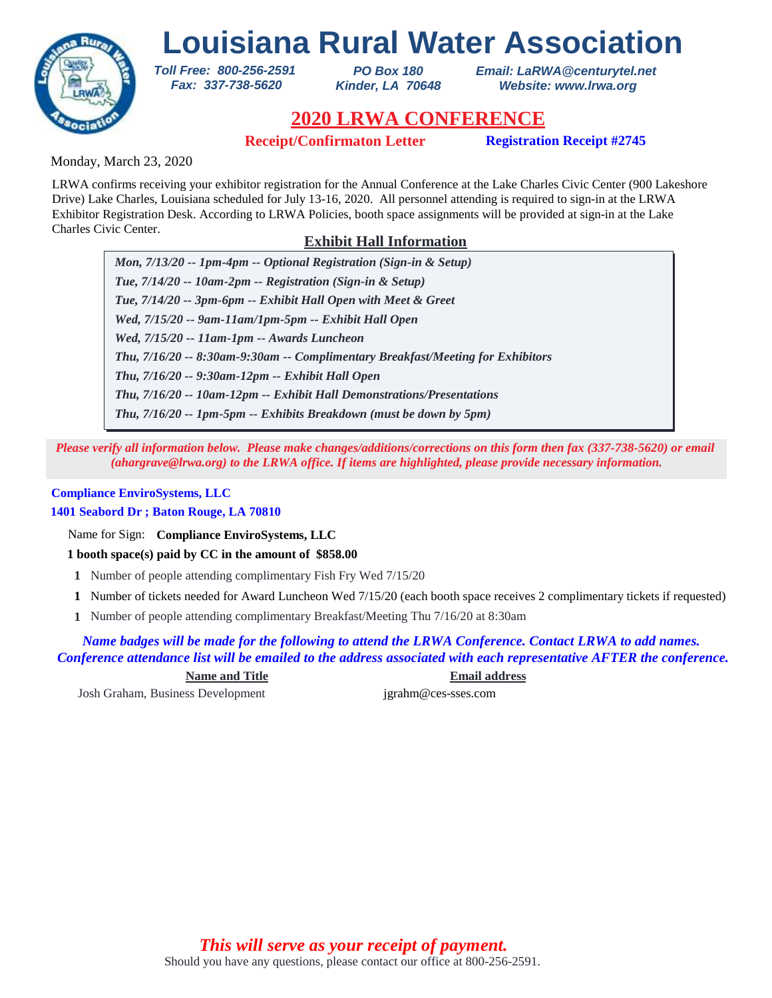

*PO Box 180 Kinder, LA 70648* *Email: LaRWA@centurytel.net Website: www.lrwa.org*

# **2020 LRWA CONFERENCE**

**Receipt/Confirmaton Letter Registration Receipt #2745**

Monday, March 23, 2020

LRWA confirms receiving your exhibitor registration for the Annual Conference at the Lake Charles Civic Center (900 Lakeshore Drive) Lake Charles, Louisiana scheduled for July 13-16, 2020. All personnel attending is required to sign-in at the LRWA Exhibitor Registration Desk. According to LRWA Policies, booth space assignments will be provided at sign-in at the Lake Charles Civic Center.

# **Exhibit Hall Information**

*Mon, 7/13/20 -- 1pm-4pm -- Optional Registration (Sign-in & Setup) Tue, 7/14/20 -- 10am-2pm -- Registration (Sign-in & Setup) Tue, 7/14/20 -- 3pm-6pm -- Exhibit Hall Open with Meet & Greet Wed, 7/15/20 -- 9am-11am/1pm-5pm -- Exhibit Hall Open Wed, 7/15/20 -- 11am-1pm -- Awards Luncheon Thu, 7/16/20 -- 9:30am-12pm -- Exhibit Hall Open Thu, 7/16/20 -- 8:30am-9:30am -- Complimentary Breakfast/Meeting for Exhibitors Thu, 7/16/20 -- 10am-12pm -- Exhibit Hall Demonstrations/Presentations Thu, 7/16/20 -- 1pm-5pm -- Exhibits Breakdown (must be down by 5pm)*

*Please verify all information below. Please make changes/additions/corrections on this form then fax (337-738-5620) or email (ahargrave@lrwa.org) to the LRWA office. If items are highlighted, please provide necessary information.*

## **Compliance EnviroSystems, LLC**

**1401 Seabord Dr ; Baton Rouge, LA 70810**

Name for Sign: **Compliance EnviroSystems, LLC**

**1 booth space(s) paid by CC in the amount of \$858.00**

*Toll Free: 800-256-2591 Fax: 337-738-5620*

- **1** Number of people attending complimentary Fish Fry Wed 7/15/20
- Number of tickets needed for Award Luncheon Wed 7/15/20 (each booth space receives 2 complimentary tickets if requested) **1**
- Number of people attending complimentary Breakfast/Meeting Thu 7/16/20 at 8:30am **1**

*Name badges will be made for the following to attend the LRWA Conference. Contact LRWA to add names. Conference attendance list will be emailed to the address associated with each representative AFTER the conference.*

**Name and Title Email address**

Josh Graham, Business Development jgrahm@ces-sses.com

Should you have any questions, please contact our office at 800-256-2591. *This will serve as your receipt of payment.*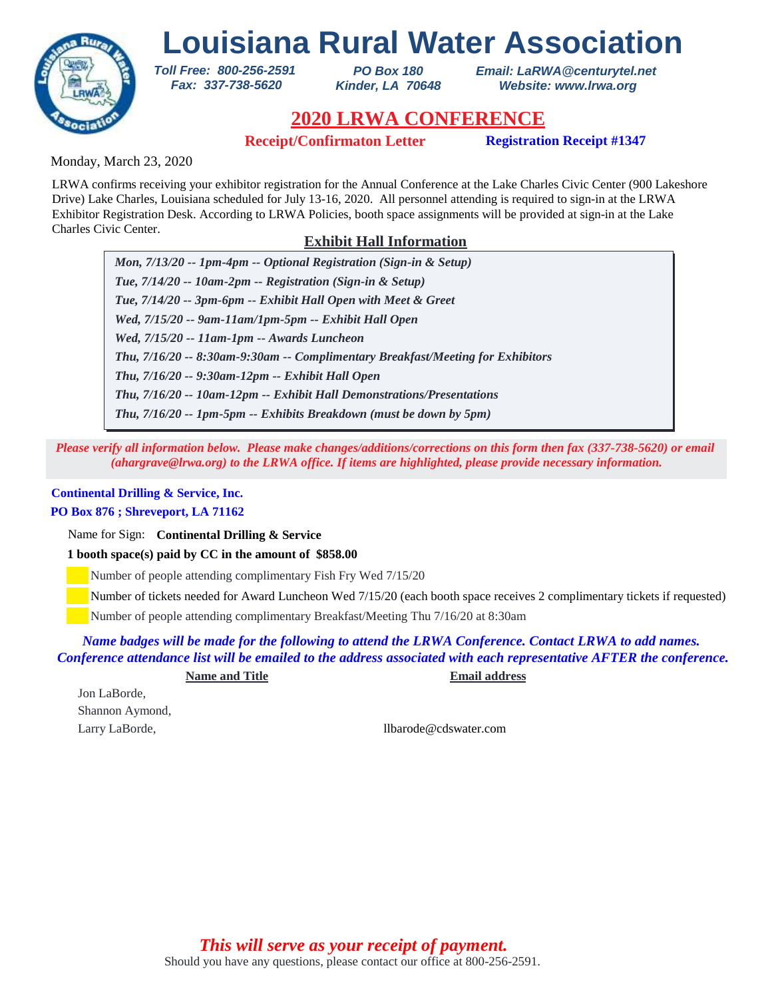

*PO Box 180 Kinder, LA 70648* *Email: LaRWA@centurytel.net Website: www.lrwa.org*

# **2020 LRWA CONFERENCE**

**Receipt/Confirmaton Letter Registration Receipt #1347**

Monday, March 23, 2020

LRWA confirms receiving your exhibitor registration for the Annual Conference at the Lake Charles Civic Center (900 Lakeshore Drive) Lake Charles, Louisiana scheduled for July 13-16, 2020. All personnel attending is required to sign-in at the LRWA Exhibitor Registration Desk. According to LRWA Policies, booth space assignments will be provided at sign-in at the Lake Charles Civic Center.

# **Exhibit Hall Information**

*Mon, 7/13/20 -- 1pm-4pm -- Optional Registration (Sign-in & Setup) Tue, 7/14/20 -- 10am-2pm -- Registration (Sign-in & Setup) Tue, 7/14/20 -- 3pm-6pm -- Exhibit Hall Open with Meet & Greet Wed, 7/15/20 -- 9am-11am/1pm-5pm -- Exhibit Hall Open Wed, 7/15/20 -- 11am-1pm -- Awards Luncheon Thu, 7/16/20 -- 9:30am-12pm -- Exhibit Hall Open Thu, 7/16/20 -- 8:30am-9:30am -- Complimentary Breakfast/Meeting for Exhibitors Thu, 7/16/20 -- 10am-12pm -- Exhibit Hall Demonstrations/Presentations Thu, 7/16/20 -- 1pm-5pm -- Exhibits Breakdown (must be down by 5pm)*

*Please verify all information below. Please make changes/additions/corrections on this form then fax (337-738-5620) or email (ahargrave@lrwa.org) to the LRWA office. If items are highlighted, please provide necessary information.*

## **Continental Drilling & Service, Inc.**

## **PO Box 876 ; Shreveport, LA 71162**

Name for Sign: **Continental Drilling & Service**

**1 booth space(s) paid by CC in the amount of \$858.00**

*Toll Free: 800-256-2591 Fax: 337-738-5620*

Number of people attending complimentary Fish Fry Wed 7/15/20

Number of tickets needed for Award Luncheon Wed 7/15/20 (each booth space receives 2 complimentary tickets if requested)

Number of people attending complimentary Breakfast/Meeting Thu 7/16/20 at 8:30am

*Name badges will be made for the following to attend the LRWA Conference. Contact LRWA to add names. Conference attendance list will be emailed to the address associated with each representative AFTER the conference.*

**Name and Title Email address**

Jon LaBorde, Shannon Aymond,

Larry LaBorde, and the community of the latest state of laborde and the latest state of laborde.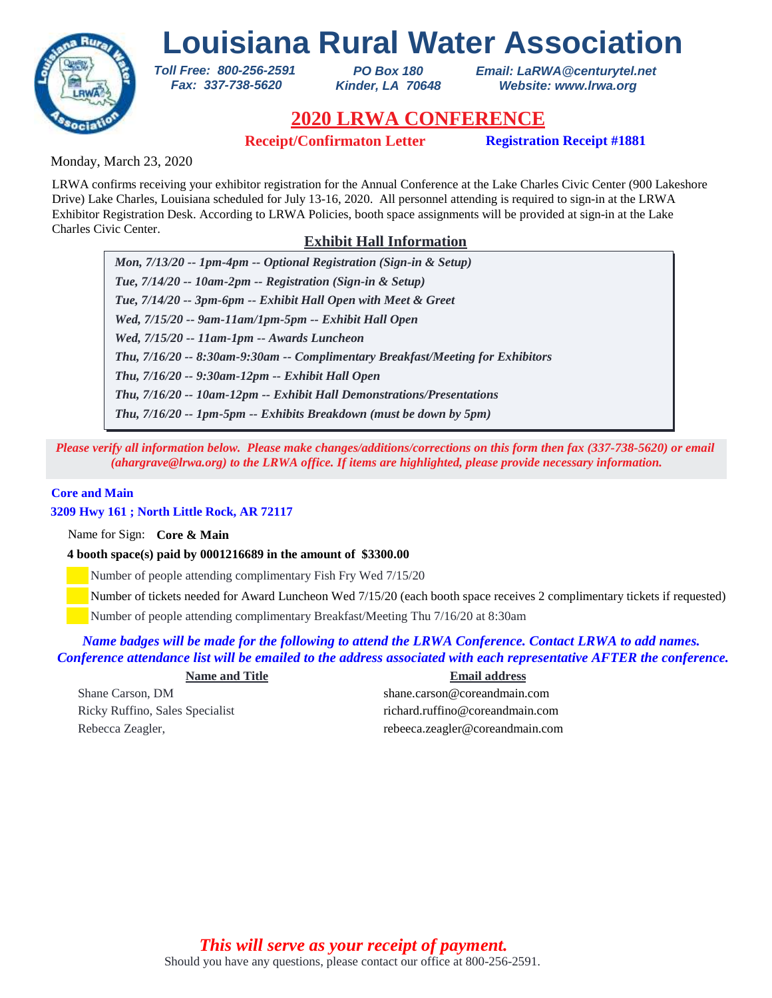

*PO Box 180 Kinder, LA 70648* *Email: LaRWA@centurytel.net Website: www.lrwa.org*

# **2020 LRWA CONFERENCE**

**Receipt/Confirmaton Letter Registration Receipt #1881** 

Monday, March 23, 2020

LRWA confirms receiving your exhibitor registration for the Annual Conference at the Lake Charles Civic Center (900 Lakeshore Drive) Lake Charles, Louisiana scheduled for July 13-16, 2020. All personnel attending is required to sign-in at the LRWA Exhibitor Registration Desk. According to LRWA Policies, booth space assignments will be provided at sign-in at the Lake Charles Civic Center.

# **Exhibit Hall Information**

*Mon, 7/13/20 -- 1pm-4pm -- Optional Registration (Sign-in & Setup) Tue, 7/14/20 -- 10am-2pm -- Registration (Sign-in & Setup) Tue, 7/14/20 -- 3pm-6pm -- Exhibit Hall Open with Meet & Greet Wed, 7/15/20 -- 9am-11am/1pm-5pm -- Exhibit Hall Open Wed, 7/15/20 -- 11am-1pm -- Awards Luncheon Thu, 7/16/20 -- 9:30am-12pm -- Exhibit Hall Open Thu, 7/16/20 -- 8:30am-9:30am -- Complimentary Breakfast/Meeting for Exhibitors Thu, 7/16/20 -- 10am-12pm -- Exhibit Hall Demonstrations/Presentations Thu, 7/16/20 -- 1pm-5pm -- Exhibits Breakdown (must be down by 5pm)*

*Please verify all information below. Please make changes/additions/corrections on this form then fax (337-738-5620) or email (ahargrave@lrwa.org) to the LRWA office. If items are highlighted, please provide necessary information.*

### **Core and Main**

## **3209 Hwy 161 ; North Little Rock, AR 72117**

Name for Sign: **Core & Main**

**4 booth space(s) paid by 0001216689 in the amount of \$3300.00**

*Toll Free: 800-256-2591 Fax: 337-738-5620*

Number of people attending complimentary Fish Fry Wed 7/15/20

Number of tickets needed for Award Luncheon Wed 7/15/20 (each booth space receives 2 complimentary tickets if requested)

Number of people attending complimentary Breakfast/Meeting Thu 7/16/20 at 8:30am

## *Name badges will be made for the following to attend the LRWA Conference. Contact LRWA to add names. Conference attendance list will be emailed to the address associated with each representative AFTER the conference.*

**Name and Title Email address**

Shane Carson, DM shane.carson@coreandmain.com Ricky Ruffino, Sales Specialist richard.ruffino@coreandmain.com Rebecca Zeagler, The Rebeca.zeagler@coreandmain.com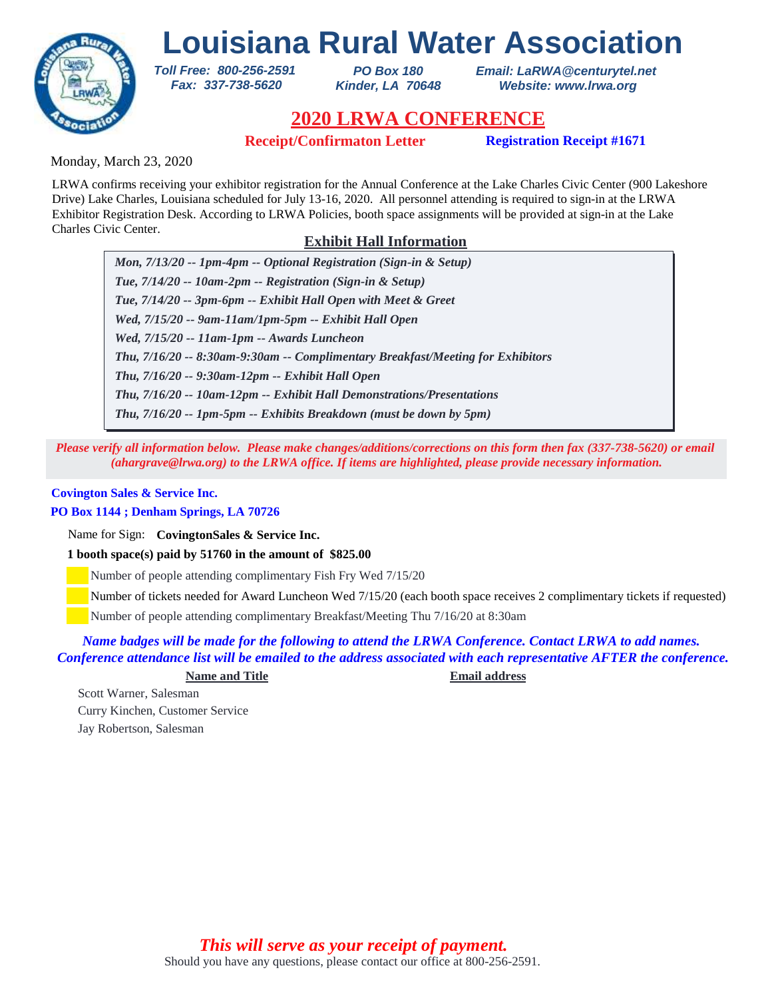

*PO Box 180 Kinder, LA 70648* *Email: LaRWA@centurytel.net Website: www.lrwa.org*

# **2020 LRWA CONFERENCE**

**Receipt/Confirmaton Letter Registration Receipt #1671** 

Monday, March 23, 2020

LRWA confirms receiving your exhibitor registration for the Annual Conference at the Lake Charles Civic Center (900 Lakeshore Drive) Lake Charles, Louisiana scheduled for July 13-16, 2020. All personnel attending is required to sign-in at the LRWA Exhibitor Registration Desk. According to LRWA Policies, booth space assignments will be provided at sign-in at the Lake Charles Civic Center.

# **Exhibit Hall Information**

*Mon, 7/13/20 -- 1pm-4pm -- Optional Registration (Sign-in & Setup) Tue, 7/14/20 -- 10am-2pm -- Registration (Sign-in & Setup) Tue, 7/14/20 -- 3pm-6pm -- Exhibit Hall Open with Meet & Greet Wed, 7/15/20 -- 9am-11am/1pm-5pm -- Exhibit Hall Open Wed, 7/15/20 -- 11am-1pm -- Awards Luncheon Thu, 7/16/20 -- 9:30am-12pm -- Exhibit Hall Open Thu, 7/16/20 -- 8:30am-9:30am -- Complimentary Breakfast/Meeting for Exhibitors Thu, 7/16/20 -- 10am-12pm -- Exhibit Hall Demonstrations/Presentations Thu, 7/16/20 -- 1pm-5pm -- Exhibits Breakdown (must be down by 5pm)*

*Please verify all information below. Please make changes/additions/corrections on this form then fax (337-738-5620) or email (ahargrave@lrwa.org) to the LRWA office. If items are highlighted, please provide necessary information.*

## **Covington Sales & Service Inc.**

## **PO Box 1144 ; Denham Springs, LA 70726**

Name for Sign: **CovingtonSales & Service Inc.**

**1 booth space(s) paid by 51760 in the amount of \$825.00**

*Toll Free: 800-256-2591 Fax: 337-738-5620*

Number of people attending complimentary Fish Fry Wed 7/15/20

Number of tickets needed for Award Luncheon Wed 7/15/20 (each booth space receives 2 complimentary tickets if requested)

Number of people attending complimentary Breakfast/Meeting Thu 7/16/20 at 8:30am

## *Name badges will be made for the following to attend the LRWA Conference. Contact LRWA to add names. Conference attendance list will be emailed to the address associated with each representative AFTER the conference.*

**Name and Title Email address**

Scott Warner, Salesman Curry Kinchen, Customer Service Jay Robertson, Salesman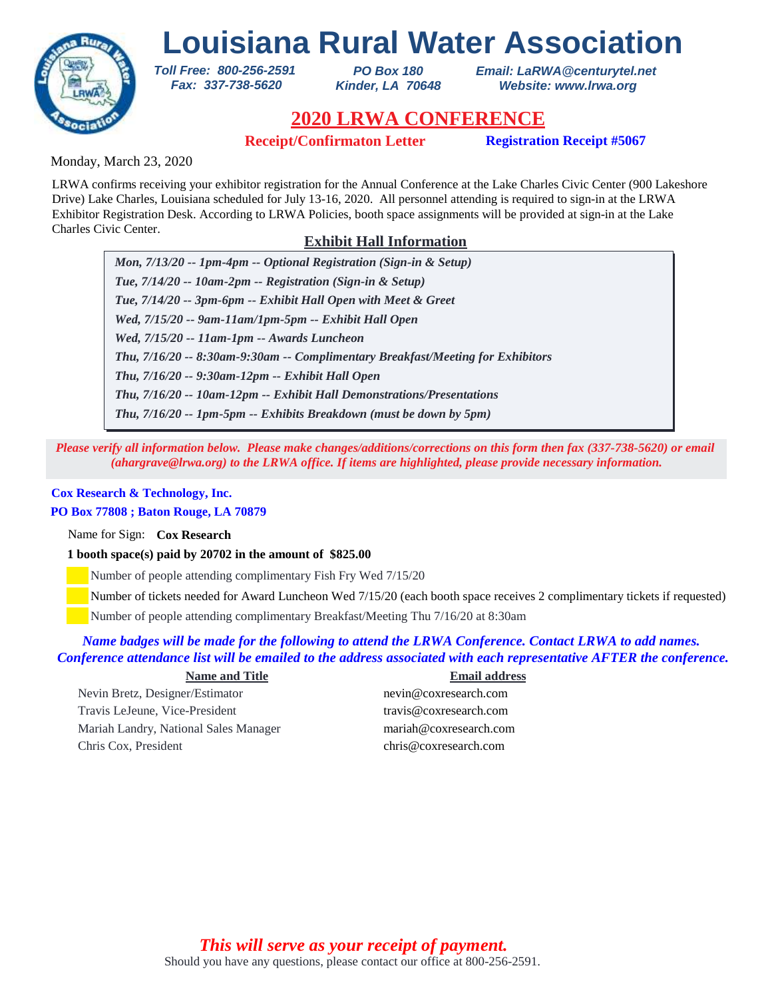

*PO Box 180 Kinder, LA 70648* *Email: LaRWA@centurytel.net Website: www.lrwa.org*

# **2020 LRWA CONFERENCE**

**Receipt/Confirmaton Letter Registration Receipt #5067** 

Monday, March 23, 2020

LRWA confirms receiving your exhibitor registration for the Annual Conference at the Lake Charles Civic Center (900 Lakeshore Drive) Lake Charles, Louisiana scheduled for July 13-16, 2020. All personnel attending is required to sign-in at the LRWA Exhibitor Registration Desk. According to LRWA Policies, booth space assignments will be provided at sign-in at the Lake Charles Civic Center.

# **Exhibit Hall Information**

*Mon, 7/13/20 -- 1pm-4pm -- Optional Registration (Sign-in & Setup) Tue, 7/14/20 -- 10am-2pm -- Registration (Sign-in & Setup) Tue, 7/14/20 -- 3pm-6pm -- Exhibit Hall Open with Meet & Greet Wed, 7/15/20 -- 9am-11am/1pm-5pm -- Exhibit Hall Open Wed, 7/15/20 -- 11am-1pm -- Awards Luncheon Thu, 7/16/20 -- 9:30am-12pm -- Exhibit Hall Open Thu, 7/16/20 -- 8:30am-9:30am -- Complimentary Breakfast/Meeting for Exhibitors Thu, 7/16/20 -- 10am-12pm -- Exhibit Hall Demonstrations/Presentations Thu, 7/16/20 -- 1pm-5pm -- Exhibits Breakdown (must be down by 5pm)*

*Please verify all information below. Please make changes/additions/corrections on this form then fax (337-738-5620) or email (ahargrave@lrwa.org) to the LRWA office. If items are highlighted, please provide necessary information.*

## **Cox Research & Technology, Inc.**

## **PO Box 77808 ; Baton Rouge, LA 70879**

Name for Sign: **Cox Research**

## **1 booth space(s) paid by 20702 in the amount of \$825.00**

*Toll Free: 800-256-2591 Fax: 337-738-5620*

Number of people attending complimentary Fish Fry Wed 7/15/20

Number of tickets needed for Award Luncheon Wed 7/15/20 (each booth space receives 2 complimentary tickets if requested)

Number of people attending complimentary Breakfast/Meeting Thu 7/16/20 at 8:30am

## *Name badges will be made for the following to attend the LRWA Conference. Contact LRWA to add names. Conference attendance list will be emailed to the address associated with each representative AFTER the conference.*

### **Name and Title Email address**

Nevin Bretz, Designer/Estimator nevin@coxresearch.com Travis LeJeune, Vice-President travis@coxresearch.com Mariah Landry, National Sales Manager mariah@coxresearch.com Chris Cox, President chris@coxresearch.com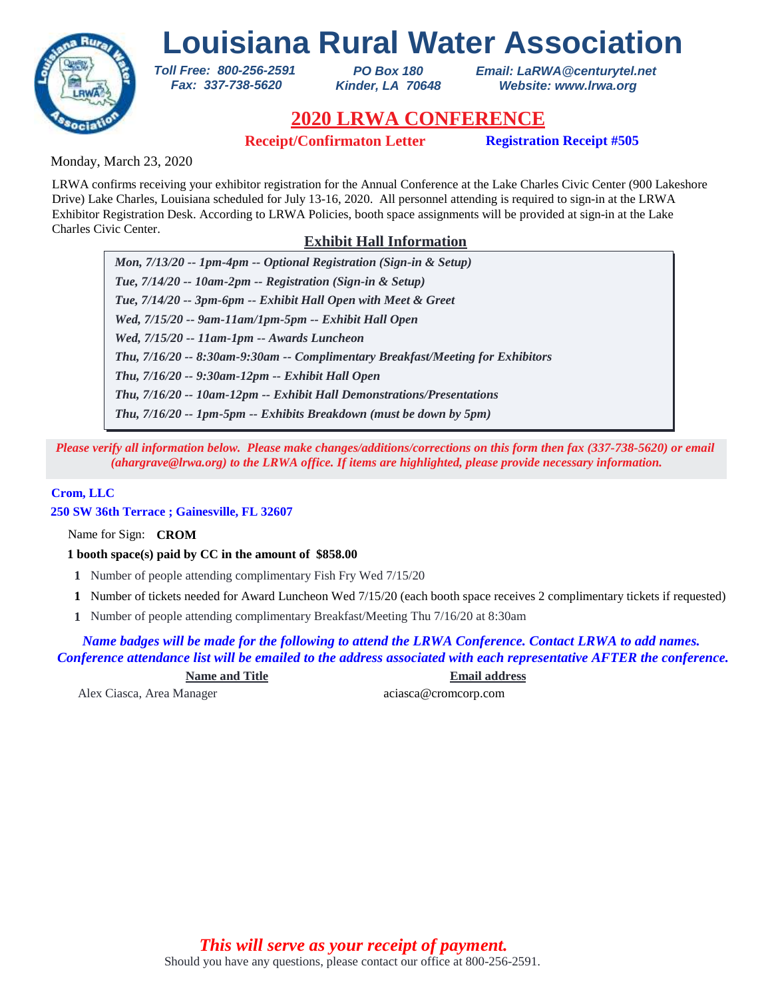

*PO Box 180 Kinder, LA 70648* *Email: LaRWA@centurytel.net Website: www.lrwa.org*

# **2020 LRWA CONFERENCE**

**Receipt/Confirmaton Letter Registration Receipt #505**

Monday, March 23, 2020

LRWA confirms receiving your exhibitor registration for the Annual Conference at the Lake Charles Civic Center (900 Lakeshore Drive) Lake Charles, Louisiana scheduled for July 13-16, 2020. All personnel attending is required to sign-in at the LRWA Exhibitor Registration Desk. According to LRWA Policies, booth space assignments will be provided at sign-in at the Lake Charles Civic Center.

# **Exhibit Hall Information**

*Mon, 7/13/20 -- 1pm-4pm -- Optional Registration (Sign-in & Setup) Tue, 7/14/20 -- 10am-2pm -- Registration (Sign-in & Setup) Tue, 7/14/20 -- 3pm-6pm -- Exhibit Hall Open with Meet & Greet Wed, 7/15/20 -- 9am-11am/1pm-5pm -- Exhibit Hall Open Wed, 7/15/20 -- 11am-1pm -- Awards Luncheon Thu, 7/16/20 -- 9:30am-12pm -- Exhibit Hall Open Thu, 7/16/20 -- 8:30am-9:30am -- Complimentary Breakfast/Meeting for Exhibitors Thu, 7/16/20 -- 10am-12pm -- Exhibit Hall Demonstrations/Presentations Thu, 7/16/20 -- 1pm-5pm -- Exhibits Breakdown (must be down by 5pm)*

*Please verify all information below. Please make changes/additions/corrections on this form then fax (337-738-5620) or email (ahargrave@lrwa.org) to the LRWA office. If items are highlighted, please provide necessary information.*

## **Crom, LLC**

**250 SW 36th Terrace ; Gainesville, FL 32607**

Name for Sign: **CROM**

**1 booth space(s) paid by CC in the amount of \$858.00**

*Toll Free: 800-256-2591 Fax: 337-738-5620*

- **1** Number of people attending complimentary Fish Fry Wed 7/15/20
- Number of tickets needed for Award Luncheon Wed 7/15/20 (each booth space receives 2 complimentary tickets if requested) **1**
- Number of people attending complimentary Breakfast/Meeting Thu 7/16/20 at 8:30am **1**

*Name badges will be made for the following to attend the LRWA Conference. Contact LRWA to add names. Conference attendance list will be emailed to the address associated with each representative AFTER the conference.*

**Name and Title Email address**

Alex Ciasca, Area Manager aciasca@cromcorp.com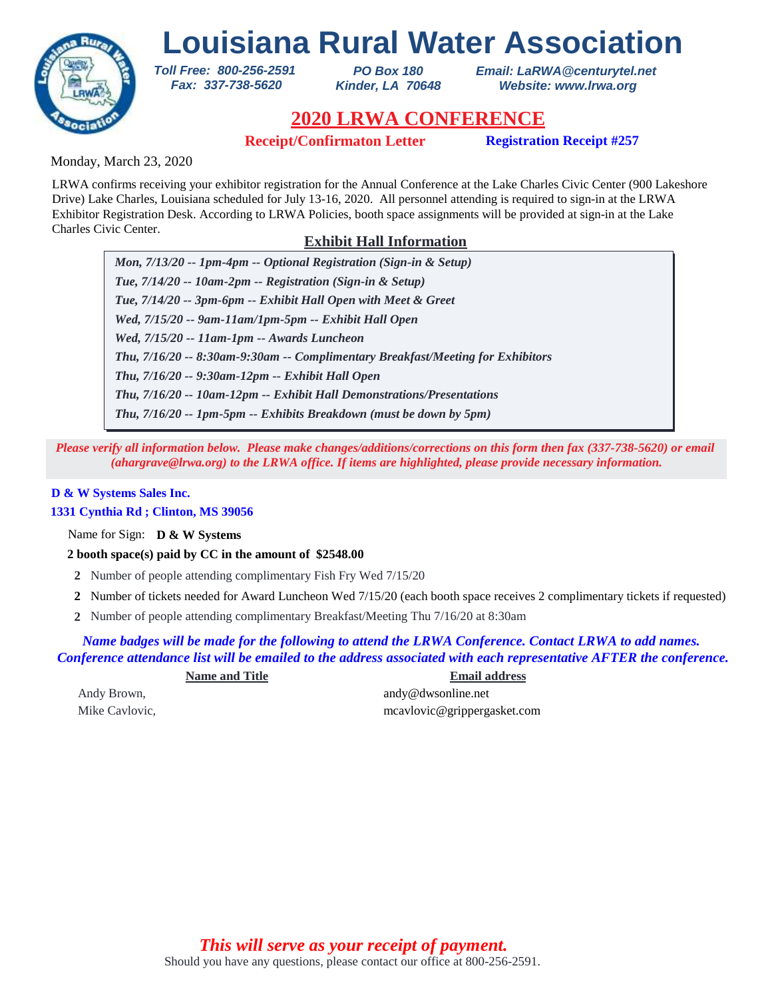

*PO Box 180 Kinder, LA 70648* *Email: LaRWA@centurytel.net Website: www.lrwa.org*

# **2020 LRWA CONFERENCE**

**Receipt/Confirmaton Letter Registration Receipt #257**

Monday, March 23, 2020

LRWA confirms receiving your exhibitor registration for the Annual Conference at the Lake Charles Civic Center (900 Lakeshore Drive) Lake Charles, Louisiana scheduled for July 13-16, 2020. All personnel attending is required to sign-in at the LRWA Exhibitor Registration Desk. According to LRWA Policies, booth space assignments will be provided at sign-in at the Lake Charles Civic Center.

# **Exhibit Hall Information**

*Mon, 7/13/20 -- 1pm-4pm -- Optional Registration (Sign-in & Setup) Tue, 7/14/20 -- 10am-2pm -- Registration (Sign-in & Setup) Tue, 7/14/20 -- 3pm-6pm -- Exhibit Hall Open with Meet & Greet Wed, 7/15/20 -- 9am-11am/1pm-5pm -- Exhibit Hall Open Wed, 7/15/20 -- 11am-1pm -- Awards Luncheon Thu, 7/16/20 -- 9:30am-12pm -- Exhibit Hall Open Thu, 7/16/20 -- 8:30am-9:30am -- Complimentary Breakfast/Meeting for Exhibitors Thu, 7/16/20 -- 10am-12pm -- Exhibit Hall Demonstrations/Presentations Thu, 7/16/20 -- 1pm-5pm -- Exhibits Breakdown (must be down by 5pm)*

*Please verify all information below. Please make changes/additions/corrections on this form then fax (337-738-5620) or email (ahargrave@lrwa.org) to the LRWA office. If items are highlighted, please provide necessary information.*

## **D & W Systems Sales Inc.**

## **1331 Cynthia Rd ; Clinton, MS 39056**

Name for Sign: **D & W Systems**

## **2 booth space(s) paid by CC in the amount of \$2548.00**

*Toll Free: 800-256-2591 Fax: 337-738-5620*

- **2** Number of people attending complimentary Fish Fry Wed 7/15/20
- Number of tickets needed for Award Luncheon Wed 7/15/20 (each booth space receives 2 complimentary tickets if requested) **2**
- Number of people attending complimentary Breakfast/Meeting Thu 7/16/20 at 8:30am **2**

*Name badges will be made for the following to attend the LRWA Conference. Contact LRWA to add names. Conference attendance list will be emailed to the address associated with each representative AFTER the conference.*

| <b>Name and Title</b> | <b>Email address</b>        |
|-----------------------|-----------------------------|
| Andy Brown,           | andy@dwsonline.net          |
| Mike Cavlovic,        | mcavlovic@grippergasket.com |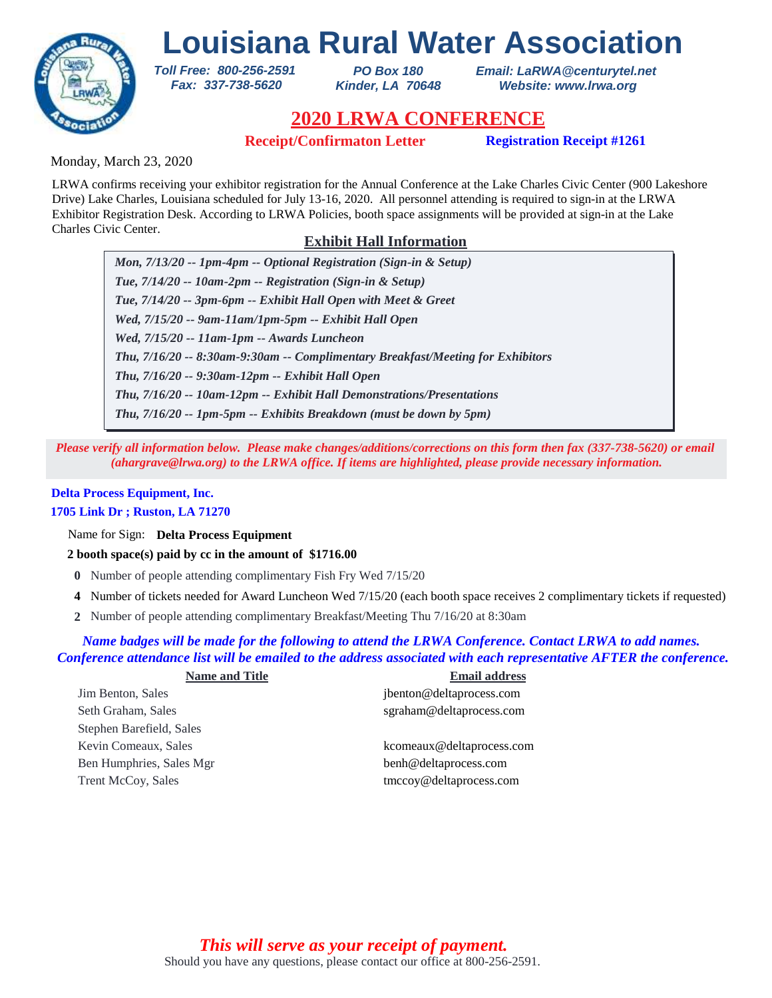

*PO Box 180 Kinder, LA 70648* *Email: LaRWA@centurytel.net Website: www.lrwa.org*

# **2020 LRWA CONFERENCE**

**Receipt/Confirmaton Letter Registration Receipt #1261**

Monday, March 23, 2020

LRWA confirms receiving your exhibitor registration for the Annual Conference at the Lake Charles Civic Center (900 Lakeshore Drive) Lake Charles, Louisiana scheduled for July 13-16, 2020. All personnel attending is required to sign-in at the LRWA Exhibitor Registration Desk. According to LRWA Policies, booth space assignments will be provided at sign-in at the Lake Charles Civic Center.

# **Exhibit Hall Information**

*Mon, 7/13/20 -- 1pm-4pm -- Optional Registration (Sign-in & Setup) Tue, 7/14/20 -- 10am-2pm -- Registration (Sign-in & Setup) Tue, 7/14/20 -- 3pm-6pm -- Exhibit Hall Open with Meet & Greet Wed, 7/15/20 -- 9am-11am/1pm-5pm -- Exhibit Hall Open Wed, 7/15/20 -- 11am-1pm -- Awards Luncheon Thu, 7/16/20 -- 9:30am-12pm -- Exhibit Hall Open Thu, 7/16/20 -- 8:30am-9:30am -- Complimentary Breakfast/Meeting for Exhibitors Thu, 7/16/20 -- 10am-12pm -- Exhibit Hall Demonstrations/Presentations Thu, 7/16/20 -- 1pm-5pm -- Exhibits Breakdown (must be down by 5pm)*

*Please verify all information below. Please make changes/additions/corrections on this form then fax (337-738-5620) or email (ahargrave@lrwa.org) to the LRWA office. If items are highlighted, please provide necessary information.*

## **Delta Process Equipment, Inc. 1705 Link Dr ; Ruston, LA 71270**

Name for Sign: **Delta Process Equipment**

**2 booth space(s) paid by cc in the amount of \$1716.00**

*Toll Free: 800-256-2591 Fax: 337-738-5620*

- **0** Number of people attending complimentary Fish Fry Wed 7/15/20
- Number of tickets needed for Award Luncheon Wed 7/15/20 (each booth space receives 2 complimentary tickets if requested) **4**
- Number of people attending complimentary Breakfast/Meeting Thu 7/16/20 at 8:30am **2**

## *Name badges will be made for the following to attend the LRWA Conference. Contact LRWA to add names. Conference attendance list will be emailed to the address associated with each representative AFTER the conference.*

| <b>Name and Title</b>     | <b>Email address</b>      |
|---------------------------|---------------------------|
| Jim Benton, Sales         | jbenton@deltaprocess.com  |
| Seth Graham, Sales        | sgraham@deltaprocess.com  |
| Stephen Barefield, Sales  |                           |
| Kevin Comeaux, Sales      | kcomeaux@deltaprocess.com |
| Ben Humphries, Sales Mgr  | benh@deltaprocess.com     |
| <b>Trent McCoy, Sales</b> | tmccoy@deltaprocess.com   |
|                           |                           |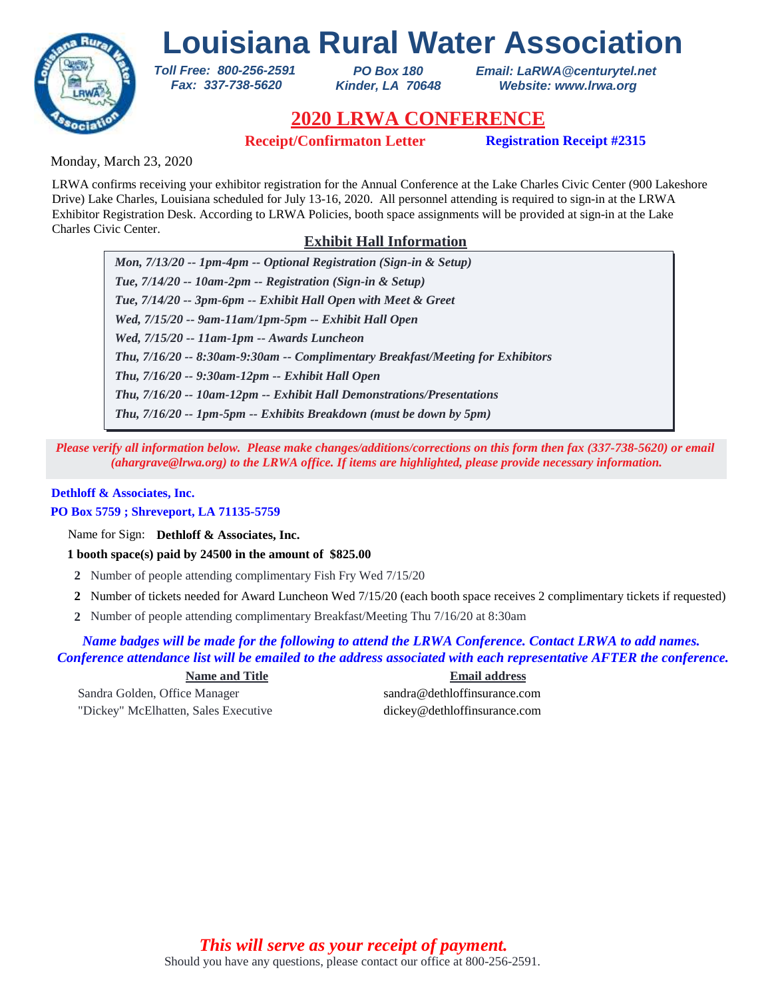

*PO Box 180 Kinder, LA 70648* *Email: LaRWA@centurytel.net Website: www.lrwa.org*

# **2020 LRWA CONFERENCE**

**Receipt/Confirmaton Letter Registration Receipt #2315**

Monday, March 23, 2020

LRWA confirms receiving your exhibitor registration for the Annual Conference at the Lake Charles Civic Center (900 Lakeshore Drive) Lake Charles, Louisiana scheduled for July 13-16, 2020. All personnel attending is required to sign-in at the LRWA Exhibitor Registration Desk. According to LRWA Policies, booth space assignments will be provided at sign-in at the Lake Charles Civic Center.

# **Exhibit Hall Information**

*Mon, 7/13/20 -- 1pm-4pm -- Optional Registration (Sign-in & Setup) Tue, 7/14/20 -- 10am-2pm -- Registration (Sign-in & Setup) Tue, 7/14/20 -- 3pm-6pm -- Exhibit Hall Open with Meet & Greet Wed, 7/15/20 -- 9am-11am/1pm-5pm -- Exhibit Hall Open Wed, 7/15/20 -- 11am-1pm -- Awards Luncheon Thu, 7/16/20 -- 9:30am-12pm -- Exhibit Hall Open Thu, 7/16/20 -- 8:30am-9:30am -- Complimentary Breakfast/Meeting for Exhibitors Thu, 7/16/20 -- 10am-12pm -- Exhibit Hall Demonstrations/Presentations Thu, 7/16/20 -- 1pm-5pm -- Exhibits Breakdown (must be down by 5pm)*

*Please verify all information below. Please make changes/additions/corrections on this form then fax (337-738-5620) or email (ahargrave@lrwa.org) to the LRWA office. If items are highlighted, please provide necessary information.*

## **Dethloff & Associates, Inc.**

## **PO Box 5759 ; Shreveport, LA 71135-5759**

Name for Sign: **Dethloff & Associates, Inc.**

**1 booth space(s) paid by 24500 in the amount of \$825.00**

*Toll Free: 800-256-2591 Fax: 337-738-5620*

- **2** Number of people attending complimentary Fish Fry Wed 7/15/20
- Number of tickets needed for Award Luncheon Wed 7/15/20 (each booth space receives 2 complimentary tickets if requested) **2**
- Number of people attending complimentary Breakfast/Meeting Thu 7/16/20 at 8:30am **2**

*Name badges will be made for the following to attend the LRWA Conference. Contact LRWA to add names. Conference attendance list will be emailed to the address associated with each representative AFTER the conference.*

Sandra Golden, Office Manager sandra@dethloffinsurance.com "Dickey" McElhatten, Sales Executive dickey@dethloffinsurance.com

**Name and Title Email address**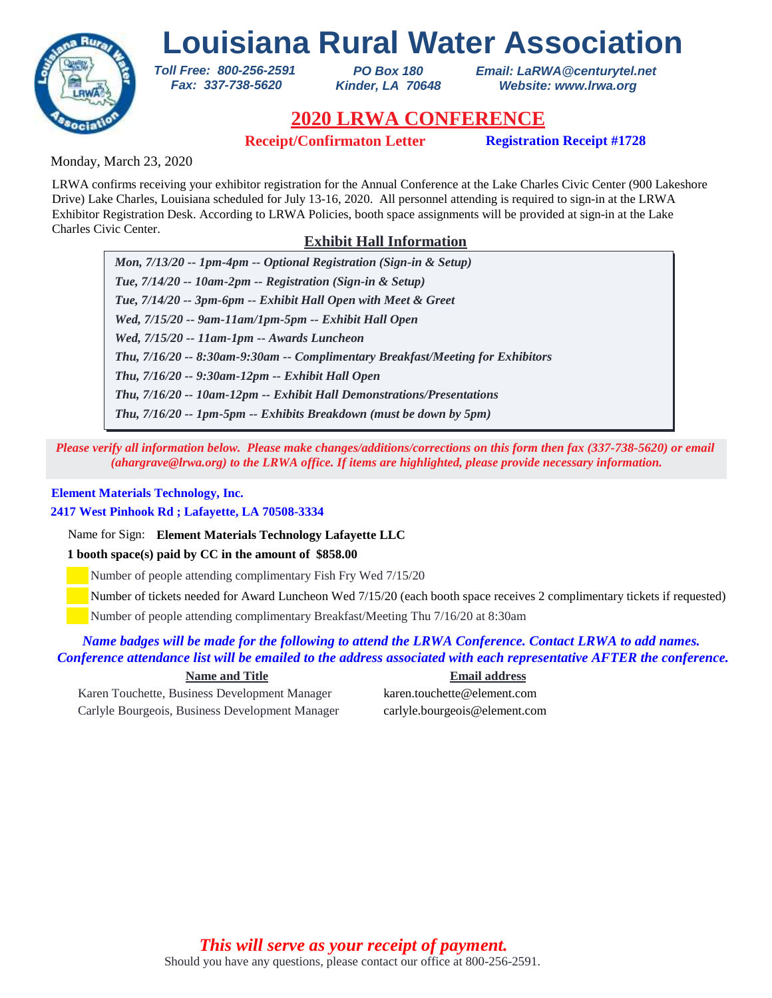

*PO Box 180 Kinder, LA 70648* *Email: LaRWA@centurytel.net Website: www.lrwa.org*

# **2020 LRWA CONFERENCE**

**Receipt/Confirmaton Letter Registration Receipt #1728**

Monday, March 23, 2020

LRWA confirms receiving your exhibitor registration for the Annual Conference at the Lake Charles Civic Center (900 Lakeshore Drive) Lake Charles, Louisiana scheduled for July 13-16, 2020. All personnel attending is required to sign-in at the LRWA Exhibitor Registration Desk. According to LRWA Policies, booth space assignments will be provided at sign-in at the Lake Charles Civic Center.

# **Exhibit Hall Information**

*Mon, 7/13/20 -- 1pm-4pm -- Optional Registration (Sign-in & Setup) Tue, 7/14/20 -- 10am-2pm -- Registration (Sign-in & Setup) Tue, 7/14/20 -- 3pm-6pm -- Exhibit Hall Open with Meet & Greet Wed, 7/15/20 -- 9am-11am/1pm-5pm -- Exhibit Hall Open Wed, 7/15/20 -- 11am-1pm -- Awards Luncheon Thu, 7/16/20 -- 9:30am-12pm -- Exhibit Hall Open Thu, 7/16/20 -- 8:30am-9:30am -- Complimentary Breakfast/Meeting for Exhibitors Thu, 7/16/20 -- 10am-12pm -- Exhibit Hall Demonstrations/Presentations Thu, 7/16/20 -- 1pm-5pm -- Exhibits Breakdown (must be down by 5pm)*

*Please verify all information below. Please make changes/additions/corrections on this form then fax (337-738-5620) or email (ahargrave@lrwa.org) to the LRWA office. If items are highlighted, please provide necessary information.*

## **Element Materials Technology, Inc.**

## **2417 West Pinhook Rd ; Lafayette, LA 70508-3334**

Name for Sign: **Element Materials Technology Lafayette LLC**

*Toll Free: 800-256-2591 Fax: 337-738-5620*

## **1 booth space(s) paid by CC in the amount of \$858.00**

Number of people attending complimentary Fish Fry Wed 7/15/20

Number of tickets needed for Award Luncheon Wed 7/15/20 (each booth space receives 2 complimentary tickets if requested)

Number of people attending complimentary Breakfast/Meeting Thu 7/16/20 at 8:30am

## *Name badges will be made for the following to attend the LRWA Conference. Contact LRWA to add names. Conference attendance list will be emailed to the address associated with each representative AFTER the conference.*

Karen Touchette, Business Development Manager karen.touchette@element.com Carlyle Bourgeois, Business Development Manager carlyle.bourgeois@element.com

**Name and Title Email address**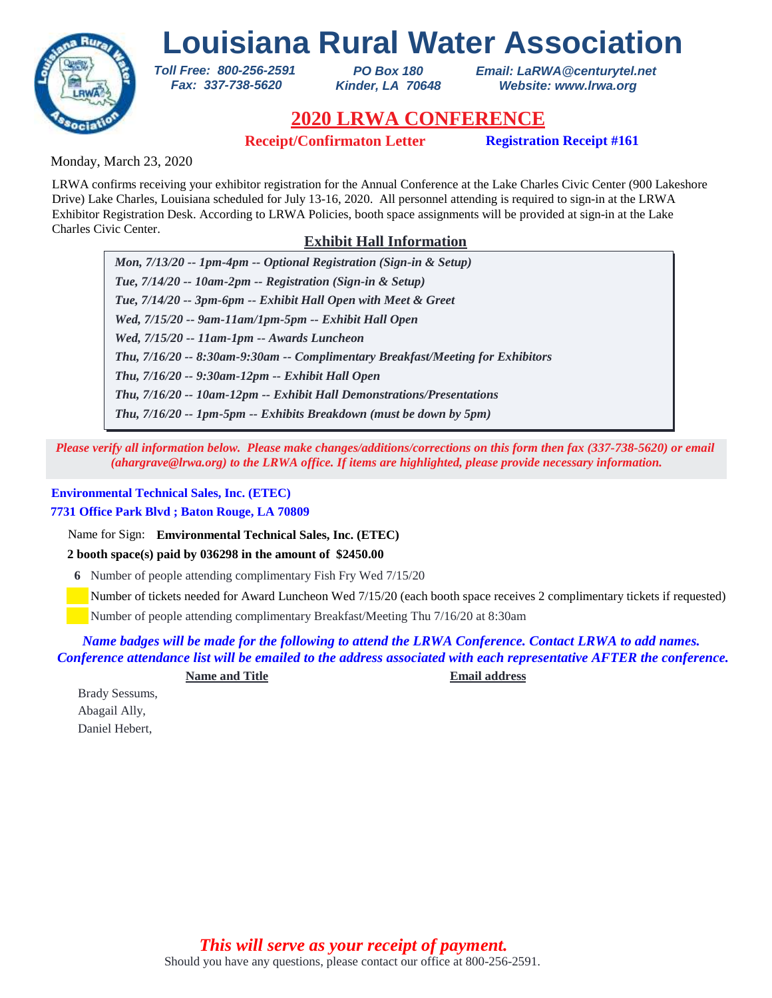

*PO Box 180 Kinder, LA 70648* *Email: LaRWA@centurytel.net Website: www.lrwa.org*

# **2020 LRWA CONFERENCE**

**Receipt/Confirmaton Letter Registration Receipt #161**

Monday, March 23, 2020

LRWA confirms receiving your exhibitor registration for the Annual Conference at the Lake Charles Civic Center (900 Lakeshore Drive) Lake Charles, Louisiana scheduled for July 13-16, 2020. All personnel attending is required to sign-in at the LRWA Exhibitor Registration Desk. According to LRWA Policies, booth space assignments will be provided at sign-in at the Lake Charles Civic Center.

# **Exhibit Hall Information**

*Mon, 7/13/20 -- 1pm-4pm -- Optional Registration (Sign-in & Setup) Tue, 7/14/20 -- 10am-2pm -- Registration (Sign-in & Setup) Tue, 7/14/20 -- 3pm-6pm -- Exhibit Hall Open with Meet & Greet Wed, 7/15/20 -- 9am-11am/1pm-5pm -- Exhibit Hall Open Wed, 7/15/20 -- 11am-1pm -- Awards Luncheon Thu, 7/16/20 -- 9:30am-12pm -- Exhibit Hall Open Thu, 7/16/20 -- 8:30am-9:30am -- Complimentary Breakfast/Meeting for Exhibitors Thu, 7/16/20 -- 10am-12pm -- Exhibit Hall Demonstrations/Presentations Thu, 7/16/20 -- 1pm-5pm -- Exhibits Breakdown (must be down by 5pm)*

*Please verify all information below. Please make changes/additions/corrections on this form then fax (337-738-5620) or email (ahargrave@lrwa.org) to the LRWA office. If items are highlighted, please provide necessary information.*

## **Environmental Technical Sales, Inc. (ETEC)**

**7731 Office Park Blvd ; Baton Rouge, LA 70809**

Name for Sign: **Emvironmental Technical Sales, Inc. (ETEC)**

**2 booth space(s) paid by 036298 in the amount of \$2450.00**

*Toll Free: 800-256-2591 Fax: 337-738-5620*

**6** Number of people attending complimentary Fish Fry Wed 7/15/20

Number of tickets needed for Award Luncheon Wed 7/15/20 (each booth space receives 2 complimentary tickets if requested)

Number of people attending complimentary Breakfast/Meeting Thu 7/16/20 at 8:30am

*Name badges will be made for the following to attend the LRWA Conference. Contact LRWA to add names. Conference attendance list will be emailed to the address associated with each representative AFTER the conference.*

**Name and Title Email address**

Brady Sessums, Abagail Ally, Daniel Hebert,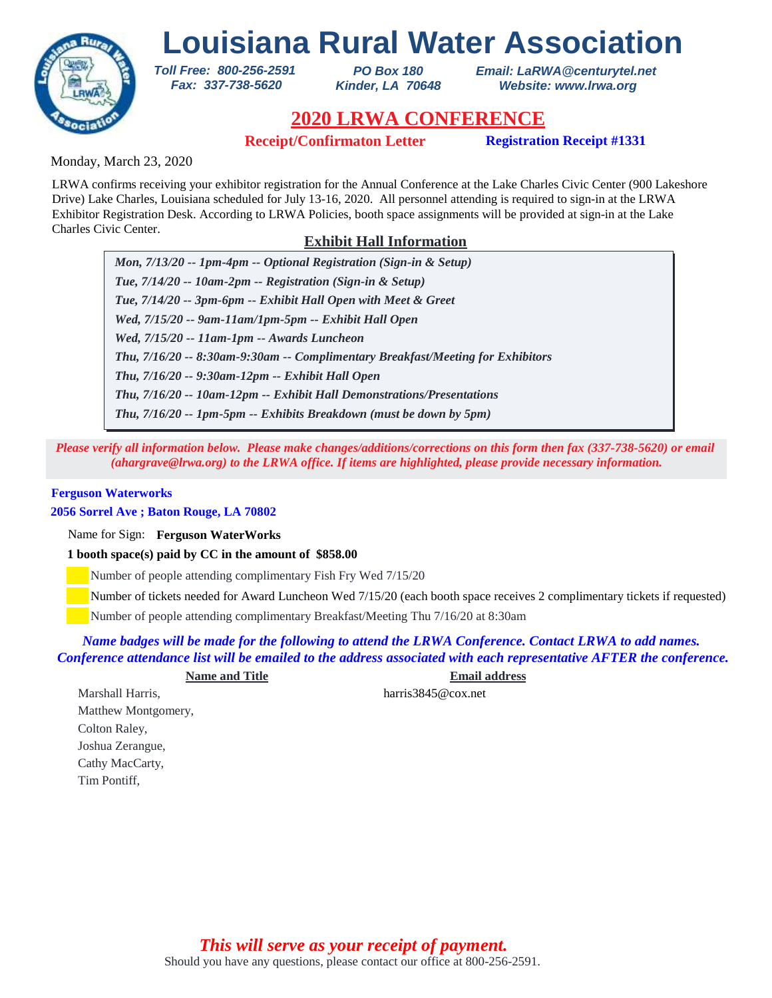# **Louisiana Rural Water Association** *Toll Free: 800-256-2591*



*PO Box 180 Kinder, LA 70648* *Email: LaRWA@centurytel.net Website: www.lrwa.org*

# **2020 LRWA CONFERENCE**

**Receipt/Confirmaton Letter Registration Receipt #1331**

Monday, March 23, 2020

LRWA confirms receiving your exhibitor registration for the Annual Conference at the Lake Charles Civic Center (900 Lakeshore Drive) Lake Charles, Louisiana scheduled for July 13-16, 2020. All personnel attending is required to sign-in at the LRWA Exhibitor Registration Desk. According to LRWA Policies, booth space assignments will be provided at sign-in at the Lake Charles Civic Center.

# **Exhibit Hall Information**

*Mon, 7/13/20 -- 1pm-4pm -- Optional Registration (Sign-in & Setup) Tue, 7/14/20 -- 10am-2pm -- Registration (Sign-in & Setup) Tue, 7/14/20 -- 3pm-6pm -- Exhibit Hall Open with Meet & Greet Wed, 7/15/20 -- 9am-11am/1pm-5pm -- Exhibit Hall Open Wed, 7/15/20 -- 11am-1pm -- Awards Luncheon Thu, 7/16/20 -- 9:30am-12pm -- Exhibit Hall Open Thu, 7/16/20 -- 8:30am-9:30am -- Complimentary Breakfast/Meeting for Exhibitors Thu, 7/16/20 -- 10am-12pm -- Exhibit Hall Demonstrations/Presentations Thu, 7/16/20 -- 1pm-5pm -- Exhibits Breakdown (must be down by 5pm)*

*Please verify all information below. Please make changes/additions/corrections on this form then fax (337-738-5620) or email (ahargrave@lrwa.org) to the LRWA office. If items are highlighted, please provide necessary information.*

### **Ferguson Waterworks**

**2056 Sorrel Ave ; Baton Rouge, LA 70802**

Name for Sign: **Ferguson WaterWorks**

**1 booth space(s) paid by CC in the amount of \$858.00**

 *Fax: 337-738-5620*

Number of people attending complimentary Fish Fry Wed 7/15/20

Number of tickets needed for Award Luncheon Wed 7/15/20 (each booth space receives 2 complimentary tickets if requested)

Number of people attending complimentary Breakfast/Meeting Thu 7/16/20 at 8:30am

*Name badges will be made for the following to attend the LRWA Conference. Contact LRWA to add names. Conference attendance list will be emailed to the address associated with each representative AFTER the conference.*

**Name and Title Email address**

Marshall Harris. https://www.marrisadel.com/harris3845@cox.net Matthew Montgomery, Colton Raley, Joshua Zerangue, Cathy MacCarty, Tim Pontiff,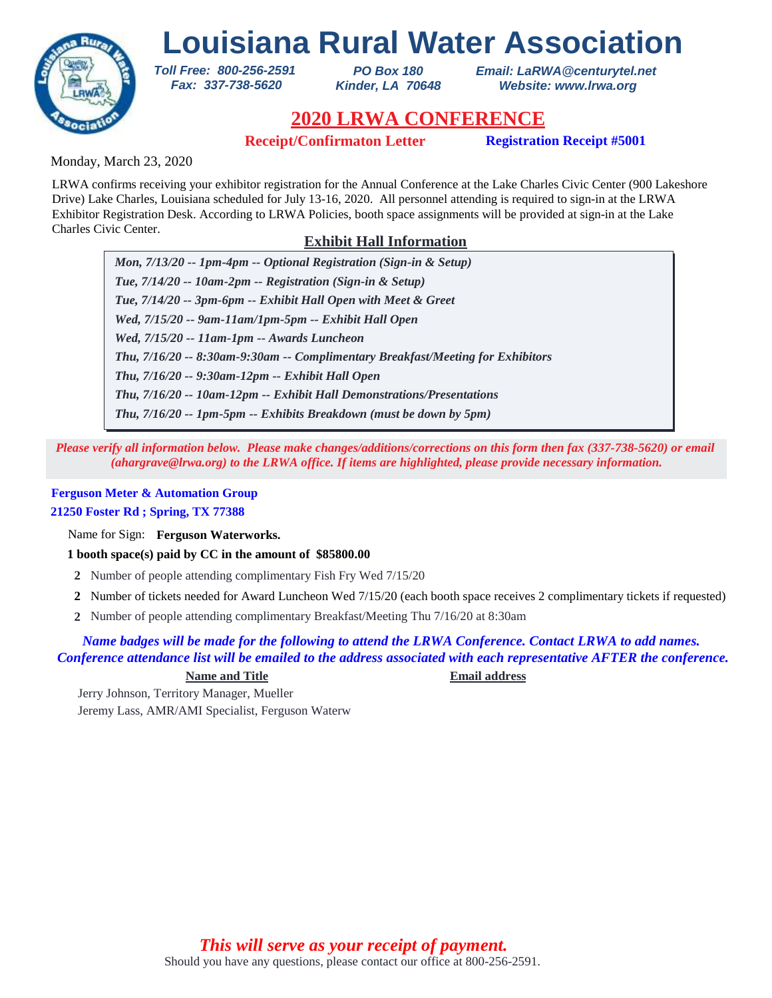

*PO Box 180 Kinder, LA 70648* *Email: LaRWA@centurytel.net Website: www.lrwa.org*

# **2020 LRWA CONFERENCE**

**Receipt/Confirmaton Letter Registration Receipt #5001** 

Monday, March 23, 2020

LRWA confirms receiving your exhibitor registration for the Annual Conference at the Lake Charles Civic Center (900 Lakeshore Drive) Lake Charles, Louisiana scheduled for July 13-16, 2020. All personnel attending is required to sign-in at the LRWA Exhibitor Registration Desk. According to LRWA Policies, booth space assignments will be provided at sign-in at the Lake Charles Civic Center.

# **Exhibit Hall Information**

*Mon, 7/13/20 -- 1pm-4pm -- Optional Registration (Sign-in & Setup) Tue, 7/14/20 -- 10am-2pm -- Registration (Sign-in & Setup) Tue, 7/14/20 -- 3pm-6pm -- Exhibit Hall Open with Meet & Greet Wed, 7/15/20 -- 9am-11am/1pm-5pm -- Exhibit Hall Open Wed, 7/15/20 -- 11am-1pm -- Awards Luncheon Thu, 7/16/20 -- 9:30am-12pm -- Exhibit Hall Open Thu, 7/16/20 -- 8:30am-9:30am -- Complimentary Breakfast/Meeting for Exhibitors Thu, 7/16/20 -- 10am-12pm -- Exhibit Hall Demonstrations/Presentations Thu, 7/16/20 -- 1pm-5pm -- Exhibits Breakdown (must be down by 5pm)*

*Please verify all information below. Please make changes/additions/corrections on this form then fax (337-738-5620) or email (ahargrave@lrwa.org) to the LRWA office. If items are highlighted, please provide necessary information.*

## **Ferguson Meter & Automation Group 21250 Foster Rd ; Spring, TX 77388**

Name for Sign: **Ferguson Waterworks.**

**1 booth space(s) paid by CC in the amount of \$85800.00**

*Toll Free: 800-256-2591 Fax: 337-738-5620*

- **2** Number of people attending complimentary Fish Fry Wed 7/15/20
- Number of tickets needed for Award Luncheon Wed 7/15/20 (each booth space receives 2 complimentary tickets if requested) **2**
- Number of people attending complimentary Breakfast/Meeting Thu 7/16/20 at 8:30am **2**

## *Name badges will be made for the following to attend the LRWA Conference. Contact LRWA to add names. Conference attendance list will be emailed to the address associated with each representative AFTER the conference.*

## **Name and Title Email address**

Jerry Johnson, Territory Manager, Mueller Jeremy Lass, AMR/AMI Specialist, Ferguson Waterw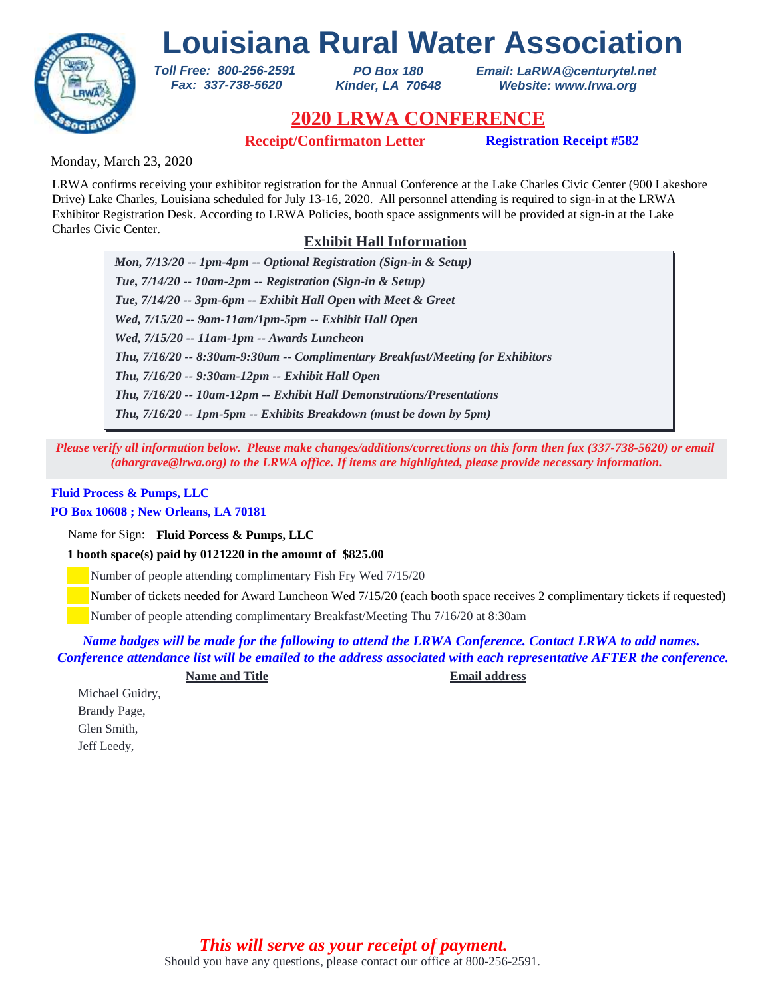

*PO Box 180 Kinder, LA 70648* *Email: LaRWA@centurytel.net Website: www.lrwa.org*

# **2020 LRWA CONFERENCE**

**Receipt/Confirmaton Letter Registration Receipt #582**

Monday, March 23, 2020

LRWA confirms receiving your exhibitor registration for the Annual Conference at the Lake Charles Civic Center (900 Lakeshore Drive) Lake Charles, Louisiana scheduled for July 13-16, 2020. All personnel attending is required to sign-in at the LRWA Exhibitor Registration Desk. According to LRWA Policies, booth space assignments will be provided at sign-in at the Lake Charles Civic Center.

# **Exhibit Hall Information**

*Mon, 7/13/20 -- 1pm-4pm -- Optional Registration (Sign-in & Setup) Tue, 7/14/20 -- 10am-2pm -- Registration (Sign-in & Setup) Tue, 7/14/20 -- 3pm-6pm -- Exhibit Hall Open with Meet & Greet Wed, 7/15/20 -- 9am-11am/1pm-5pm -- Exhibit Hall Open Wed, 7/15/20 -- 11am-1pm -- Awards Luncheon Thu, 7/16/20 -- 9:30am-12pm -- Exhibit Hall Open Thu, 7/16/20 -- 8:30am-9:30am -- Complimentary Breakfast/Meeting for Exhibitors Thu, 7/16/20 -- 10am-12pm -- Exhibit Hall Demonstrations/Presentations Thu, 7/16/20 -- 1pm-5pm -- Exhibits Breakdown (must be down by 5pm)*

*Please verify all information below. Please make changes/additions/corrections on this form then fax (337-738-5620) or email (ahargrave@lrwa.org) to the LRWA office. If items are highlighted, please provide necessary information.*

## **Fluid Process & Pumps, LLC**

## **PO Box 10608 ; New Orleans, LA 70181**

Name for Sign: **Fluid Porcess & Pumps, LLC**

**1 booth space(s) paid by 0121220 in the amount of \$825.00**

*Toll Free: 800-256-2591 Fax: 337-738-5620*

Number of people attending complimentary Fish Fry Wed 7/15/20

Number of tickets needed for Award Luncheon Wed 7/15/20 (each booth space receives 2 complimentary tickets if requested)

Number of people attending complimentary Breakfast/Meeting Thu 7/16/20 at 8:30am

*Name badges will be made for the following to attend the LRWA Conference. Contact LRWA to add names. Conference attendance list will be emailed to the address associated with each representative AFTER the conference.*

**Name and Title Email address**

Michael Guidry, Brandy Page, Glen Smith, Jeff Leedy,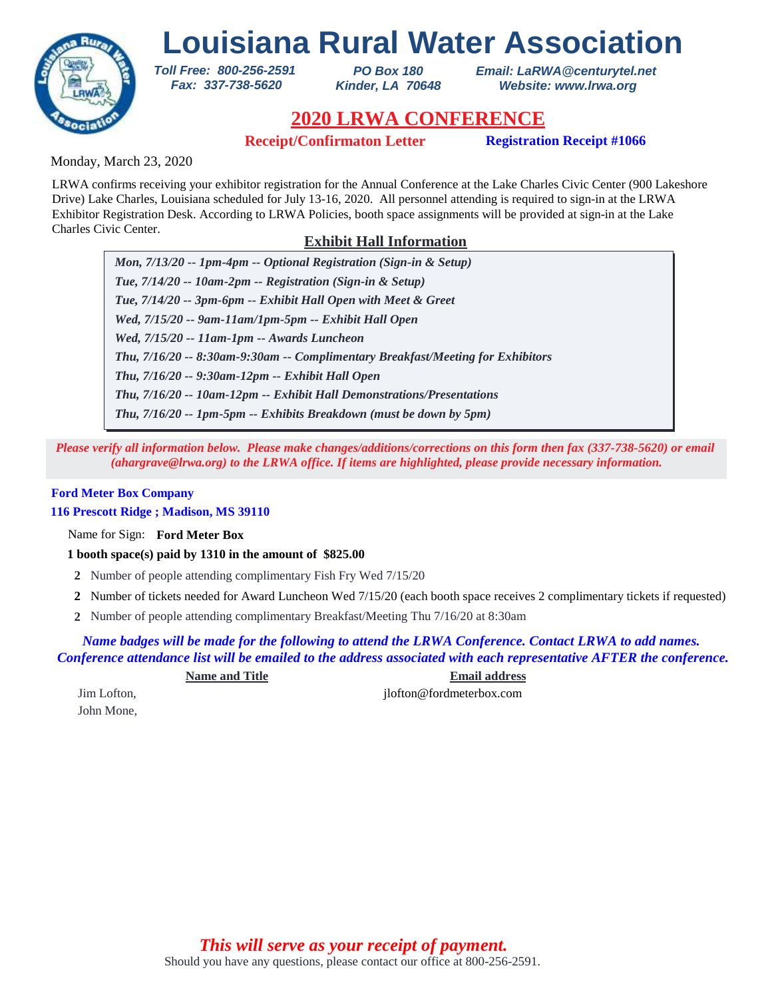

*PO Box 180 Kinder, LA 70648* *Email: LaRWA@centurytel.net Website: www.lrwa.org*

# **2020 LRWA CONFERENCE**

**Receipt/Confirmaton Letter Registration Receipt #1066**

Monday, March 23, 2020

LRWA confirms receiving your exhibitor registration for the Annual Conference at the Lake Charles Civic Center (900 Lakeshore Drive) Lake Charles, Louisiana scheduled for July 13-16, 2020. All personnel attending is required to sign-in at the LRWA Exhibitor Registration Desk. According to LRWA Policies, booth space assignments will be provided at sign-in at the Lake Charles Civic Center.

# **Exhibit Hall Information**

*Mon, 7/13/20 -- 1pm-4pm -- Optional Registration (Sign-in & Setup) Tue, 7/14/20 -- 10am-2pm -- Registration (Sign-in & Setup) Tue, 7/14/20 -- 3pm-6pm -- Exhibit Hall Open with Meet & Greet Wed, 7/15/20 -- 9am-11am/1pm-5pm -- Exhibit Hall Open Wed, 7/15/20 -- 11am-1pm -- Awards Luncheon Thu, 7/16/20 -- 9:30am-12pm -- Exhibit Hall Open Thu, 7/16/20 -- 8:30am-9:30am -- Complimentary Breakfast/Meeting for Exhibitors Thu, 7/16/20 -- 10am-12pm -- Exhibit Hall Demonstrations/Presentations Thu, 7/16/20 -- 1pm-5pm -- Exhibits Breakdown (must be down by 5pm)*

*Please verify all information below. Please make changes/additions/corrections on this form then fax (337-738-5620) or email (ahargrave@lrwa.org) to the LRWA office. If items are highlighted, please provide necessary information.*

## **Ford Meter Box Company**

**116 Prescott Ridge ; Madison, MS 39110**

Name for Sign: **Ford Meter Box**

**1 booth space(s) paid by 1310 in the amount of \$825.00**

*Toll Free: 800-256-2591 Fax: 337-738-5620*

- **2** Number of people attending complimentary Fish Fry Wed 7/15/20
- Number of tickets needed for Award Luncheon Wed 7/15/20 (each booth space receives 2 complimentary tickets if requested) **2**
- Number of people attending complimentary Breakfast/Meeting Thu 7/16/20 at 8:30am **2**

*Name badges will be made for the following to attend the LRWA Conference. Contact LRWA to add names. Conference attendance list will be emailed to the address associated with each representative AFTER the conference.*

**Name and Title Email address**

John Mone,

Jim Lofton, jlofton @fordmeterbox.com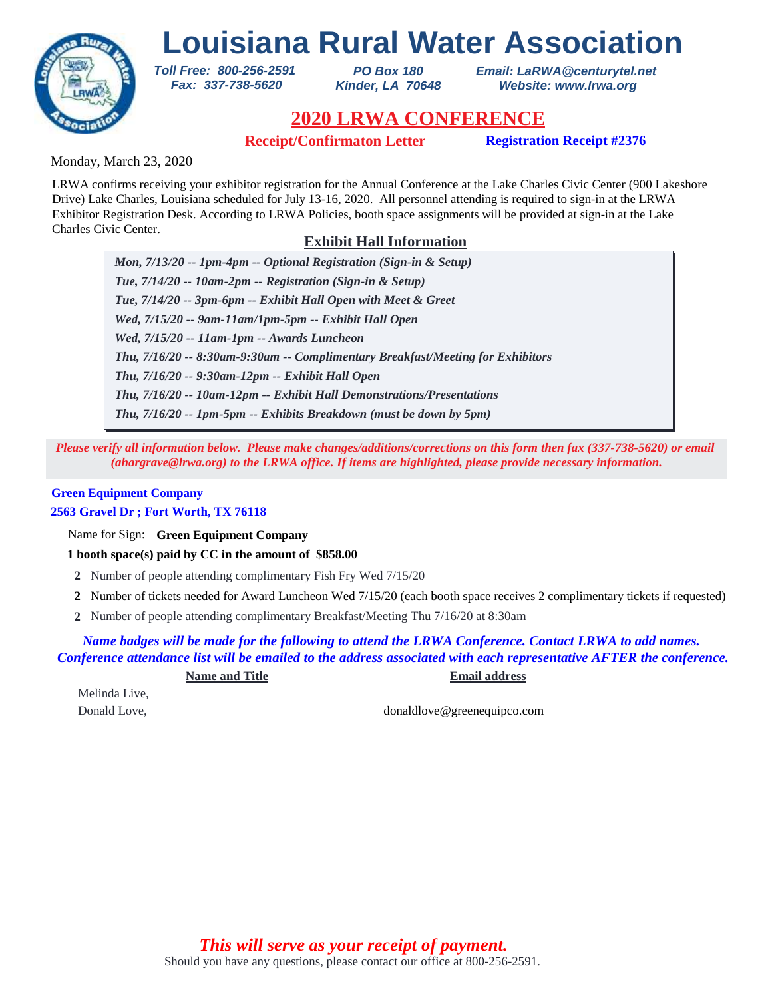

*PO Box 180 Kinder, LA 70648* *Email: LaRWA@centurytel.net Website: www.lrwa.org*

# **2020 LRWA CONFERENCE**

**Receipt/Confirmaton Letter Registration Receipt #2376**

Monday, March 23, 2020

LRWA confirms receiving your exhibitor registration for the Annual Conference at the Lake Charles Civic Center (900 Lakeshore Drive) Lake Charles, Louisiana scheduled for July 13-16, 2020. All personnel attending is required to sign-in at the LRWA Exhibitor Registration Desk. According to LRWA Policies, booth space assignments will be provided at sign-in at the Lake Charles Civic Center.

# **Exhibit Hall Information**

*Mon, 7/13/20 -- 1pm-4pm -- Optional Registration (Sign-in & Setup) Tue, 7/14/20 -- 10am-2pm -- Registration (Sign-in & Setup) Tue, 7/14/20 -- 3pm-6pm -- Exhibit Hall Open with Meet & Greet Wed, 7/15/20 -- 9am-11am/1pm-5pm -- Exhibit Hall Open Wed, 7/15/20 -- 11am-1pm -- Awards Luncheon Thu, 7/16/20 -- 9:30am-12pm -- Exhibit Hall Open Thu, 7/16/20 -- 8:30am-9:30am -- Complimentary Breakfast/Meeting for Exhibitors Thu, 7/16/20 -- 10am-12pm -- Exhibit Hall Demonstrations/Presentations Thu, 7/16/20 -- 1pm-5pm -- Exhibits Breakdown (must be down by 5pm)*

*Please verify all information below. Please make changes/additions/corrections on this form then fax (337-738-5620) or email (ahargrave@lrwa.org) to the LRWA office. If items are highlighted, please provide necessary information.*

# **Green Equipment Company**

**2563 Gravel Dr ; Fort Worth, TX 76118**

Name for Sign: **Green Equipment Company**

**1 booth space(s) paid by CC in the amount of \$858.00**

*Toll Free: 800-256-2591 Fax: 337-738-5620*

- **2** Number of people attending complimentary Fish Fry Wed 7/15/20
- Number of tickets needed for Award Luncheon Wed 7/15/20 (each booth space receives 2 complimentary tickets if requested) **2**
- Number of people attending complimentary Breakfast/Meeting Thu 7/16/20 at 8:30am **2**

*Name badges will be made for the following to attend the LRWA Conference. Contact LRWA to add names. Conference attendance list will be emailed to the address associated with each representative AFTER the conference.*

**Name and Title Email address**

Melinda Live,

Donald Love, donaldlove@greenequipco.com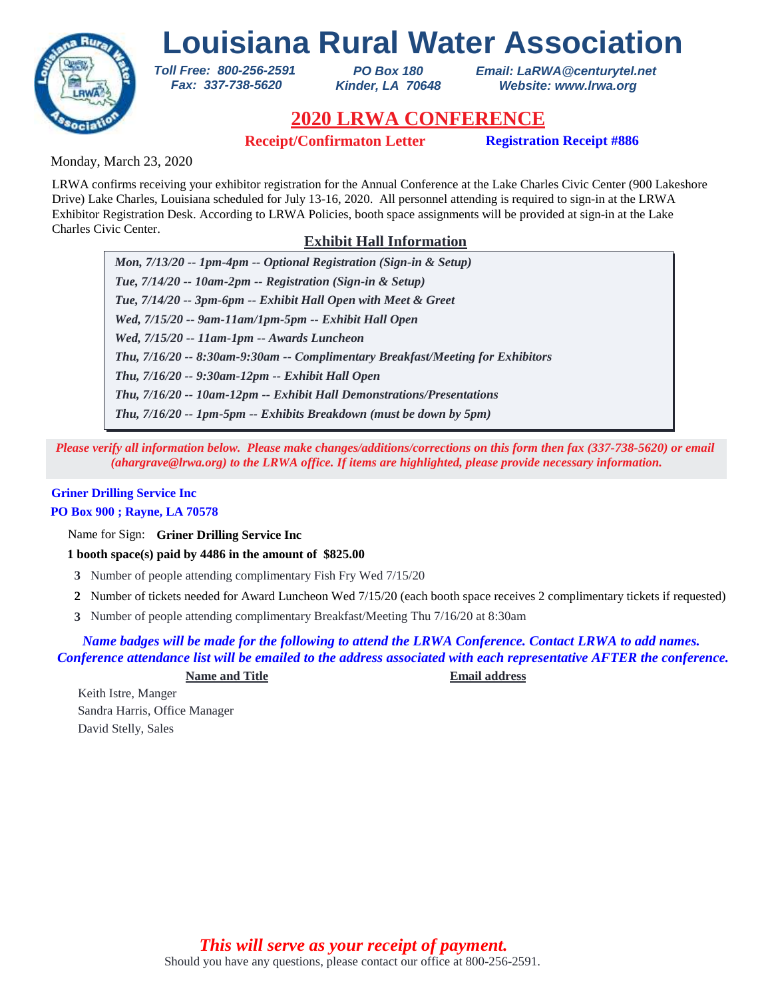

*PO Box 180 Kinder, LA 70648* *Email: LaRWA@centurytel.net Website: www.lrwa.org*

# **2020 LRWA CONFERENCE**

**Receipt/Confirmaton Letter Registration Receipt #886**

Monday, March 23, 2020

LRWA confirms receiving your exhibitor registration for the Annual Conference at the Lake Charles Civic Center (900 Lakeshore Drive) Lake Charles, Louisiana scheduled for July 13-16, 2020. All personnel attending is required to sign-in at the LRWA Exhibitor Registration Desk. According to LRWA Policies, booth space assignments will be provided at sign-in at the Lake Charles Civic Center.

# **Exhibit Hall Information**

*Mon, 7/13/20 -- 1pm-4pm -- Optional Registration (Sign-in & Setup) Tue, 7/14/20 -- 10am-2pm -- Registration (Sign-in & Setup) Tue, 7/14/20 -- 3pm-6pm -- Exhibit Hall Open with Meet & Greet Wed, 7/15/20 -- 9am-11am/1pm-5pm -- Exhibit Hall Open Wed, 7/15/20 -- 11am-1pm -- Awards Luncheon Thu, 7/16/20 -- 9:30am-12pm -- Exhibit Hall Open Thu, 7/16/20 -- 8:30am-9:30am -- Complimentary Breakfast/Meeting for Exhibitors Thu, 7/16/20 -- 10am-12pm -- Exhibit Hall Demonstrations/Presentations Thu, 7/16/20 -- 1pm-5pm -- Exhibits Breakdown (must be down by 5pm)*

*Please verify all information below. Please make changes/additions/corrections on this form then fax (337-738-5620) or email (ahargrave@lrwa.org) to the LRWA office. If items are highlighted, please provide necessary information.*

# **Griner Drilling Service Inc**

## **PO Box 900 ; Rayne, LA 70578**

Name for Sign: **Griner Drilling Service Inc**

**1 booth space(s) paid by 4486 in the amount of \$825.00**

*Toll Free: 800-256-2591 Fax: 337-738-5620*

- **3** Number of people attending complimentary Fish Fry Wed 7/15/20
- Number of tickets needed for Award Luncheon Wed 7/15/20 (each booth space receives 2 complimentary tickets if requested) **2**
- Number of people attending complimentary Breakfast/Meeting Thu 7/16/20 at 8:30am **3**

*Name badges will be made for the following to attend the LRWA Conference. Contact LRWA to add names. Conference attendance list will be emailed to the address associated with each representative AFTER the conference.*

**Name and Title Email address**

Keith Istre, Manger Sandra Harris, Office Manager David Stelly, Sales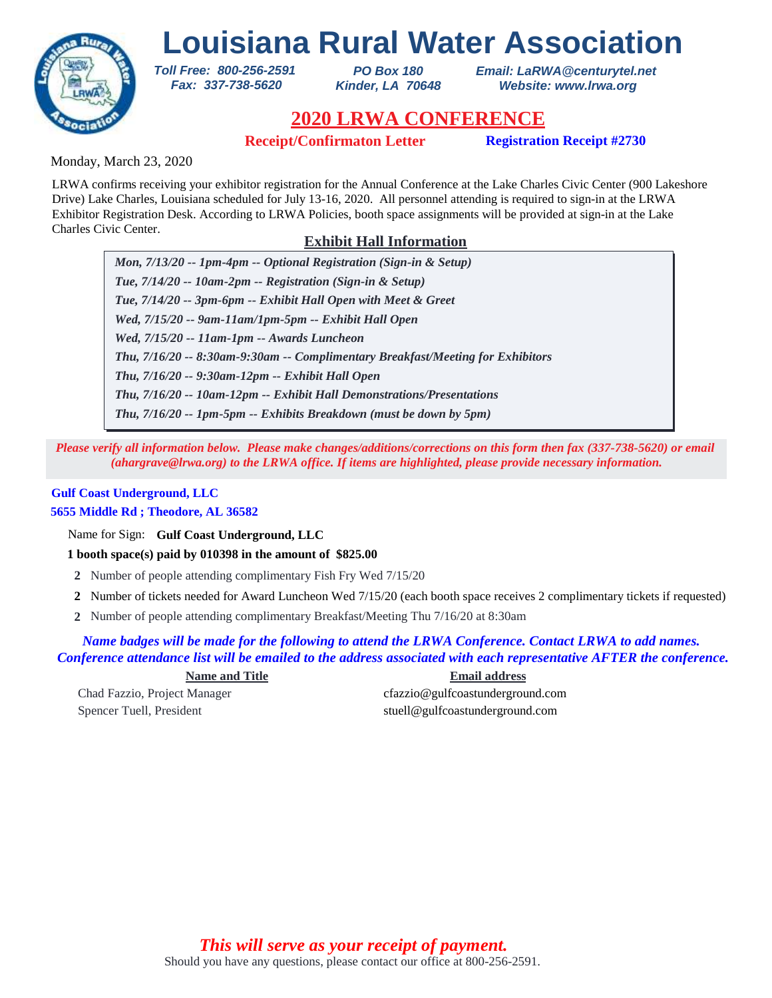

*PO Box 180 Kinder, LA 70648* *Email: LaRWA@centurytel.net Website: www.lrwa.org*

# **2020 LRWA CONFERENCE**

**Receipt/Confirmaton Letter Registration Receipt #2730**

Monday, March 23, 2020

LRWA confirms receiving your exhibitor registration for the Annual Conference at the Lake Charles Civic Center (900 Lakeshore Drive) Lake Charles, Louisiana scheduled for July 13-16, 2020. All personnel attending is required to sign-in at the LRWA Exhibitor Registration Desk. According to LRWA Policies, booth space assignments will be provided at sign-in at the Lake Charles Civic Center.

# **Exhibit Hall Information**

*Mon, 7/13/20 -- 1pm-4pm -- Optional Registration (Sign-in & Setup) Tue, 7/14/20 -- 10am-2pm -- Registration (Sign-in & Setup) Tue, 7/14/20 -- 3pm-6pm -- Exhibit Hall Open with Meet & Greet Wed, 7/15/20 -- 9am-11am/1pm-5pm -- Exhibit Hall Open Wed, 7/15/20 -- 11am-1pm -- Awards Luncheon Thu, 7/16/20 -- 9:30am-12pm -- Exhibit Hall Open Thu, 7/16/20 -- 8:30am-9:30am -- Complimentary Breakfast/Meeting for Exhibitors Thu, 7/16/20 -- 10am-12pm -- Exhibit Hall Demonstrations/Presentations Thu, 7/16/20 -- 1pm-5pm -- Exhibits Breakdown (must be down by 5pm)*

*Please verify all information below. Please make changes/additions/corrections on this form then fax (337-738-5620) or email (ahargrave@lrwa.org) to the LRWA office. If items are highlighted, please provide necessary information.*

# **Gulf Coast Underground, LLC**

## **5655 Middle Rd ; Theodore, AL 36582**

Name for Sign: **Gulf Coast Underground, LLC**

**1 booth space(s) paid by 010398 in the amount of \$825.00**

*Toll Free: 800-256-2591 Fax: 337-738-5620*

- **2** Number of people attending complimentary Fish Fry Wed 7/15/20
- Number of tickets needed for Award Luncheon Wed 7/15/20 (each booth space receives 2 complimentary tickets if requested) **2**
- Number of people attending complimentary Breakfast/Meeting Thu 7/16/20 at 8:30am **2**

*Name badges will be made for the following to attend the LRWA Conference. Contact LRWA to add names. Conference attendance list will be emailed to the address associated with each representative AFTER the conference.*

## **Name and Title Email address**

Chad Fazzio, Project Manager cfazzio@gulfcoastunderground.com Spencer Tuell, President stuellagulfcoastunderground.com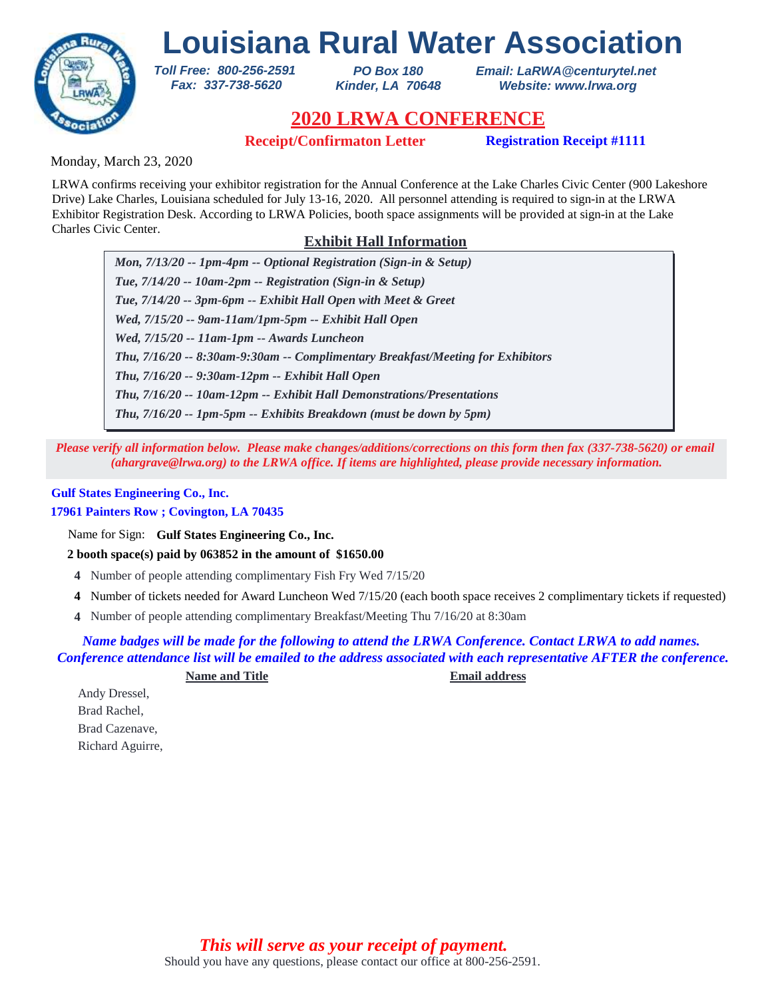

*PO Box 180 Kinder, LA 70648* *Email: LaRWA@centurytel.net Website: www.lrwa.org*

# **2020 LRWA CONFERENCE**

**Receipt/Confirmaton Letter Registration Receipt #1111**

Monday, March 23, 2020

LRWA confirms receiving your exhibitor registration for the Annual Conference at the Lake Charles Civic Center (900 Lakeshore Drive) Lake Charles, Louisiana scheduled for July 13-16, 2020. All personnel attending is required to sign-in at the LRWA Exhibitor Registration Desk. According to LRWA Policies, booth space assignments will be provided at sign-in at the Lake Charles Civic Center.

# **Exhibit Hall Information**

*Mon, 7/13/20 -- 1pm-4pm -- Optional Registration (Sign-in & Setup) Tue, 7/14/20 -- 10am-2pm -- Registration (Sign-in & Setup) Tue, 7/14/20 -- 3pm-6pm -- Exhibit Hall Open with Meet & Greet Wed, 7/15/20 -- 9am-11am/1pm-5pm -- Exhibit Hall Open Wed, 7/15/20 -- 11am-1pm -- Awards Luncheon Thu, 7/16/20 -- 9:30am-12pm -- Exhibit Hall Open Thu, 7/16/20 -- 8:30am-9:30am -- Complimentary Breakfast/Meeting for Exhibitors Thu, 7/16/20 -- 10am-12pm -- Exhibit Hall Demonstrations/Presentations Thu, 7/16/20 -- 1pm-5pm -- Exhibits Breakdown (must be down by 5pm)*

*Please verify all information below. Please make changes/additions/corrections on this form then fax (337-738-5620) or email (ahargrave@lrwa.org) to the LRWA office. If items are highlighted, please provide necessary information.*

## **Gulf States Engineering Co., Inc.**

## **17961 Painters Row ; Covington, LA 70435**

Name for Sign: **Gulf States Engineering Co., Inc.**

**2 booth space(s) paid by 063852 in the amount of \$1650.00**

*Toll Free: 800-256-2591 Fax: 337-738-5620*

- **4** Number of people attending complimentary Fish Fry Wed 7/15/20
- Number of tickets needed for Award Luncheon Wed 7/15/20 (each booth space receives 2 complimentary tickets if requested) **4**
- Number of people attending complimentary Breakfast/Meeting Thu 7/16/20 at 8:30am **4**

*Name badges will be made for the following to attend the LRWA Conference. Contact LRWA to add names. Conference attendance list will be emailed to the address associated with each representative AFTER the conference.*

**Name and Title Email address**

Andy Dressel, Brad Rachel, Brad Cazenave, Richard Aguirre,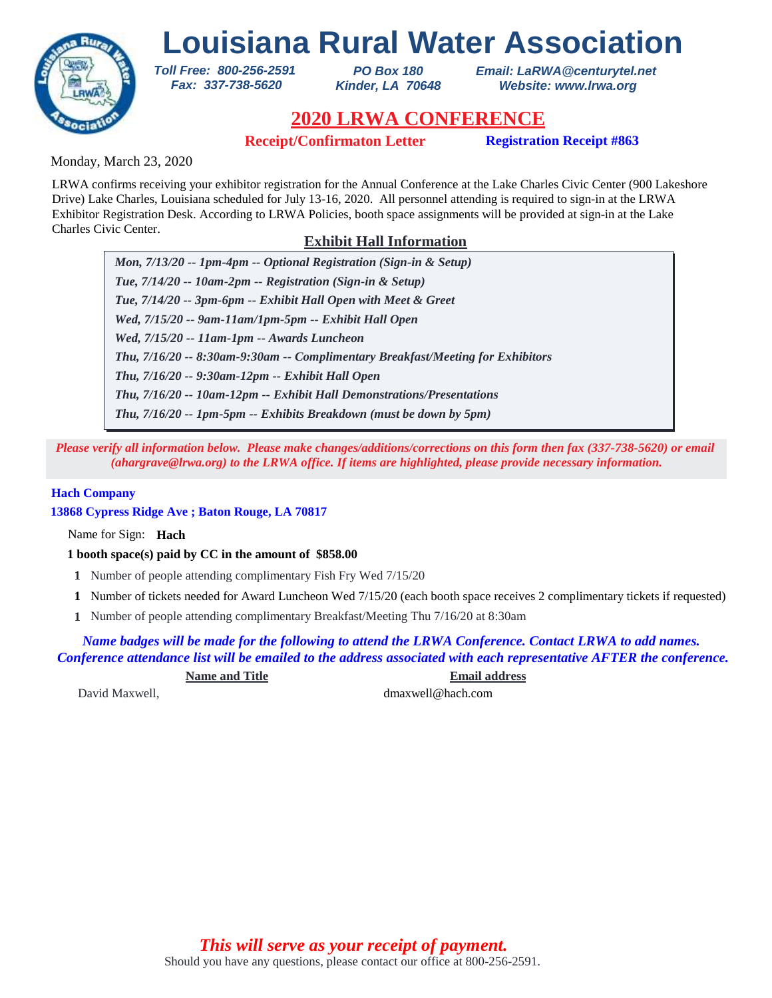

*PO Box 180 Kinder, LA 70648* *Email: LaRWA@centurytel.net Website: www.lrwa.org*

## **2020 LRWA CONFERENCE**

**Receipt/Confirmaton Letter Registration Receipt #863**

Monday, March 23, 2020

LRWA confirms receiving your exhibitor registration for the Annual Conference at the Lake Charles Civic Center (900 Lakeshore Drive) Lake Charles, Louisiana scheduled for July 13-16, 2020. All personnel attending is required to sign-in at the LRWA Exhibitor Registration Desk. According to LRWA Policies, booth space assignments will be provided at sign-in at the Lake Charles Civic Center.

### **Exhibit Hall Information**

*Mon, 7/13/20 -- 1pm-4pm -- Optional Registration (Sign-in & Setup) Tue, 7/14/20 -- 10am-2pm -- Registration (Sign-in & Setup) Tue, 7/14/20 -- 3pm-6pm -- Exhibit Hall Open with Meet & Greet Wed, 7/15/20 -- 9am-11am/1pm-5pm -- Exhibit Hall Open Wed, 7/15/20 -- 11am-1pm -- Awards Luncheon Thu, 7/16/20 -- 9:30am-12pm -- Exhibit Hall Open Thu, 7/16/20 -- 8:30am-9:30am -- Complimentary Breakfast/Meeting for Exhibitors Thu, 7/16/20 -- 10am-12pm -- Exhibit Hall Demonstrations/Presentations Thu, 7/16/20 -- 1pm-5pm -- Exhibits Breakdown (must be down by 5pm)*

*Please verify all information below. Please make changes/additions/corrections on this form then fax (337-738-5620) or email (ahargrave@lrwa.org) to the LRWA office. If items are highlighted, please provide necessary information.*

### **Hach Company**

**13868 Cypress Ridge Ave ; Baton Rouge, LA 70817**

Name for Sign: **Hach**

**1 booth space(s) paid by CC in the amount of \$858.00**

*Toll Free: 800-256-2591 Fax: 337-738-5620*

- **1** Number of people attending complimentary Fish Fry Wed 7/15/20
- Number of tickets needed for Award Luncheon Wed 7/15/20 (each booth space receives 2 complimentary tickets if requested) **1**
- Number of people attending complimentary Breakfast/Meeting Thu 7/16/20 at 8:30am **1**

*Name badges will be made for the following to attend the LRWA Conference. Contact LRWA to add names. Conference attendance list will be emailed to the address associated with each representative AFTER the conference.*

**Name and Title Email address**

David Maxwell, dmaxwell@hach.com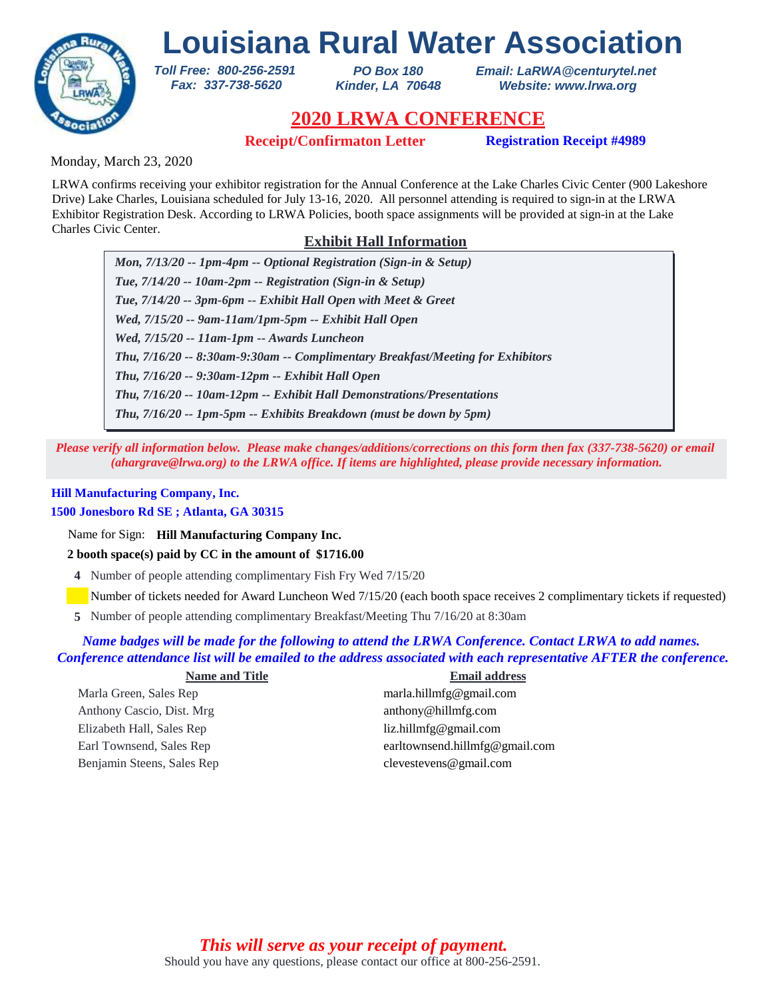

*PO Box 180 Kinder, LA 70648* *Email: LaRWA@centurytel.net Website: www.lrwa.org*

# **2020 LRWA CONFERENCE**

**Receipt/Confirmaton Letter Registration Receipt #4989**

Monday, March 23, 2020

LRWA confirms receiving your exhibitor registration for the Annual Conference at the Lake Charles Civic Center (900 Lakeshore Drive) Lake Charles, Louisiana scheduled for July 13-16, 2020. All personnel attending is required to sign-in at the LRWA Exhibitor Registration Desk. According to LRWA Policies, booth space assignments will be provided at sign-in at the Lake Charles Civic Center.

### **Exhibit Hall Information**

*Mon, 7/13/20 -- 1pm-4pm -- Optional Registration (Sign-in & Setup) Tue, 7/14/20 -- 10am-2pm -- Registration (Sign-in & Setup) Tue, 7/14/20 -- 3pm-6pm -- Exhibit Hall Open with Meet & Greet Wed, 7/15/20 -- 9am-11am/1pm-5pm -- Exhibit Hall Open Wed, 7/15/20 -- 11am-1pm -- Awards Luncheon Thu, 7/16/20 -- 9:30am-12pm -- Exhibit Hall Open Thu, 7/16/20 -- 8:30am-9:30am -- Complimentary Breakfast/Meeting for Exhibitors Thu, 7/16/20 -- 10am-12pm -- Exhibit Hall Demonstrations/Presentations Thu, 7/16/20 -- 1pm-5pm -- Exhibits Breakdown (must be down by 5pm)*

*Please verify all information below. Please make changes/additions/corrections on this form then fax (337-738-5620) or email (ahargrave@lrwa.org) to the LRWA office. If items are highlighted, please provide necessary information.*

### **Hill Manufacturing Company, Inc.**

### **1500 Jonesboro Rd SE ; Atlanta, GA 30315**

Name for Sign: **Hill Manufacturing Company Inc.**

### **2 booth space(s) paid by CC in the amount of \$1716.00**

*Toll Free: 800-256-2591 Fax: 337-738-5620*

**4** Number of people attending complimentary Fish Fry Wed 7/15/20

Number of tickets needed for Award Luncheon Wed 7/15/20 (each booth space receives 2 complimentary tickets if requested)

Number of people attending complimentary Breakfast/Meeting Thu 7/16/20 at 8:30am **5**

### *Name badges will be made for the following to attend the LRWA Conference. Contact LRWA to add names. Conference attendance list will be emailed to the address associated with each representative AFTER the conference.*

| <b>Name and Title</b>      | <b>Email address</b>           |
|----------------------------|--------------------------------|
| Marla Green, Sales Rep     | marla.hillmfg@gmail.com        |
| Anthony Cascio, Dist. Mrg  | anthony@hillmfg.com            |
| Elizabeth Hall, Sales Rep  | liz.hillmfg@gmail.com          |
| Earl Townsend, Sales Rep   | earltownsend.hillmfg@gmail.com |
| Benjamin Steens, Sales Rep | $c$ levestevens@gmail.com      |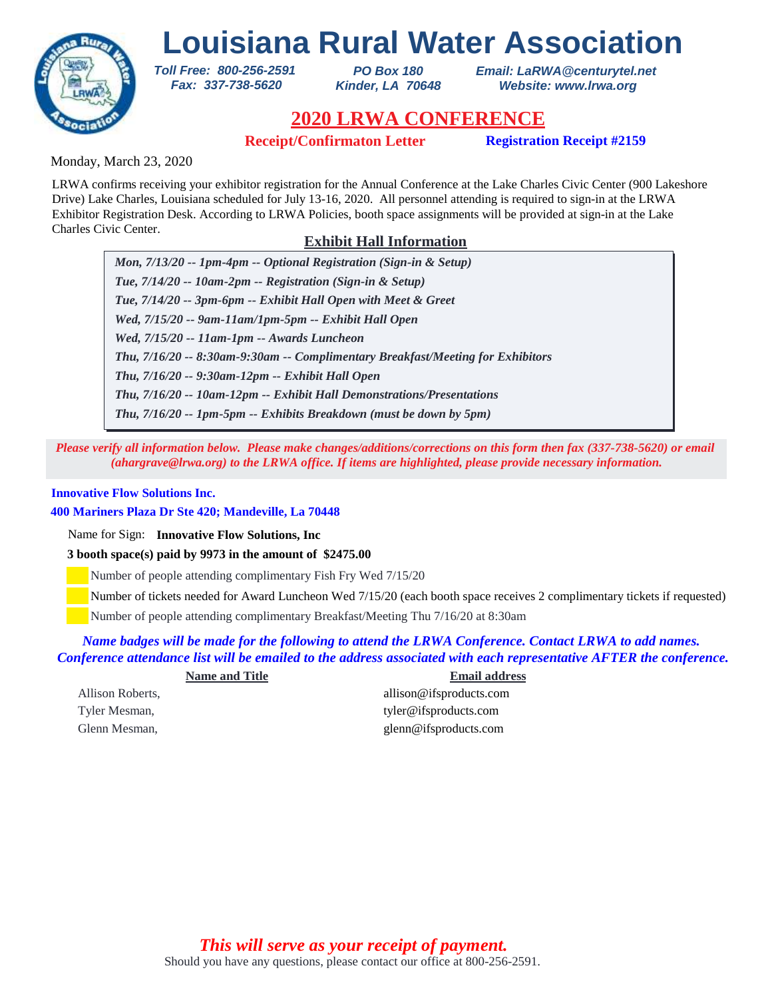

*PO Box 180 Kinder, LA 70648* *Email: LaRWA@centurytel.net Website: www.lrwa.org*

## **2020 LRWA CONFERENCE**

**Receipt/Confirmaton Letter Registration Receipt #2159**

Monday, March 23, 2020

LRWA confirms receiving your exhibitor registration for the Annual Conference at the Lake Charles Civic Center (900 Lakeshore Drive) Lake Charles, Louisiana scheduled for July 13-16, 2020. All personnel attending is required to sign-in at the LRWA Exhibitor Registration Desk. According to LRWA Policies, booth space assignments will be provided at sign-in at the Lake Charles Civic Center.

### **Exhibit Hall Information**

*Mon, 7/13/20 -- 1pm-4pm -- Optional Registration (Sign-in & Setup) Tue, 7/14/20 -- 10am-2pm -- Registration (Sign-in & Setup) Tue, 7/14/20 -- 3pm-6pm -- Exhibit Hall Open with Meet & Greet Wed, 7/15/20 -- 9am-11am/1pm-5pm -- Exhibit Hall Open Wed, 7/15/20 -- 11am-1pm -- Awards Luncheon Thu, 7/16/20 -- 9:30am-12pm -- Exhibit Hall Open Thu, 7/16/20 -- 8:30am-9:30am -- Complimentary Breakfast/Meeting for Exhibitors Thu, 7/16/20 -- 10am-12pm -- Exhibit Hall Demonstrations/Presentations Thu, 7/16/20 -- 1pm-5pm -- Exhibits Breakdown (must be down by 5pm)*

*Please verify all information below. Please make changes/additions/corrections on this form then fax (337-738-5620) or email (ahargrave@lrwa.org) to the LRWA office. If items are highlighted, please provide necessary information.*

### **Innovative Flow Solutions Inc.**

**400 Mariners Plaza Dr Ste 420; Mandeville, La 70448**

Name for Sign: **Innovative Flow Solutions, Inc**

**3 booth space(s) paid by 9973 in the amount of \$2475.00**

*Toll Free: 800-256-2591 Fax: 337-738-5620*

Number of people attending complimentary Fish Fry Wed 7/15/20

Number of tickets needed for Award Luncheon Wed 7/15/20 (each booth space receives 2 complimentary tickets if requested)

Number of people attending complimentary Breakfast/Meeting Thu 7/16/20 at 8:30am

*Name badges will be made for the following to attend the LRWA Conference. Contact LRWA to add names. Conference attendance list will be emailed to the address associated with each representative AFTER the conference.*

| <b>Name and Title</b> | <b>Email address</b>    |
|-----------------------|-------------------------|
| Allison Roberts,      | allison@ifsproducts.com |
| Tyler Mesman,         | tyler@ifsproducts.com   |
| Glenn Mesman,         | glenn@ifsproducts.com   |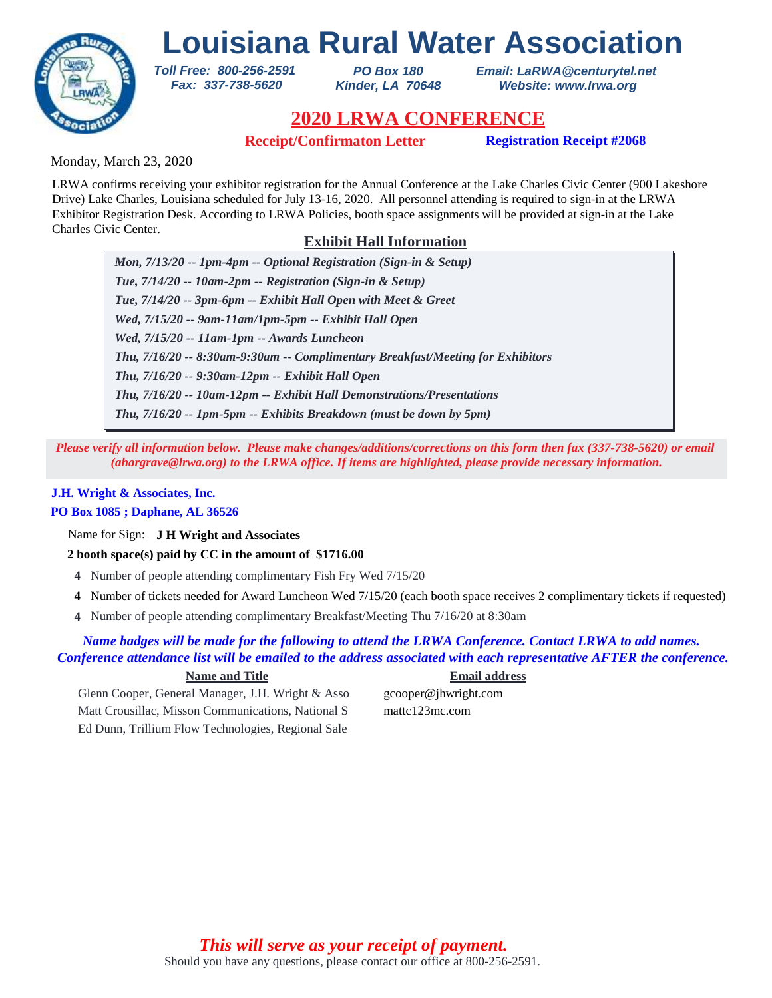

*PO Box 180 Kinder, LA 70648* *Email: LaRWA@centurytel.net Website: www.lrwa.org*

## **2020 LRWA CONFERENCE**

**Receipt/Confirmaton Letter Registration Receipt #2068**

Monday, March 23, 2020

LRWA confirms receiving your exhibitor registration for the Annual Conference at the Lake Charles Civic Center (900 Lakeshore Drive) Lake Charles, Louisiana scheduled for July 13-16, 2020. All personnel attending is required to sign-in at the LRWA Exhibitor Registration Desk. According to LRWA Policies, booth space assignments will be provided at sign-in at the Lake Charles Civic Center.

### **Exhibit Hall Information**

*Mon, 7/13/20 -- 1pm-4pm -- Optional Registration (Sign-in & Setup) Tue, 7/14/20 -- 10am-2pm -- Registration (Sign-in & Setup) Tue, 7/14/20 -- 3pm-6pm -- Exhibit Hall Open with Meet & Greet Wed, 7/15/20 -- 9am-11am/1pm-5pm -- Exhibit Hall Open Wed, 7/15/20 -- 11am-1pm -- Awards Luncheon Thu, 7/16/20 -- 9:30am-12pm -- Exhibit Hall Open Thu, 7/16/20 -- 8:30am-9:30am -- Complimentary Breakfast/Meeting for Exhibitors Thu, 7/16/20 -- 10am-12pm -- Exhibit Hall Demonstrations/Presentations Thu, 7/16/20 -- 1pm-5pm -- Exhibits Breakdown (must be down by 5pm)*

*Please verify all information below. Please make changes/additions/corrections on this form then fax (337-738-5620) or email (ahargrave@lrwa.org) to the LRWA office. If items are highlighted, please provide necessary information.*

### **J.H. Wright & Associates, Inc.**

### **PO Box 1085 ; Daphane, AL 36526**

Name for Sign: **J H Wright and Associates**

**2 booth space(s) paid by CC in the amount of \$1716.00**

*Toll Free: 800-256-2591 Fax: 337-738-5620*

- **4** Number of people attending complimentary Fish Fry Wed 7/15/20
- Number of tickets needed for Award Luncheon Wed 7/15/20 (each booth space receives 2 complimentary tickets if requested) **4**
- Number of people attending complimentary Breakfast/Meeting Thu 7/16/20 at 8:30am **4**

### *Name badges will be made for the following to attend the LRWA Conference. Contact LRWA to add names. Conference attendance list will be emailed to the address associated with each representative AFTER the conference.*

### **Name and Title Email address**

Glenn Cooper, General Manager, J.H. Wright & Asso gcooper@jhwright.com Matt Crousillac, Misson Communications, National S mattc123mc.com Ed Dunn, Trillium Flow Technologies, Regional Sale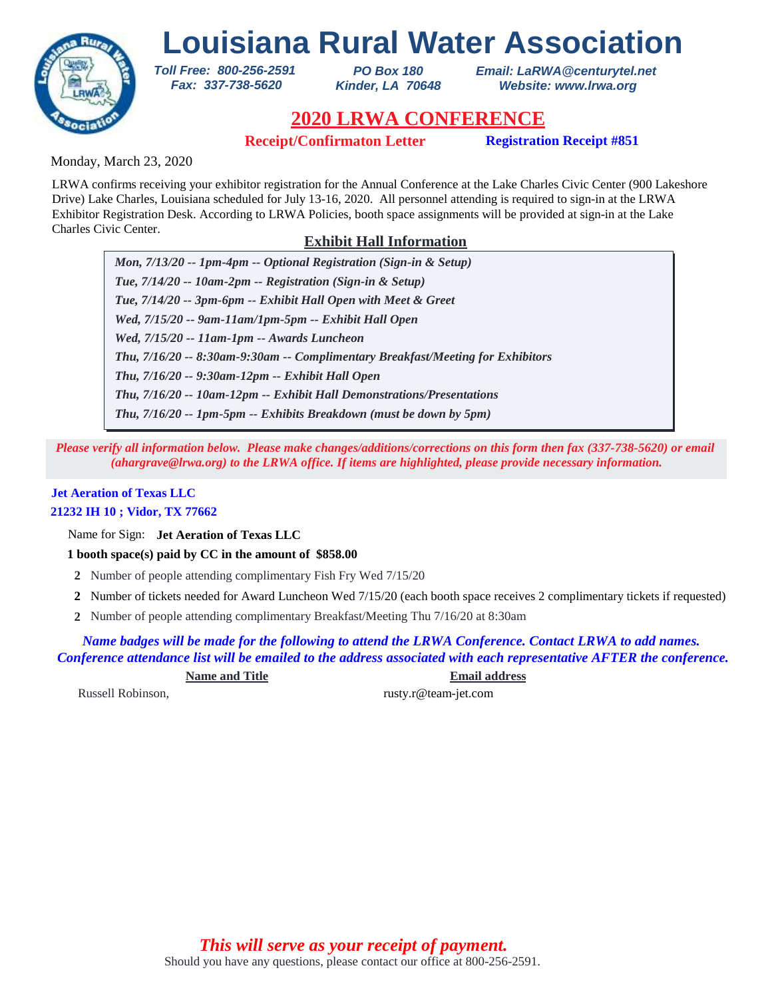

*PO Box 180 Kinder, LA 70648* *Email: LaRWA@centurytel.net Website: www.lrwa.org*

# **2020 LRWA CONFERENCE**

**Receipt/Confirmaton Letter Registration Receipt #851**

Monday, March 23, 2020

LRWA confirms receiving your exhibitor registration for the Annual Conference at the Lake Charles Civic Center (900 Lakeshore Drive) Lake Charles, Louisiana scheduled for July 13-16, 2020. All personnel attending is required to sign-in at the LRWA Exhibitor Registration Desk. According to LRWA Policies, booth space assignments will be provided at sign-in at the Lake Charles Civic Center.

### **Exhibit Hall Information**

*Mon, 7/13/20 -- 1pm-4pm -- Optional Registration (Sign-in & Setup) Tue, 7/14/20 -- 10am-2pm -- Registration (Sign-in & Setup) Tue, 7/14/20 -- 3pm-6pm -- Exhibit Hall Open with Meet & Greet Wed, 7/15/20 -- 9am-11am/1pm-5pm -- Exhibit Hall Open Wed, 7/15/20 -- 11am-1pm -- Awards Luncheon Thu, 7/16/20 -- 9:30am-12pm -- Exhibit Hall Open Thu, 7/16/20 -- 8:30am-9:30am -- Complimentary Breakfast/Meeting for Exhibitors Thu, 7/16/20 -- 10am-12pm -- Exhibit Hall Demonstrations/Presentations Thu, 7/16/20 -- 1pm-5pm -- Exhibits Breakdown (must be down by 5pm)*

*Please verify all information below. Please make changes/additions/corrections on this form then fax (337-738-5620) or email (ahargrave@lrwa.org) to the LRWA office. If items are highlighted, please provide necessary information.*

### **Jet Aeration of Texas LLC 21232 IH 10 ; Vidor, TX 77662**

Name for Sign: **Jet Aeration of Texas LLC**

**1 booth space(s) paid by CC in the amount of \$858.00**

*Toll Free: 800-256-2591 Fax: 337-738-5620*

- **2** Number of people attending complimentary Fish Fry Wed 7/15/20
- Number of tickets needed for Award Luncheon Wed 7/15/20 (each booth space receives 2 complimentary tickets if requested) **2**
- Number of people attending complimentary Breakfast/Meeting Thu 7/16/20 at 8:30am **2**

*Name badges will be made for the following to attend the LRWA Conference. Contact LRWA to add names. Conference attendance list will be emailed to the address associated with each representative AFTER the conference.*

**Name and Title Email address**

Russell Robinson, rusty.r@team-jet.com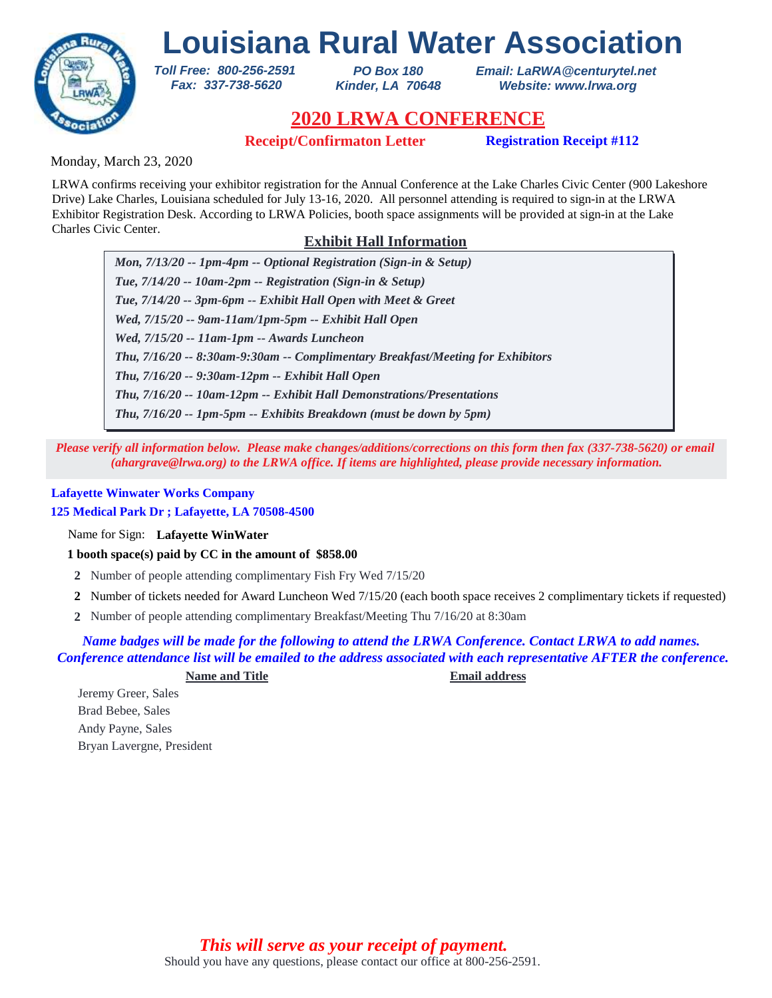

*PO Box 180 Kinder, LA 70648* *Email: LaRWA@centurytel.net Website: www.lrwa.org*

## **2020 LRWA CONFERENCE**

**Receipt/Confirmaton Letter Registration Receipt #112**

Monday, March 23, 2020

LRWA confirms receiving your exhibitor registration for the Annual Conference at the Lake Charles Civic Center (900 Lakeshore Drive) Lake Charles, Louisiana scheduled for July 13-16, 2020. All personnel attending is required to sign-in at the LRWA Exhibitor Registration Desk. According to LRWA Policies, booth space assignments will be provided at sign-in at the Lake Charles Civic Center.

### **Exhibit Hall Information**

*Mon, 7/13/20 -- 1pm-4pm -- Optional Registration (Sign-in & Setup) Tue, 7/14/20 -- 10am-2pm -- Registration (Sign-in & Setup) Tue, 7/14/20 -- 3pm-6pm -- Exhibit Hall Open with Meet & Greet Wed, 7/15/20 -- 9am-11am/1pm-5pm -- Exhibit Hall Open Wed, 7/15/20 -- 11am-1pm -- Awards Luncheon Thu, 7/16/20 -- 9:30am-12pm -- Exhibit Hall Open Thu, 7/16/20 -- 8:30am-9:30am -- Complimentary Breakfast/Meeting for Exhibitors Thu, 7/16/20 -- 10am-12pm -- Exhibit Hall Demonstrations/Presentations Thu, 7/16/20 -- 1pm-5pm -- Exhibits Breakdown (must be down by 5pm)*

*Please verify all information below. Please make changes/additions/corrections on this form then fax (337-738-5620) or email (ahargrave@lrwa.org) to the LRWA office. If items are highlighted, please provide necessary information.*

### **Lafayette Winwater Works Company**

**125 Medical Park Dr ; Lafayette, LA 70508-4500**

Name for Sign: **Lafayette WinWater**

**1 booth space(s) paid by CC in the amount of \$858.00**

*Toll Free: 800-256-2591 Fax: 337-738-5620*

- **2** Number of people attending complimentary Fish Fry Wed 7/15/20
- Number of tickets needed for Award Luncheon Wed 7/15/20 (each booth space receives 2 complimentary tickets if requested) **2**
- Number of people attending complimentary Breakfast/Meeting Thu 7/16/20 at 8:30am **2**

### *Name badges will be made for the following to attend the LRWA Conference. Contact LRWA to add names. Conference attendance list will be emailed to the address associated with each representative AFTER the conference.*

**Name and Title Email address**

Jeremy Greer, Sales Brad Bebee, Sales Andy Payne, Sales Bryan Lavergne, President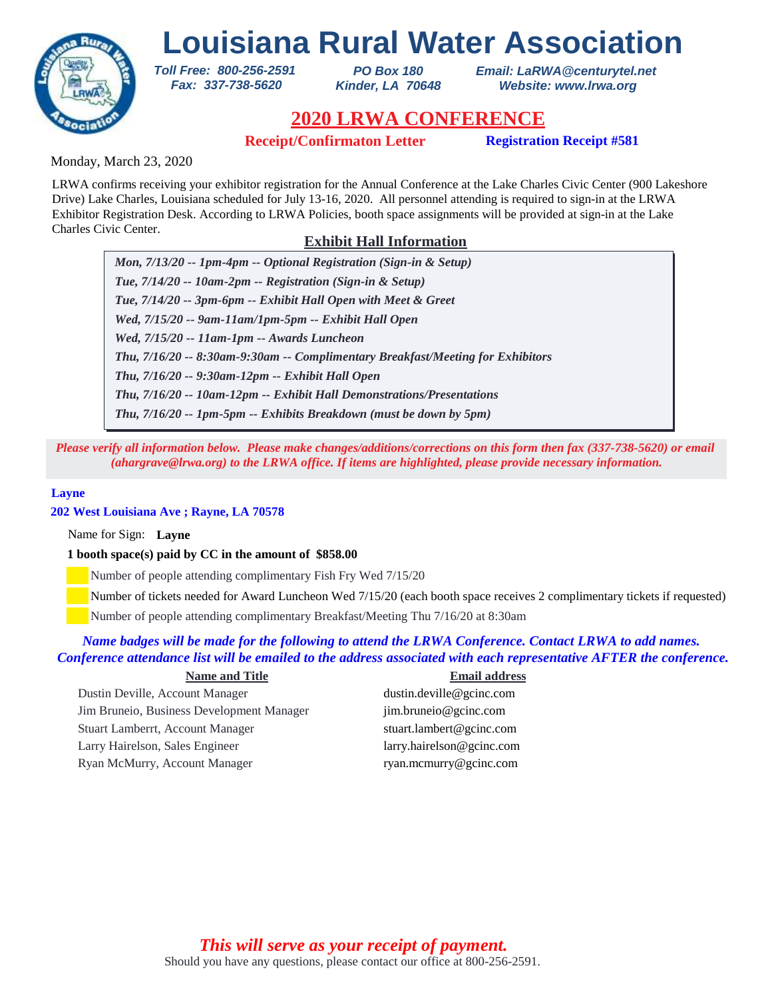

*PO Box 180 Kinder, LA 70648* *Email: LaRWA@centurytel.net Website: www.lrwa.org*

## **2020 LRWA CONFERENCE**

**Receipt/Confirmaton Letter Registration Receipt #581**

Monday, March 23, 2020

LRWA confirms receiving your exhibitor registration for the Annual Conference at the Lake Charles Civic Center (900 Lakeshore Drive) Lake Charles, Louisiana scheduled for July 13-16, 2020. All personnel attending is required to sign-in at the LRWA Exhibitor Registration Desk. According to LRWA Policies, booth space assignments will be provided at sign-in at the Lake Charles Civic Center.

### **Exhibit Hall Information**

*Mon, 7/13/20 -- 1pm-4pm -- Optional Registration (Sign-in & Setup) Tue, 7/14/20 -- 10am-2pm -- Registration (Sign-in & Setup) Tue, 7/14/20 -- 3pm-6pm -- Exhibit Hall Open with Meet & Greet Wed, 7/15/20 -- 9am-11am/1pm-5pm -- Exhibit Hall Open Wed, 7/15/20 -- 11am-1pm -- Awards Luncheon Thu, 7/16/20 -- 9:30am-12pm -- Exhibit Hall Open Thu, 7/16/20 -- 8:30am-9:30am -- Complimentary Breakfast/Meeting for Exhibitors Thu, 7/16/20 -- 10am-12pm -- Exhibit Hall Demonstrations/Presentations Thu, 7/16/20 -- 1pm-5pm -- Exhibits Breakdown (must be down by 5pm)*

*Please verify all information below. Please make changes/additions/corrections on this form then fax (337-738-5620) or email (ahargrave@lrwa.org) to the LRWA office. If items are highlighted, please provide necessary information.*

#### **Layne**

### **202 West Louisiana Ave ; Rayne, LA 70578**

Name for Sign: **Layne**

#### **1 booth space(s) paid by CC in the amount of \$858.00**

*Toll Free: 800-256-2591 Fax: 337-738-5620*

Number of people attending complimentary Fish Fry Wed 7/15/20

Number of tickets needed for Award Luncheon Wed 7/15/20 (each booth space receives 2 complimentary tickets if requested)

Number of people attending complimentary Breakfast/Meeting Thu 7/16/20 at 8:30am

### *Name badges will be made for the following to attend the LRWA Conference. Contact LRWA to add names. Conference attendance list will be emailed to the address associated with each representative AFTER the conference.*

| <b>Name and Title</b>                     | <b>Email address</b>       |
|-------------------------------------------|----------------------------|
| Dustin Deville, Account Manager           | dustin.deville@gcinc.com   |
| Jim Bruneio, Business Development Manager | jim.bruneio@gcinc.com      |
| Stuart Lamberrt, Account Manager          | stuart.lambert@gcinc.com   |
| Larry Hairelson, Sales Engineer           | larry. hairelson@gcinc.com |
| Ryan McMurry, Account Manager             | ryan.mcmurry@gcinc.com     |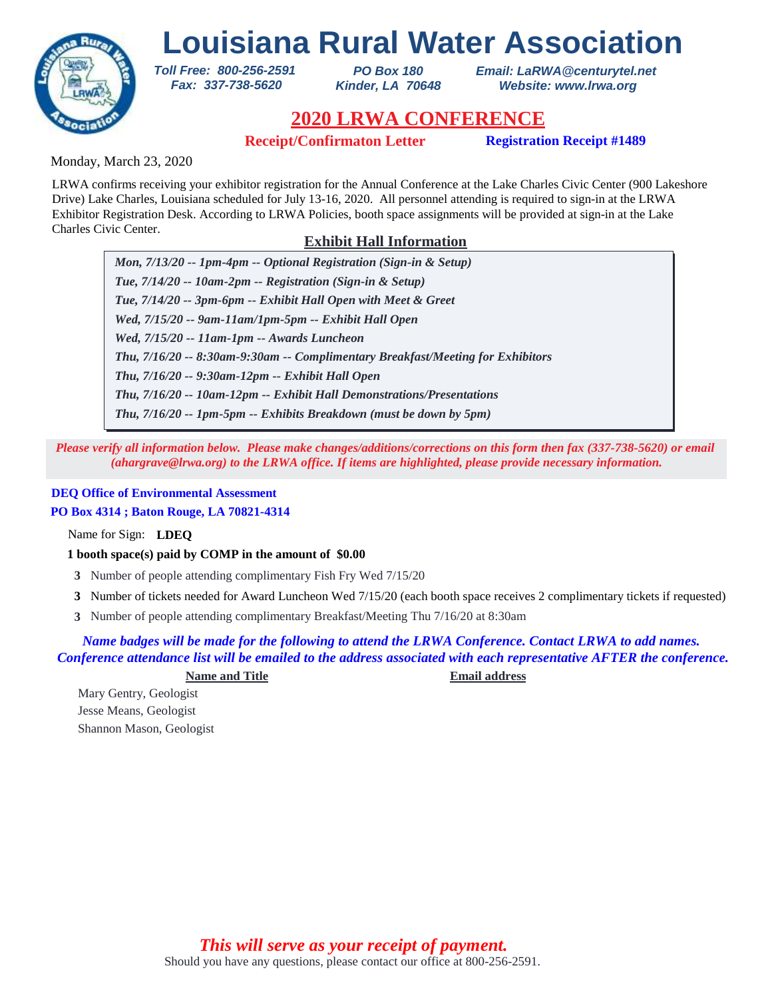

*PO Box 180 Kinder, LA 70648* *Email: LaRWA@centurytel.net Website: www.lrwa.org*

## **2020 LRWA CONFERENCE**

**Receipt/Confirmaton Letter Registration Receipt #1489**

Monday, March 23, 2020

LRWA confirms receiving your exhibitor registration for the Annual Conference at the Lake Charles Civic Center (900 Lakeshore Drive) Lake Charles, Louisiana scheduled for July 13-16, 2020. All personnel attending is required to sign-in at the LRWA Exhibitor Registration Desk. According to LRWA Policies, booth space assignments will be provided at sign-in at the Lake Charles Civic Center.

### **Exhibit Hall Information**

*Mon, 7/13/20 -- 1pm-4pm -- Optional Registration (Sign-in & Setup) Tue, 7/14/20 -- 10am-2pm -- Registration (Sign-in & Setup) Tue, 7/14/20 -- 3pm-6pm -- Exhibit Hall Open with Meet & Greet Wed, 7/15/20 -- 9am-11am/1pm-5pm -- Exhibit Hall Open Wed, 7/15/20 -- 11am-1pm -- Awards Luncheon Thu, 7/16/20 -- 9:30am-12pm -- Exhibit Hall Open Thu, 7/16/20 -- 8:30am-9:30am -- Complimentary Breakfast/Meeting for Exhibitors Thu, 7/16/20 -- 10am-12pm -- Exhibit Hall Demonstrations/Presentations Thu, 7/16/20 -- 1pm-5pm -- Exhibits Breakdown (must be down by 5pm)*

*Please verify all information below. Please make changes/additions/corrections on this form then fax (337-738-5620) or email (ahargrave@lrwa.org) to the LRWA office. If items are highlighted, please provide necessary information.*

### **DEQ Office of Environmental Assessment**

### **PO Box 4314 ; Baton Rouge, LA 70821-4314**

Name for Sign: **LDEQ**

### **1 booth space(s) paid by COMP in the amount of \$0.00**

*Toll Free: 800-256-2591 Fax: 337-738-5620*

- **3** Number of people attending complimentary Fish Fry Wed 7/15/20
- Number of tickets needed for Award Luncheon Wed 7/15/20 (each booth space receives 2 complimentary tickets if requested) **3**
- Number of people attending complimentary Breakfast/Meeting Thu 7/16/20 at 8:30am **3**

### *Name badges will be made for the following to attend the LRWA Conference. Contact LRWA to add names. Conference attendance list will be emailed to the address associated with each representative AFTER the conference.*

#### **Name and Title Email address**

Mary Gentry, Geologist Jesse Means, Geologist Shannon Mason, Geologist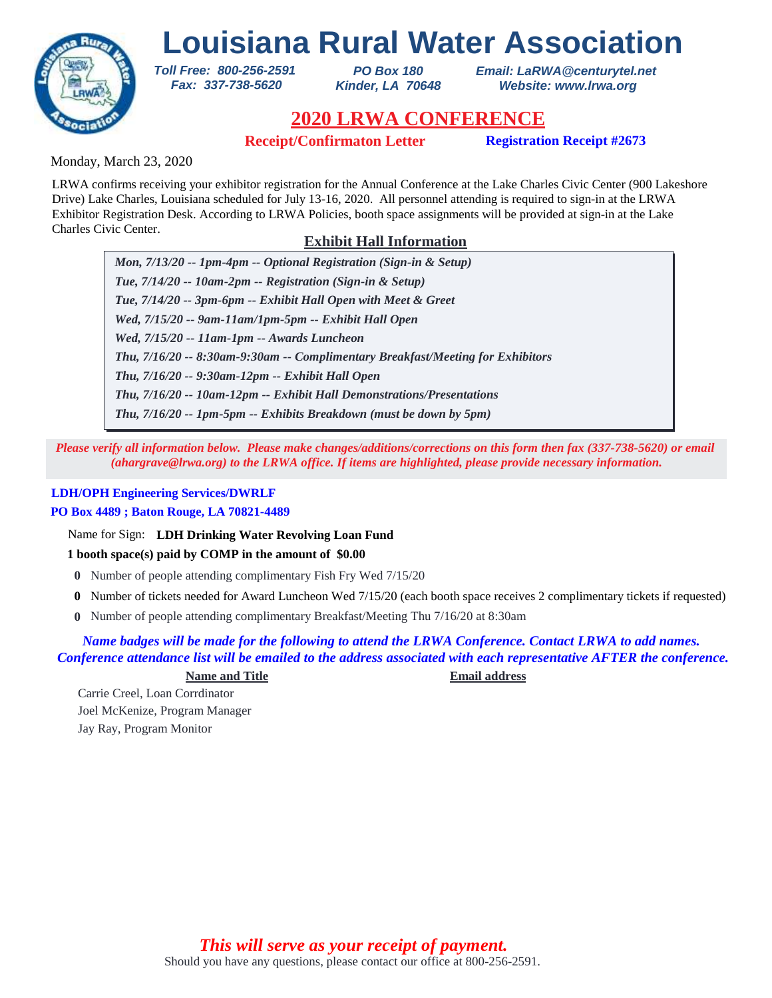

*PO Box 180 Kinder, LA 70648* *Email: LaRWA@centurytel.net Website: www.lrwa.org*

## **2020 LRWA CONFERENCE**

**Receipt/Confirmaton Letter Registration Receipt #2673**

Monday, March 23, 2020

LRWA confirms receiving your exhibitor registration for the Annual Conference at the Lake Charles Civic Center (900 Lakeshore Drive) Lake Charles, Louisiana scheduled for July 13-16, 2020. All personnel attending is required to sign-in at the LRWA Exhibitor Registration Desk. According to LRWA Policies, booth space assignments will be provided at sign-in at the Lake Charles Civic Center.

### **Exhibit Hall Information**

*Mon, 7/13/20 -- 1pm-4pm -- Optional Registration (Sign-in & Setup) Tue, 7/14/20 -- 10am-2pm -- Registration (Sign-in & Setup) Tue, 7/14/20 -- 3pm-6pm -- Exhibit Hall Open with Meet & Greet Wed, 7/15/20 -- 9am-11am/1pm-5pm -- Exhibit Hall Open Wed, 7/15/20 -- 11am-1pm -- Awards Luncheon Thu, 7/16/20 -- 9:30am-12pm -- Exhibit Hall Open Thu, 7/16/20 -- 8:30am-9:30am -- Complimentary Breakfast/Meeting for Exhibitors Thu, 7/16/20 -- 10am-12pm -- Exhibit Hall Demonstrations/Presentations Thu, 7/16/20 -- 1pm-5pm -- Exhibits Breakdown (must be down by 5pm)*

*Please verify all information below. Please make changes/additions/corrections on this form then fax (337-738-5620) or email (ahargrave@lrwa.org) to the LRWA office. If items are highlighted, please provide necessary information.*

### **LDH/OPH Engineering Services/DWRLF**

### **PO Box 4489 ; Baton Rouge, LA 70821-4489**

Name for Sign: **LDH Drinking Water Revolving Loan Fund**

*Toll Free: 800-256-2591 Fax: 337-738-5620*

### **1 booth space(s) paid by COMP in the amount of \$0.00**

- **0** Number of people attending complimentary Fish Fry Wed 7/15/20
- Number of tickets needed for Award Luncheon Wed 7/15/20 (each booth space receives 2 complimentary tickets if requested) **0**
- Number of people attending complimentary Breakfast/Meeting Thu 7/16/20 at 8:30am **0**

### *Name badges will be made for the following to attend the LRWA Conference. Contact LRWA to add names. Conference attendance list will be emailed to the address associated with each representative AFTER the conference.*

### **Name and Title Email address**

Carrie Creel, Loan Corrdinator Joel McKenize, Program Manager Jay Ray, Program Monitor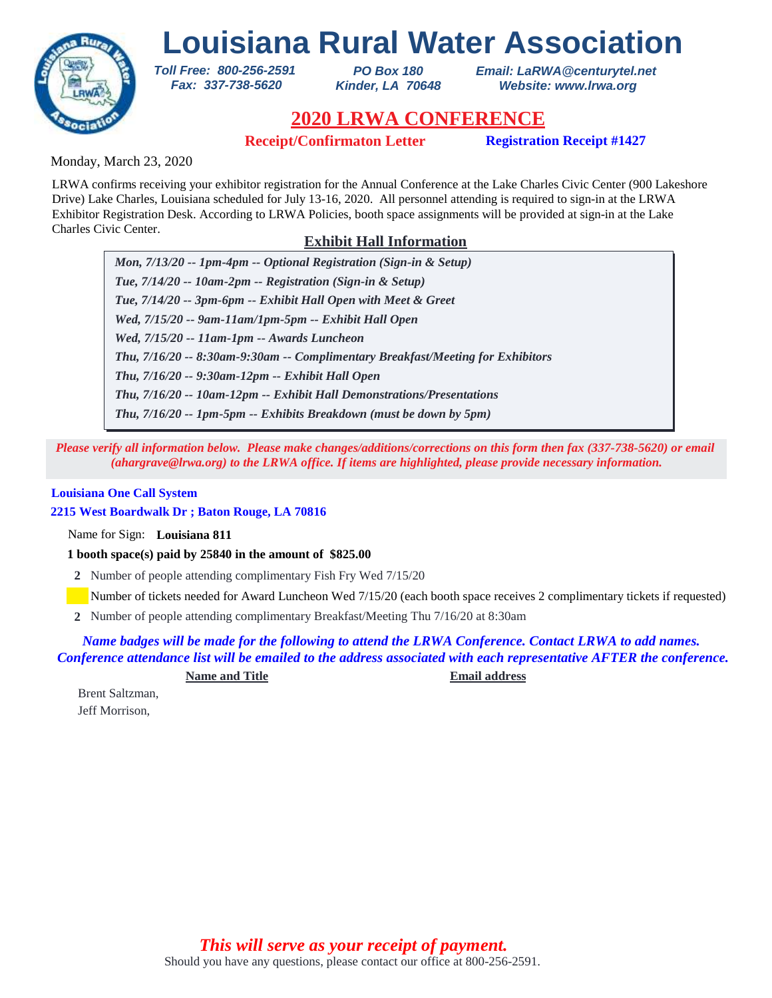

*PO Box 180 Kinder, LA 70648* *Email: LaRWA@centurytel.net Website: www.lrwa.org*

## **2020 LRWA CONFERENCE**

**Receipt/Confirmaton Letter Registration Receipt #1427**

Monday, March 23, 2020

LRWA confirms receiving your exhibitor registration for the Annual Conference at the Lake Charles Civic Center (900 Lakeshore Drive) Lake Charles, Louisiana scheduled for July 13-16, 2020. All personnel attending is required to sign-in at the LRWA Exhibitor Registration Desk. According to LRWA Policies, booth space assignments will be provided at sign-in at the Lake Charles Civic Center.

### **Exhibit Hall Information**

*Mon, 7/13/20 -- 1pm-4pm -- Optional Registration (Sign-in & Setup) Tue, 7/14/20 -- 10am-2pm -- Registration (Sign-in & Setup) Tue, 7/14/20 -- 3pm-6pm -- Exhibit Hall Open with Meet & Greet Wed, 7/15/20 -- 9am-11am/1pm-5pm -- Exhibit Hall Open Wed, 7/15/20 -- 11am-1pm -- Awards Luncheon Thu, 7/16/20 -- 9:30am-12pm -- Exhibit Hall Open Thu, 7/16/20 -- 8:30am-9:30am -- Complimentary Breakfast/Meeting for Exhibitors Thu, 7/16/20 -- 10am-12pm -- Exhibit Hall Demonstrations/Presentations Thu, 7/16/20 -- 1pm-5pm -- Exhibits Breakdown (must be down by 5pm)*

*Please verify all information below. Please make changes/additions/corrections on this form then fax (337-738-5620) or email (ahargrave@lrwa.org) to the LRWA office. If items are highlighted, please provide necessary information.*

#### **Louisiana One Call System**

**2215 West Boardwalk Dr ; Baton Rouge, LA 70816**

Name for Sign: **Louisiana 811**

**1 booth space(s) paid by 25840 in the amount of \$825.00**

*Toll Free: 800-256-2591 Fax: 337-738-5620*

**2** Number of people attending complimentary Fish Fry Wed 7/15/20

Number of tickets needed for Award Luncheon Wed 7/15/20 (each booth space receives 2 complimentary tickets if requested)

Number of people attending complimentary Breakfast/Meeting Thu 7/16/20 at 8:30am **2**

*Name badges will be made for the following to attend the LRWA Conference. Contact LRWA to add names. Conference attendance list will be emailed to the address associated with each representative AFTER the conference.*

**Name and Title Email address**

Brent Saltzman, Jeff Morrison,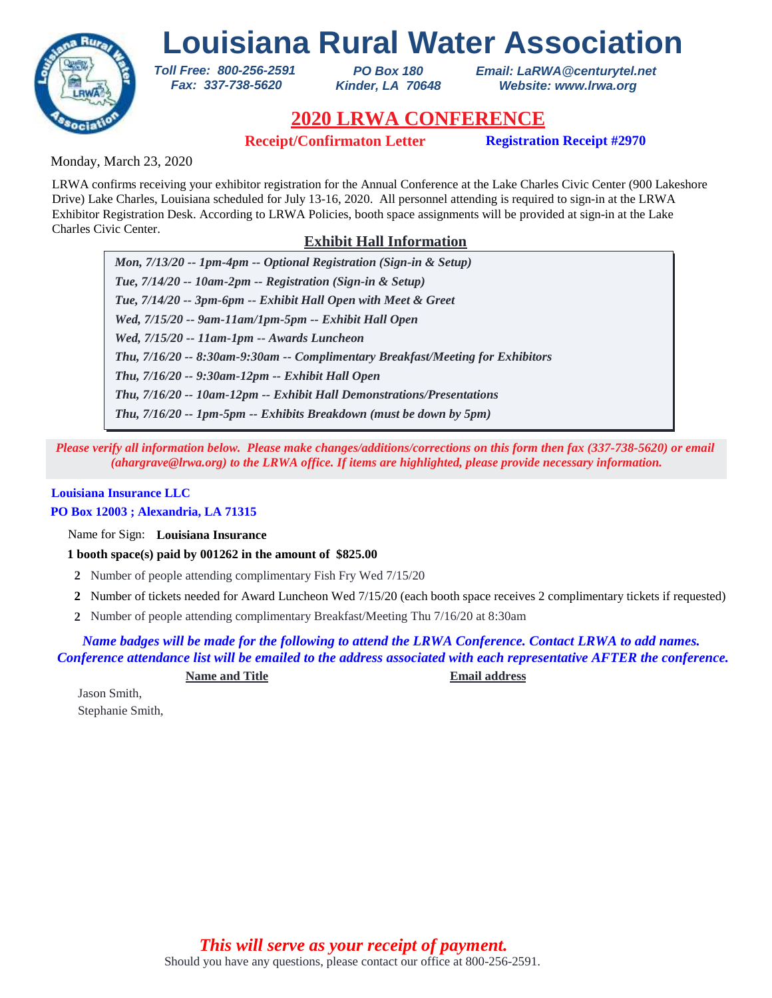

*PO Box 180 Kinder, LA 70648* *Email: LaRWA@centurytel.net Website: www.lrwa.org*

## **2020 LRWA CONFERENCE**

**Receipt/Confirmaton Letter Registration Receipt #2970**

Monday, March 23, 2020

LRWA confirms receiving your exhibitor registration for the Annual Conference at the Lake Charles Civic Center (900 Lakeshore Drive) Lake Charles, Louisiana scheduled for July 13-16, 2020. All personnel attending is required to sign-in at the LRWA Exhibitor Registration Desk. According to LRWA Policies, booth space assignments will be provided at sign-in at the Lake Charles Civic Center.

### **Exhibit Hall Information**

*Mon, 7/13/20 -- 1pm-4pm -- Optional Registration (Sign-in & Setup) Tue, 7/14/20 -- 10am-2pm -- Registration (Sign-in & Setup) Tue, 7/14/20 -- 3pm-6pm -- Exhibit Hall Open with Meet & Greet Wed, 7/15/20 -- 9am-11am/1pm-5pm -- Exhibit Hall Open Wed, 7/15/20 -- 11am-1pm -- Awards Luncheon Thu, 7/16/20 -- 9:30am-12pm -- Exhibit Hall Open Thu, 7/16/20 -- 8:30am-9:30am -- Complimentary Breakfast/Meeting for Exhibitors Thu, 7/16/20 -- 10am-12pm -- Exhibit Hall Demonstrations/Presentations Thu, 7/16/20 -- 1pm-5pm -- Exhibits Breakdown (must be down by 5pm)*

*Please verify all information below. Please make changes/additions/corrections on this form then fax (337-738-5620) or email (ahargrave@lrwa.org) to the LRWA office. If items are highlighted, please provide necessary information.*

### **Louisiana Insurance LLC**

### **PO Box 12003 ; Alexandria, LA 71315**

Name for Sign: **Louisiana Insurance**

**1 booth space(s) paid by 001262 in the amount of \$825.00**

*Toll Free: 800-256-2591 Fax: 337-738-5620*

- **2** Number of people attending complimentary Fish Fry Wed 7/15/20
- Number of tickets needed for Award Luncheon Wed 7/15/20 (each booth space receives 2 complimentary tickets if requested) **2**
- Number of people attending complimentary Breakfast/Meeting Thu 7/16/20 at 8:30am **2**

*Name badges will be made for the following to attend the LRWA Conference. Contact LRWA to add names. Conference attendance list will be emailed to the address associated with each representative AFTER the conference.*

**Name and Title Email address**

Jason Smith, Stephanie Smith,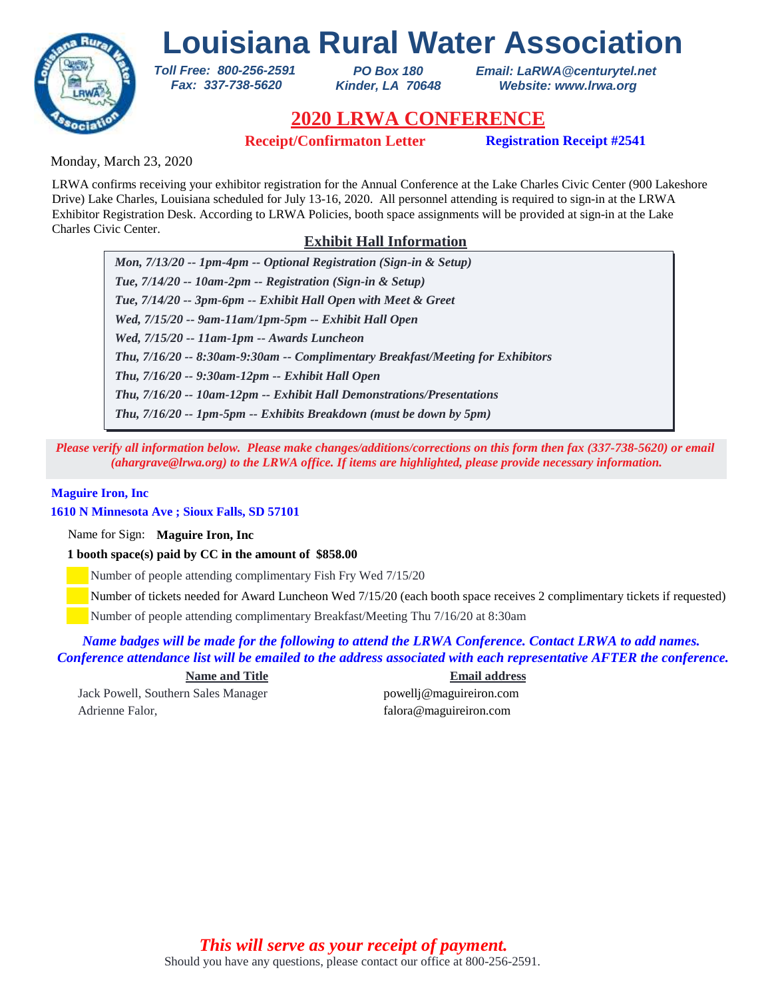

*PO Box 180 Kinder, LA 70648* *Email: LaRWA@centurytel.net Website: www.lrwa.org*

## **2020 LRWA CONFERENCE**

**Receipt/Confirmaton Letter Registration Receipt #2541** 

Monday, March 23, 2020

LRWA confirms receiving your exhibitor registration for the Annual Conference at the Lake Charles Civic Center (900 Lakeshore Drive) Lake Charles, Louisiana scheduled for July 13-16, 2020. All personnel attending is required to sign-in at the LRWA Exhibitor Registration Desk. According to LRWA Policies, booth space assignments will be provided at sign-in at the Lake Charles Civic Center.

### **Exhibit Hall Information**

*Mon, 7/13/20 -- 1pm-4pm -- Optional Registration (Sign-in & Setup) Tue, 7/14/20 -- 10am-2pm -- Registration (Sign-in & Setup) Tue, 7/14/20 -- 3pm-6pm -- Exhibit Hall Open with Meet & Greet Wed, 7/15/20 -- 9am-11am/1pm-5pm -- Exhibit Hall Open Wed, 7/15/20 -- 11am-1pm -- Awards Luncheon Thu, 7/16/20 -- 9:30am-12pm -- Exhibit Hall Open Thu, 7/16/20 -- 8:30am-9:30am -- Complimentary Breakfast/Meeting for Exhibitors Thu, 7/16/20 -- 10am-12pm -- Exhibit Hall Demonstrations/Presentations Thu, 7/16/20 -- 1pm-5pm -- Exhibits Breakdown (must be down by 5pm)*

*Please verify all information below. Please make changes/additions/corrections on this form then fax (337-738-5620) or email (ahargrave@lrwa.org) to the LRWA office. If items are highlighted, please provide necessary information.*

#### **Maguire Iron, Inc**

### **1610 N Minnesota Ave ; Sioux Falls, SD 57101**

Name for Sign: **Maguire Iron, Inc**

**1 booth space(s) paid by CC in the amount of \$858.00**

*Toll Free: 800-256-2591 Fax: 337-738-5620*

Number of people attending complimentary Fish Fry Wed 7/15/20

Number of tickets needed for Award Luncheon Wed 7/15/20 (each booth space receives 2 complimentary tickets if requested)

Number of people attending complimentary Breakfast/Meeting Thu 7/16/20 at 8:30am

### *Name badges will be made for the following to attend the LRWA Conference. Contact LRWA to add names. Conference attendance list will be emailed to the address associated with each representative AFTER the conference.*

Jack Powell, Southern Sales Manager powellj@maguireiron.com Adrienne Falor, falora @maguireiron.com

**Name and Title Email address**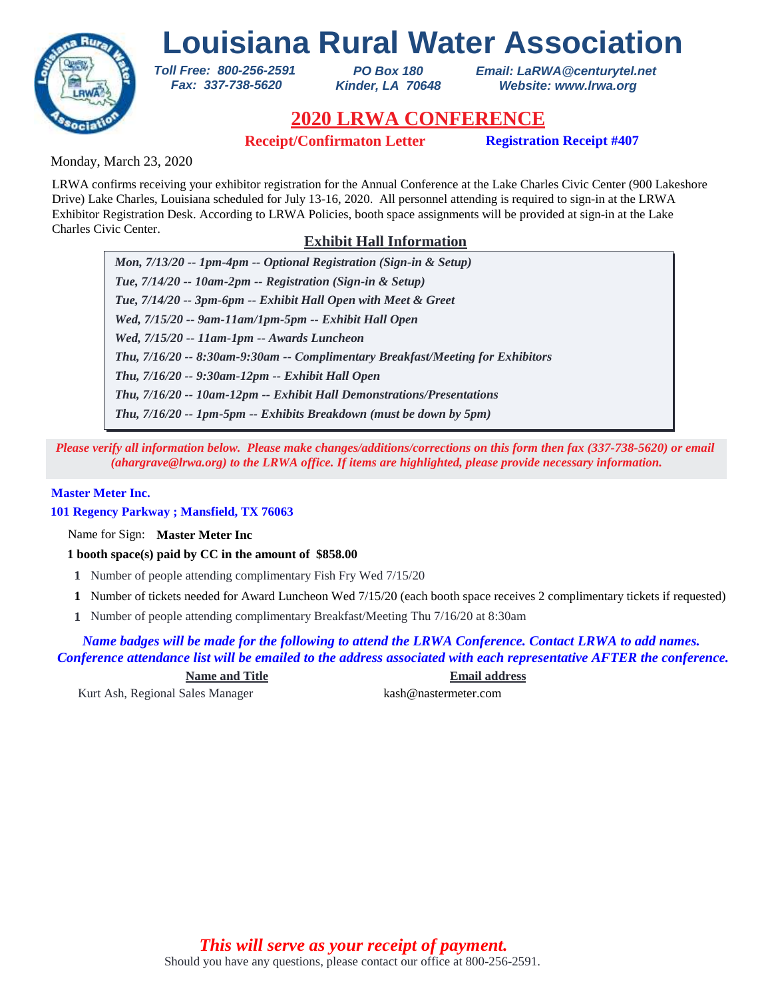

*PO Box 180 Kinder, LA 70648* *Email: LaRWA@centurytel.net Website: www.lrwa.org*

## **2020 LRWA CONFERENCE**

**Receipt/Confirmaton Letter Registration Receipt #407**

Monday, March 23, 2020

LRWA confirms receiving your exhibitor registration for the Annual Conference at the Lake Charles Civic Center (900 Lakeshore Drive) Lake Charles, Louisiana scheduled for July 13-16, 2020. All personnel attending is required to sign-in at the LRWA Exhibitor Registration Desk. According to LRWA Policies, booth space assignments will be provided at sign-in at the Lake Charles Civic Center.

### **Exhibit Hall Information**

*Mon, 7/13/20 -- 1pm-4pm -- Optional Registration (Sign-in & Setup) Tue, 7/14/20 -- 10am-2pm -- Registration (Sign-in & Setup) Tue, 7/14/20 -- 3pm-6pm -- Exhibit Hall Open with Meet & Greet Wed, 7/15/20 -- 9am-11am/1pm-5pm -- Exhibit Hall Open Wed, 7/15/20 -- 11am-1pm -- Awards Luncheon Thu, 7/16/20 -- 9:30am-12pm -- Exhibit Hall Open Thu, 7/16/20 -- 8:30am-9:30am -- Complimentary Breakfast/Meeting for Exhibitors Thu, 7/16/20 -- 10am-12pm -- Exhibit Hall Demonstrations/Presentations Thu, 7/16/20 -- 1pm-5pm -- Exhibits Breakdown (must be down by 5pm)*

*Please verify all information below. Please make changes/additions/corrections on this form then fax (337-738-5620) or email (ahargrave@lrwa.org) to the LRWA office. If items are highlighted, please provide necessary information.*

### **Master Meter Inc.**

**101 Regency Parkway ; Mansfield, TX 76063**

Name for Sign: **Master Meter Inc**

**1 booth space(s) paid by CC in the amount of \$858.00**

*Toll Free: 800-256-2591 Fax: 337-738-5620*

- **1** Number of people attending complimentary Fish Fry Wed 7/15/20
- Number of tickets needed for Award Luncheon Wed 7/15/20 (each booth space receives 2 complimentary tickets if requested) **1**
- Number of people attending complimentary Breakfast/Meeting Thu 7/16/20 at 8:30am **1**

*Name badges will be made for the following to attend the LRWA Conference. Contact LRWA to add names. Conference attendance list will be emailed to the address associated with each representative AFTER the conference.*

**Name and Title Email address**

Kurt Ash, Regional Sales Manager kash@nastermeter.com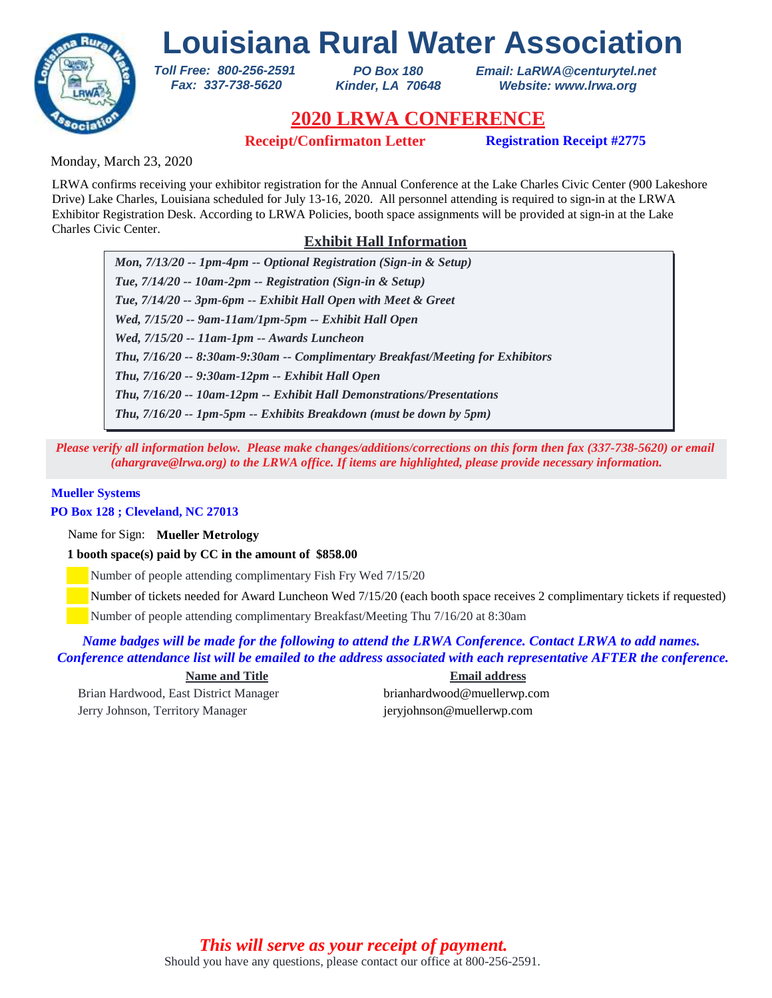

*PO Box 180 Kinder, LA 70648* *Email: LaRWA@centurytel.net Website: www.lrwa.org*

## **2020 LRWA CONFERENCE**

**Receipt/Confirmaton Letter Registration Receipt #2775**

Monday, March 23, 2020

LRWA confirms receiving your exhibitor registration for the Annual Conference at the Lake Charles Civic Center (900 Lakeshore Drive) Lake Charles, Louisiana scheduled for July 13-16, 2020. All personnel attending is required to sign-in at the LRWA Exhibitor Registration Desk. According to LRWA Policies, booth space assignments will be provided at sign-in at the Lake Charles Civic Center.

### **Exhibit Hall Information**

*Mon, 7/13/20 -- 1pm-4pm -- Optional Registration (Sign-in & Setup) Tue, 7/14/20 -- 10am-2pm -- Registration (Sign-in & Setup) Tue, 7/14/20 -- 3pm-6pm -- Exhibit Hall Open with Meet & Greet Wed, 7/15/20 -- 9am-11am/1pm-5pm -- Exhibit Hall Open Wed, 7/15/20 -- 11am-1pm -- Awards Luncheon Thu, 7/16/20 -- 9:30am-12pm -- Exhibit Hall Open Thu, 7/16/20 -- 8:30am-9:30am -- Complimentary Breakfast/Meeting for Exhibitors Thu, 7/16/20 -- 10am-12pm -- Exhibit Hall Demonstrations/Presentations Thu, 7/16/20 -- 1pm-5pm -- Exhibits Breakdown (must be down by 5pm)*

*Please verify all information below. Please make changes/additions/corrections on this form then fax (337-738-5620) or email (ahargrave@lrwa.org) to the LRWA office. If items are highlighted, please provide necessary information.*

#### **Mueller Systems**

**PO Box 128 ; Cleveland, NC 27013**

Name for Sign: **Mueller Metrology**

**1 booth space(s) paid by CC in the amount of \$858.00**

*Toll Free: 800-256-2591 Fax: 337-738-5620*

Number of people attending complimentary Fish Fry Wed 7/15/20

Number of tickets needed for Award Luncheon Wed 7/15/20 (each booth space receives 2 complimentary tickets if requested)

Number of people attending complimentary Breakfast/Meeting Thu 7/16/20 at 8:30am

*Name badges will be made for the following to attend the LRWA Conference. Contact LRWA to add names. Conference attendance list will be emailed to the address associated with each representative AFTER the conference.*

Brian Hardwood, East District Manager brianhardwood@muellerwp.com Jerry Johnson, Territory Manager jeryjohnson@muellerwp.com

**Name and Title Email address**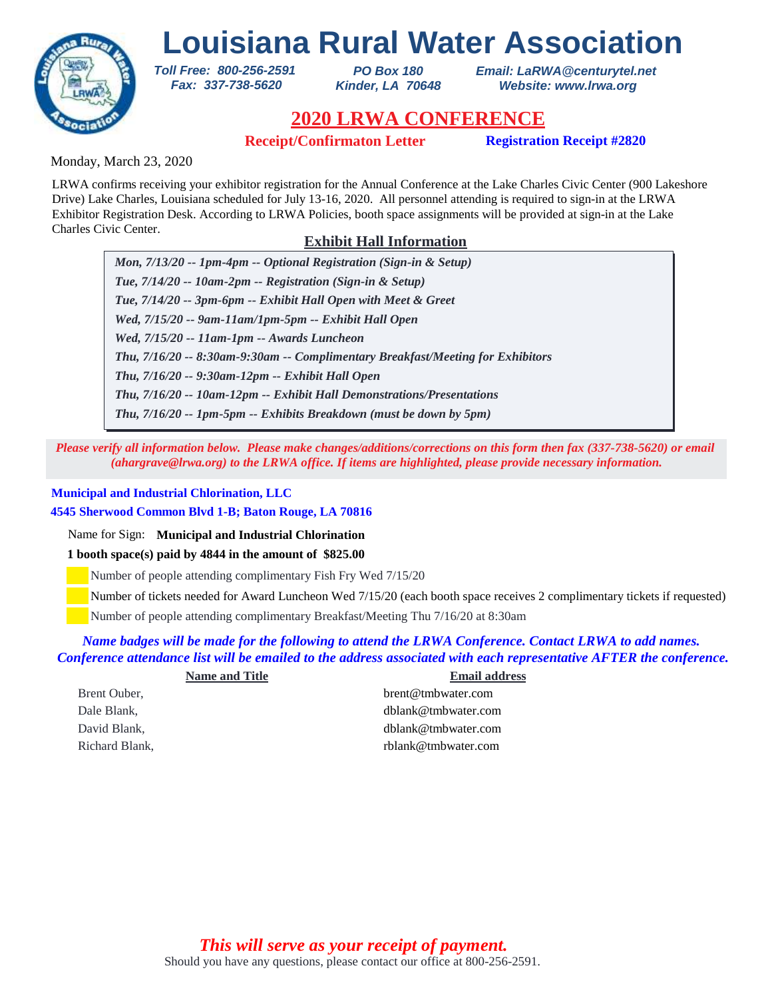

*PO Box 180 Kinder, LA 70648* *Email: LaRWA@centurytel.net Website: www.lrwa.org*

# **2020 LRWA CONFERENCE**

**Receipt/Confirmaton Letter Registration Receipt #2820**

Monday, March 23, 2020

LRWA confirms receiving your exhibitor registration for the Annual Conference at the Lake Charles Civic Center (900 Lakeshore Drive) Lake Charles, Louisiana scheduled for July 13-16, 2020. All personnel attending is required to sign-in at the LRWA Exhibitor Registration Desk. According to LRWA Policies, booth space assignments will be provided at sign-in at the Lake Charles Civic Center.

### **Exhibit Hall Information**

*Mon, 7/13/20 -- 1pm-4pm -- Optional Registration (Sign-in & Setup) Tue, 7/14/20 -- 10am-2pm -- Registration (Sign-in & Setup) Tue, 7/14/20 -- 3pm-6pm -- Exhibit Hall Open with Meet & Greet Wed, 7/15/20 -- 9am-11am/1pm-5pm -- Exhibit Hall Open Wed, 7/15/20 -- 11am-1pm -- Awards Luncheon Thu, 7/16/20 -- 9:30am-12pm -- Exhibit Hall Open Thu, 7/16/20 -- 8:30am-9:30am -- Complimentary Breakfast/Meeting for Exhibitors Thu, 7/16/20 -- 10am-12pm -- Exhibit Hall Demonstrations/Presentations Thu, 7/16/20 -- 1pm-5pm -- Exhibits Breakdown (must be down by 5pm)*

*Please verify all information below. Please make changes/additions/corrections on this form then fax (337-738-5620) or email (ahargrave@lrwa.org) to the LRWA office. If items are highlighted, please provide necessary information.*

### **Municipal and Industrial Chlorination, LLC**

**4545 Sherwood Common Blvd 1-B; Baton Rouge, LA 70816**

*Toll Free: 800-256-2591 Fax: 337-738-5620*

Name for Sign: **Municipal and Industrial Chlorination**

**1 booth space(s) paid by 4844 in the amount of \$825.00**

Number of people attending complimentary Fish Fry Wed 7/15/20

Number of tickets needed for Award Luncheon Wed 7/15/20 (each booth space receives 2 complimentary tickets if requested)

Number of people attending complimentary Breakfast/Meeting Thu 7/16/20 at 8:30am

### *Name badges will be made for the following to attend the LRWA Conference. Contact LRWA to add names. Conference attendance list will be emailed to the address associated with each representative AFTER the conference.*

| <b>Name and Title</b> | <b>Email address</b>   |
|-----------------------|------------------------|
| Brent Ouber,          | brent@tmbwater.com     |
| Dale Blank,           | $dh$ lank@tmbwater.com |
| David Blank.          | dblank@tmbwater.com    |
| Richard Blank.        | rblank@tmbwater.com    |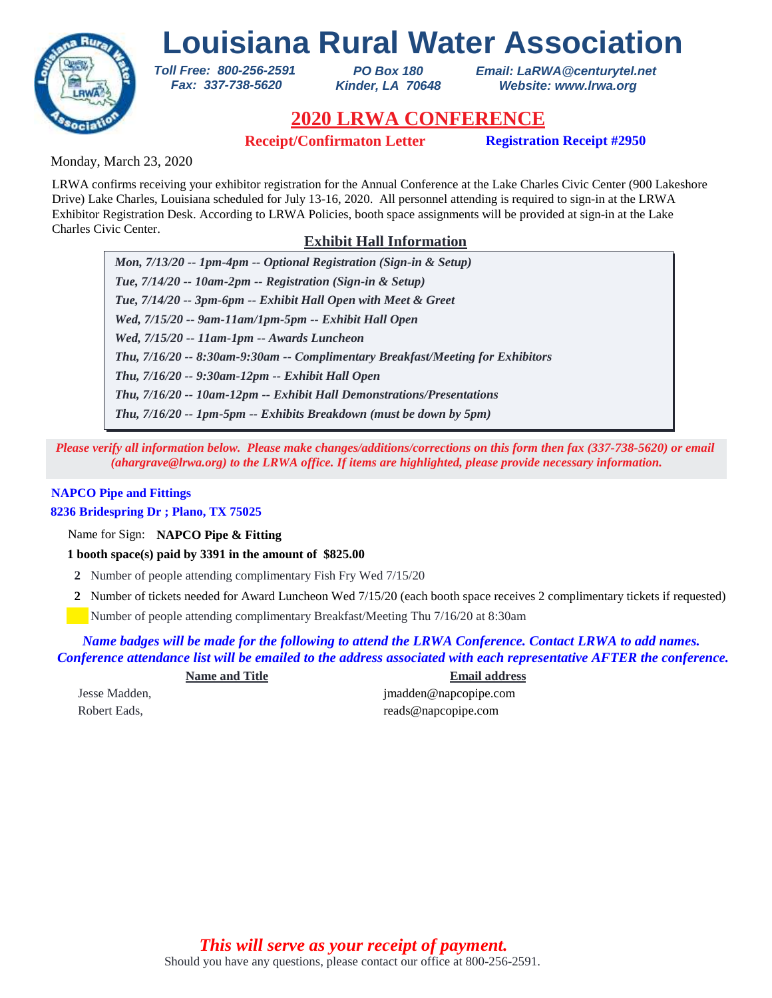

*PO Box 180 Kinder, LA 70648* *Email: LaRWA@centurytel.net Website: www.lrwa.org*

## **2020 LRWA CONFERENCE**

**Receipt/Confirmaton Letter Registration Receipt #2950**

Monday, March 23, 2020

LRWA confirms receiving your exhibitor registration for the Annual Conference at the Lake Charles Civic Center (900 Lakeshore Drive) Lake Charles, Louisiana scheduled for July 13-16, 2020. All personnel attending is required to sign-in at the LRWA Exhibitor Registration Desk. According to LRWA Policies, booth space assignments will be provided at sign-in at the Lake Charles Civic Center.

### **Exhibit Hall Information**

*Mon, 7/13/20 -- 1pm-4pm -- Optional Registration (Sign-in & Setup) Tue, 7/14/20 -- 10am-2pm -- Registration (Sign-in & Setup) Tue, 7/14/20 -- 3pm-6pm -- Exhibit Hall Open with Meet & Greet Wed, 7/15/20 -- 9am-11am/1pm-5pm -- Exhibit Hall Open Wed, 7/15/20 -- 11am-1pm -- Awards Luncheon Thu, 7/16/20 -- 9:30am-12pm -- Exhibit Hall Open Thu, 7/16/20 -- 8:30am-9:30am -- Complimentary Breakfast/Meeting for Exhibitors Thu, 7/16/20 -- 10am-12pm -- Exhibit Hall Demonstrations/Presentations Thu, 7/16/20 -- 1pm-5pm -- Exhibits Breakdown (must be down by 5pm)*

*Please verify all information below. Please make changes/additions/corrections on this form then fax (337-738-5620) or email (ahargrave@lrwa.org) to the LRWA office. If items are highlighted, please provide necessary information.*

### **NAPCO Pipe and Fittings**

**8236 Bridespring Dr ; Plano, TX 75025**

Name for Sign: **NAPCO Pipe & Fitting**

**1 booth space(s) paid by 3391 in the amount of \$825.00**

*Toll Free: 800-256-2591 Fax: 337-738-5620*

- **2** Number of people attending complimentary Fish Fry Wed 7/15/20
- Number of tickets needed for Award Luncheon Wed 7/15/20 (each booth space receives 2 complimentary tickets if requested) **2**

Number of people attending complimentary Breakfast/Meeting Thu 7/16/20 at 8:30am

*Name badges will be made for the following to attend the LRWA Conference. Contact LRWA to add names. Conference attendance list will be emailed to the address associated with each representative AFTER the conference.*

**Name and Title Email address** Jesse Madden, jmadden@napcopipe.com Robert Eads, reads@napcopipe.com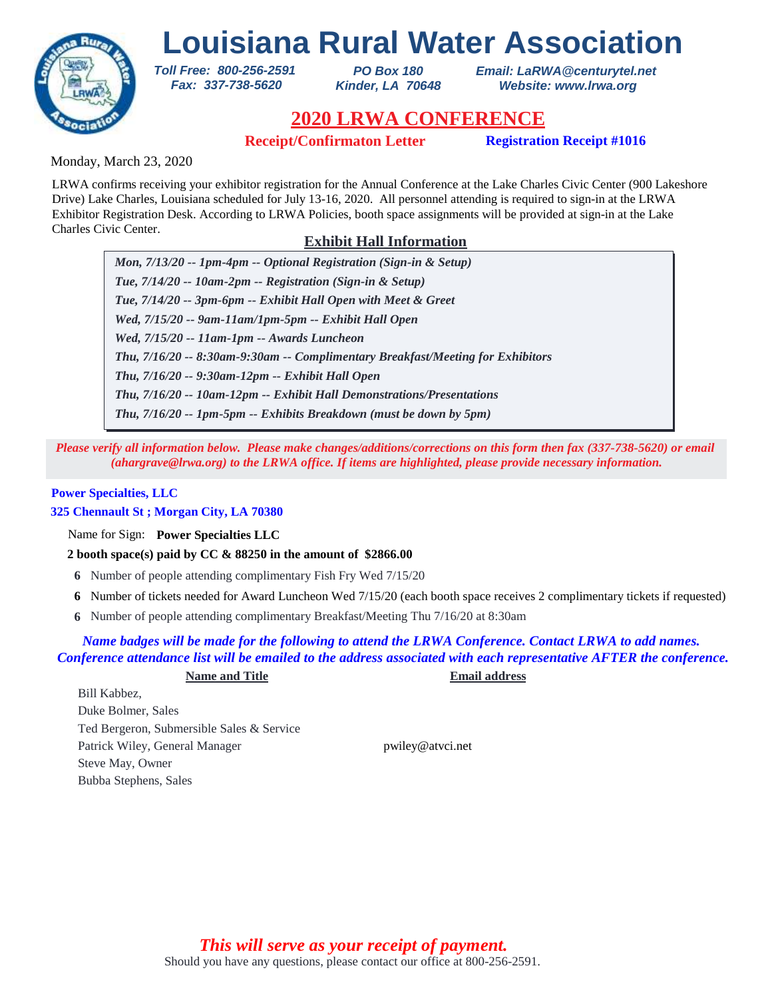

*PO Box 180 Kinder, LA 70648* *Email: LaRWA@centurytel.net Website: www.lrwa.org*

## **2020 LRWA CONFERENCE**

**Receipt/Confirmaton Letter Registration Receipt #1016**

Monday, March 23, 2020

LRWA confirms receiving your exhibitor registration for the Annual Conference at the Lake Charles Civic Center (900 Lakeshore Drive) Lake Charles, Louisiana scheduled for July 13-16, 2020. All personnel attending is required to sign-in at the LRWA Exhibitor Registration Desk. According to LRWA Policies, booth space assignments will be provided at sign-in at the Lake Charles Civic Center.

### **Exhibit Hall Information**

*Mon, 7/13/20 -- 1pm-4pm -- Optional Registration (Sign-in & Setup) Tue, 7/14/20 -- 10am-2pm -- Registration (Sign-in & Setup) Tue, 7/14/20 -- 3pm-6pm -- Exhibit Hall Open with Meet & Greet Wed, 7/15/20 -- 9am-11am/1pm-5pm -- Exhibit Hall Open Wed, 7/15/20 -- 11am-1pm -- Awards Luncheon Thu, 7/16/20 -- 9:30am-12pm -- Exhibit Hall Open Thu, 7/16/20 -- 8:30am-9:30am -- Complimentary Breakfast/Meeting for Exhibitors Thu, 7/16/20 -- 10am-12pm -- Exhibit Hall Demonstrations/Presentations Thu, 7/16/20 -- 1pm-5pm -- Exhibits Breakdown (must be down by 5pm)*

*Please verify all information below. Please make changes/additions/corrections on this form then fax (337-738-5620) or email (ahargrave@lrwa.org) to the LRWA office. If items are highlighted, please provide necessary information.*

#### **Power Specialties, LLC**

### **325 Chennault St ; Morgan City, LA 70380**

Name for Sign: **Power Specialties LLC**

**2 booth space(s) paid by CC & 88250 in the amount of \$2866.00**

*Toll Free: 800-256-2591 Fax: 337-738-5620*

- **6** Number of people attending complimentary Fish Fry Wed 7/15/20
- Number of tickets needed for Award Luncheon Wed 7/15/20 (each booth space receives 2 complimentary tickets if requested) **6**
- Number of people attending complimentary Breakfast/Meeting Thu 7/16/20 at 8:30am **6**

### *Name badges will be made for the following to attend the LRWA Conference. Contact LRWA to add names. Conference attendance list will be emailed to the address associated with each representative AFTER the conference.*

#### **Name and Title Email address**

Bill Kabbez, Duke Bolmer, Sales Ted Bergeron, Submersible Sales & Service Patrick Wiley, General Manager pwiley@atvci.net Steve May, Owner Bubba Stephens, Sales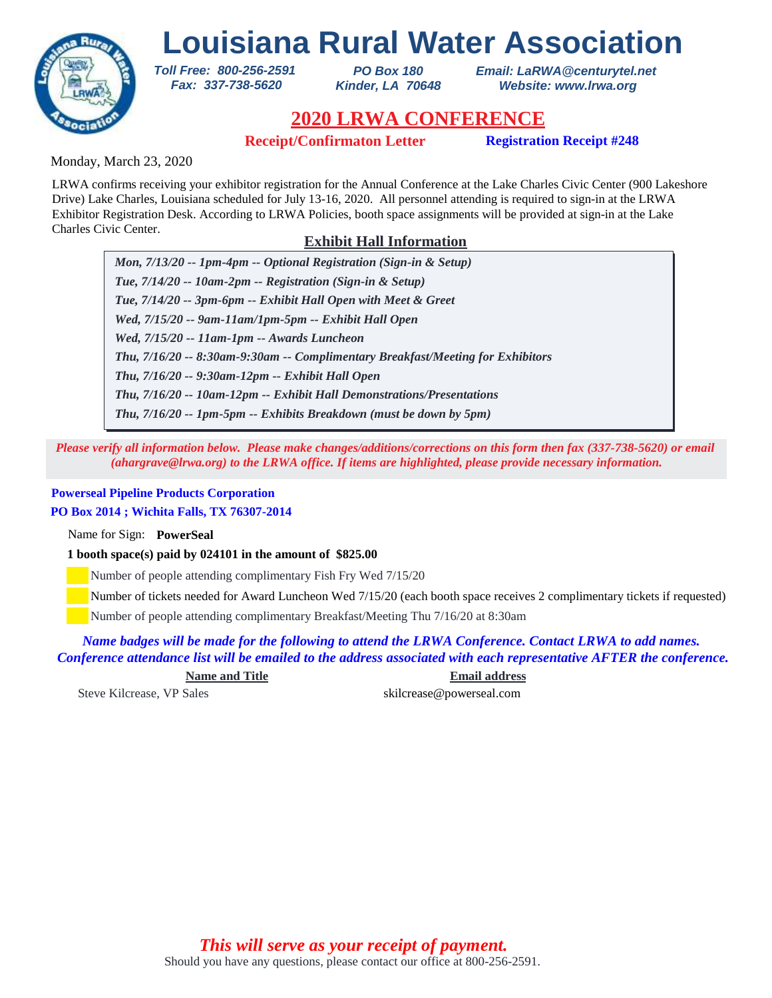

*PO Box 180 Kinder, LA 70648* *Email: LaRWA@centurytel.net Website: www.lrwa.org*

## **2020 LRWA CONFERENCE**

**Receipt/Confirmaton Letter Registration Receipt #248**

Monday, March 23, 2020

LRWA confirms receiving your exhibitor registration for the Annual Conference at the Lake Charles Civic Center (900 Lakeshore Drive) Lake Charles, Louisiana scheduled for July 13-16, 2020. All personnel attending is required to sign-in at the LRWA Exhibitor Registration Desk. According to LRWA Policies, booth space assignments will be provided at sign-in at the Lake Charles Civic Center.

### **Exhibit Hall Information**

*Mon, 7/13/20 -- 1pm-4pm -- Optional Registration (Sign-in & Setup) Tue, 7/14/20 -- 10am-2pm -- Registration (Sign-in & Setup) Tue, 7/14/20 -- 3pm-6pm -- Exhibit Hall Open with Meet & Greet Wed, 7/15/20 -- 9am-11am/1pm-5pm -- Exhibit Hall Open Wed, 7/15/20 -- 11am-1pm -- Awards Luncheon Thu, 7/16/20 -- 9:30am-12pm -- Exhibit Hall Open Thu, 7/16/20 -- 8:30am-9:30am -- Complimentary Breakfast/Meeting for Exhibitors Thu, 7/16/20 -- 10am-12pm -- Exhibit Hall Demonstrations/Presentations Thu, 7/16/20 -- 1pm-5pm -- Exhibits Breakdown (must be down by 5pm)*

*Please verify all information below. Please make changes/additions/corrections on this form then fax (337-738-5620) or email (ahargrave@lrwa.org) to the LRWA office. If items are highlighted, please provide necessary information.*

### **Powerseal Pipeline Products Corporation**

### **PO Box 2014 ; Wichita Falls, TX 76307-2014**

Name for Sign: **PowerSeal**

**1 booth space(s) paid by 024101 in the amount of \$825.00**

*Toll Free: 800-256-2591 Fax: 337-738-5620*

Number of people attending complimentary Fish Fry Wed 7/15/20

Number of tickets needed for Award Luncheon Wed 7/15/20 (each booth space receives 2 complimentary tickets if requested)

Number of people attending complimentary Breakfast/Meeting Thu 7/16/20 at 8:30am

*Name badges will be made for the following to attend the LRWA Conference. Contact LRWA to add names. Conference attendance list will be emailed to the address associated with each representative AFTER the conference.*

**Name and Title Email address**

Steve Kilcrease, VP Sales skilcrease and skilcrease and skilcrease and skilcrease and skilcrease and skilcrease and skilcrease and skilcrease and skilcrease and skilcrease and skilcrease and skilcrease and skilcrease and s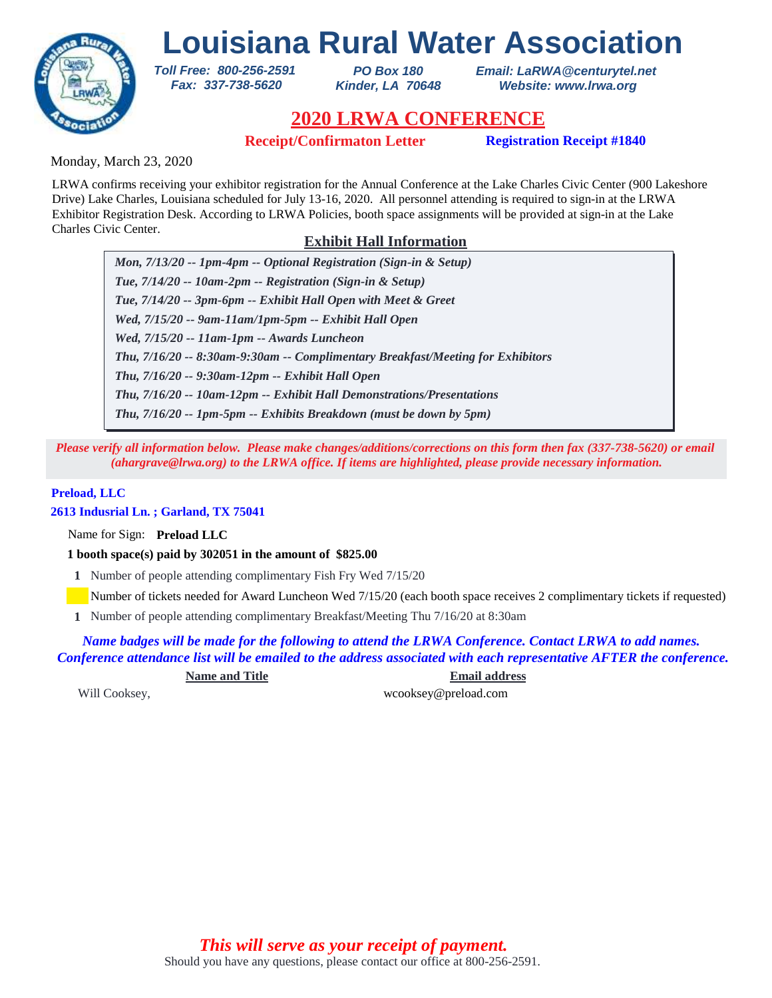

*PO Box 180 Kinder, LA 70648* *Email: LaRWA@centurytel.net Website: www.lrwa.org*

# **2020 LRWA CONFERENCE**

**Receipt/Confirmaton Letter Registration Receipt #1840**

Monday, March 23, 2020

LRWA confirms receiving your exhibitor registration for the Annual Conference at the Lake Charles Civic Center (900 Lakeshore Drive) Lake Charles, Louisiana scheduled for July 13-16, 2020. All personnel attending is required to sign-in at the LRWA Exhibitor Registration Desk. According to LRWA Policies, booth space assignments will be provided at sign-in at the Lake Charles Civic Center.

### **Exhibit Hall Information**

*Mon, 7/13/20 -- 1pm-4pm -- Optional Registration (Sign-in & Setup) Tue, 7/14/20 -- 10am-2pm -- Registration (Sign-in & Setup) Tue, 7/14/20 -- 3pm-6pm -- Exhibit Hall Open with Meet & Greet Wed, 7/15/20 -- 9am-11am/1pm-5pm -- Exhibit Hall Open Wed, 7/15/20 -- 11am-1pm -- Awards Luncheon Thu, 7/16/20 -- 9:30am-12pm -- Exhibit Hall Open Thu, 7/16/20 -- 8:30am-9:30am -- Complimentary Breakfast/Meeting for Exhibitors Thu, 7/16/20 -- 10am-12pm -- Exhibit Hall Demonstrations/Presentations Thu, 7/16/20 -- 1pm-5pm -- Exhibits Breakdown (must be down by 5pm)*

*Please verify all information below. Please make changes/additions/corrections on this form then fax (337-738-5620) or email (ahargrave@lrwa.org) to the LRWA office. If items are highlighted, please provide necessary information.*

### **Preload, LLC**

**2613 Indusrial Ln. ; Garland, TX 75041**

Name for Sign: **Preload LLC**

**1 booth space(s) paid by 302051 in the amount of \$825.00**

*Toll Free: 800-256-2591 Fax: 337-738-5620*

**1** Number of people attending complimentary Fish Fry Wed 7/15/20

Number of tickets needed for Award Luncheon Wed 7/15/20 (each booth space receives 2 complimentary tickets if requested)

Number of people attending complimentary Breakfast/Meeting Thu 7/16/20 at 8:30am **1**

*Name badges will be made for the following to attend the LRWA Conference. Contact LRWA to add names. Conference attendance list will be emailed to the address associated with each representative AFTER the conference.*

**Name and Title Email address**

Will Cooksey, wcooksey@preload.com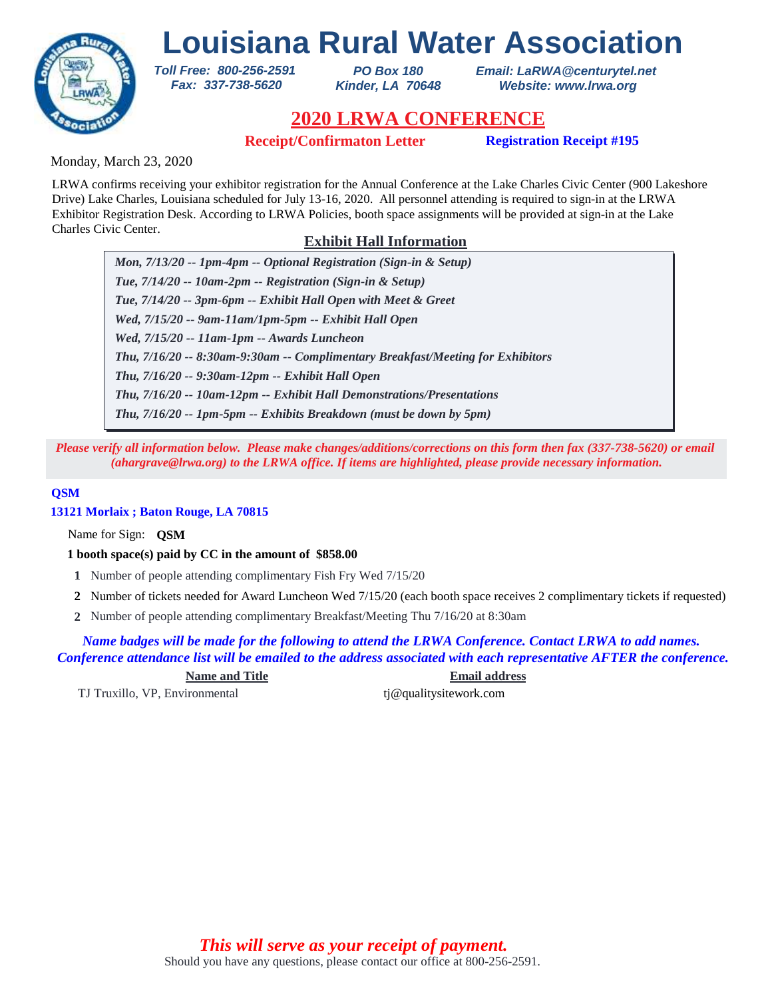

*PO Box 180 Kinder, LA 70648* *Email: LaRWA@centurytel.net Website: www.lrwa.org*

## **2020 LRWA CONFERENCE**

**Receipt/Confirmaton Letter Registration Receipt #195**

Monday, March 23, 2020

LRWA confirms receiving your exhibitor registration for the Annual Conference at the Lake Charles Civic Center (900 Lakeshore Drive) Lake Charles, Louisiana scheduled for July 13-16, 2020. All personnel attending is required to sign-in at the LRWA Exhibitor Registration Desk. According to LRWA Policies, booth space assignments will be provided at sign-in at the Lake Charles Civic Center.

### **Exhibit Hall Information**

*Mon, 7/13/20 -- 1pm-4pm -- Optional Registration (Sign-in & Setup) Tue, 7/14/20 -- 10am-2pm -- Registration (Sign-in & Setup) Tue, 7/14/20 -- 3pm-6pm -- Exhibit Hall Open with Meet & Greet Wed, 7/15/20 -- 9am-11am/1pm-5pm -- Exhibit Hall Open Wed, 7/15/20 -- 11am-1pm -- Awards Luncheon Thu, 7/16/20 -- 9:30am-12pm -- Exhibit Hall Open Thu, 7/16/20 -- 8:30am-9:30am -- Complimentary Breakfast/Meeting for Exhibitors Thu, 7/16/20 -- 10am-12pm -- Exhibit Hall Demonstrations/Presentations Thu, 7/16/20 -- 1pm-5pm -- Exhibits Breakdown (must be down by 5pm)*

*Please verify all information below. Please make changes/additions/corrections on this form then fax (337-738-5620) or email (ahargrave@lrwa.org) to the LRWA office. If items are highlighted, please provide necessary information.*

### **QSM**

**13121 Morlaix ; Baton Rouge, LA 70815**

Name for Sign: **QSM**

**1 booth space(s) paid by CC in the amount of \$858.00**

*Toll Free: 800-256-2591 Fax: 337-738-5620*

- **1** Number of people attending complimentary Fish Fry Wed 7/15/20
- Number of tickets needed for Award Luncheon Wed 7/15/20 (each booth space receives 2 complimentary tickets if requested) **2**
- Number of people attending complimentary Breakfast/Meeting Thu 7/16/20 at 8:30am **2**

*Name badges will be made for the following to attend the LRWA Conference. Contact LRWA to add names. Conference attendance list will be emailed to the address associated with each representative AFTER the conference.*

**Name and Title Email address**

TJ Truxillo, VP, Environmental tj@qualitysitework.com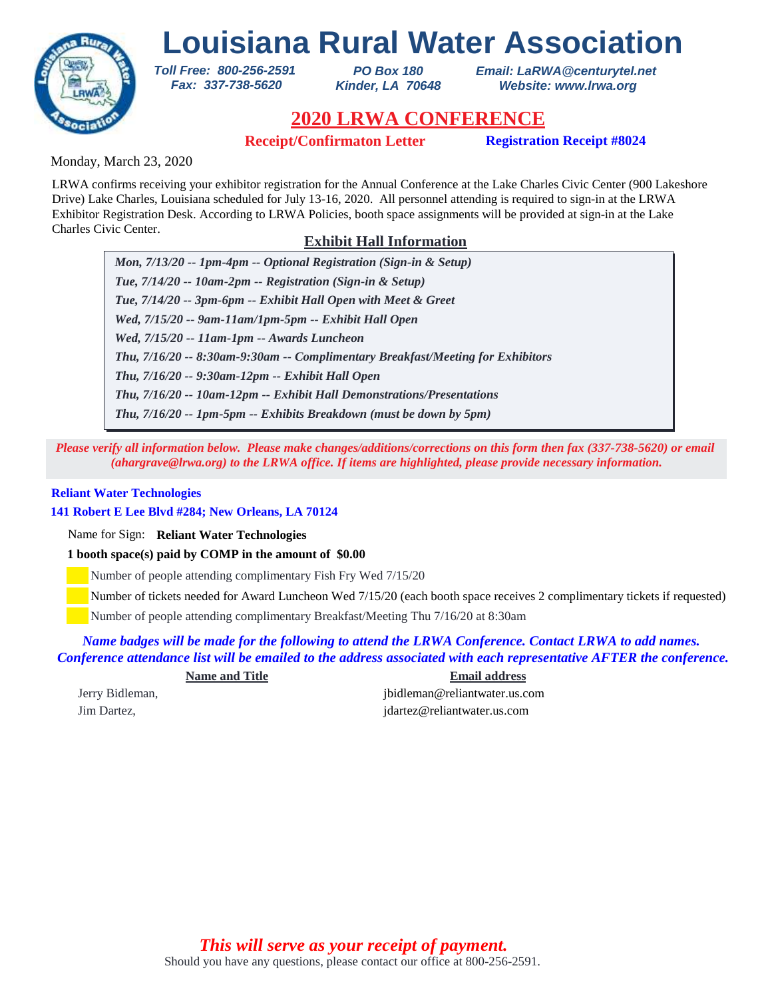

*PO Box 180 Kinder, LA 70648* *Email: LaRWA@centurytel.net Website: www.lrwa.org*

## **2020 LRWA CONFERENCE**

**Receipt/Confirmaton Letter Registration Receipt #8024** 

Monday, March 23, 2020

LRWA confirms receiving your exhibitor registration for the Annual Conference at the Lake Charles Civic Center (900 Lakeshore Drive) Lake Charles, Louisiana scheduled for July 13-16, 2020. All personnel attending is required to sign-in at the LRWA Exhibitor Registration Desk. According to LRWA Policies, booth space assignments will be provided at sign-in at the Lake Charles Civic Center.

### **Exhibit Hall Information**

*Mon, 7/13/20 -- 1pm-4pm -- Optional Registration (Sign-in & Setup) Tue, 7/14/20 -- 10am-2pm -- Registration (Sign-in & Setup) Tue, 7/14/20 -- 3pm-6pm -- Exhibit Hall Open with Meet & Greet Wed, 7/15/20 -- 9am-11am/1pm-5pm -- Exhibit Hall Open Wed, 7/15/20 -- 11am-1pm -- Awards Luncheon Thu, 7/16/20 -- 9:30am-12pm -- Exhibit Hall Open Thu, 7/16/20 -- 8:30am-9:30am -- Complimentary Breakfast/Meeting for Exhibitors Thu, 7/16/20 -- 10am-12pm -- Exhibit Hall Demonstrations/Presentations Thu, 7/16/20 -- 1pm-5pm -- Exhibits Breakdown (must be down by 5pm)*

*Please verify all information below. Please make changes/additions/corrections on this form then fax (337-738-5620) or email (ahargrave@lrwa.org) to the LRWA office. If items are highlighted, please provide necessary information.*

### **Reliant Water Technologies**

**141 Robert E Lee Blvd #284; New Orleans, LA 70124**

Name for Sign: **Reliant Water Technologies**

**1 booth space(s) paid by COMP in the amount of \$0.00**

*Toll Free: 800-256-2591 Fax: 337-738-5620*

Number of people attending complimentary Fish Fry Wed 7/15/20

Number of tickets needed for Award Luncheon Wed 7/15/20 (each booth space receives 2 complimentary tickets if requested)

Number of people attending complimentary Breakfast/Meeting Thu 7/16/20 at 8:30am

*Name badges will be made for the following to attend the LRWA Conference. Contact LRWA to add names. Conference attendance list will be emailed to the address associated with each representative AFTER the conference.*

**Name and Title Email address** Jerry Bidleman, jbidleman@reliantwater.us.com Jim Dartez, jdartez@reliantwater.us.com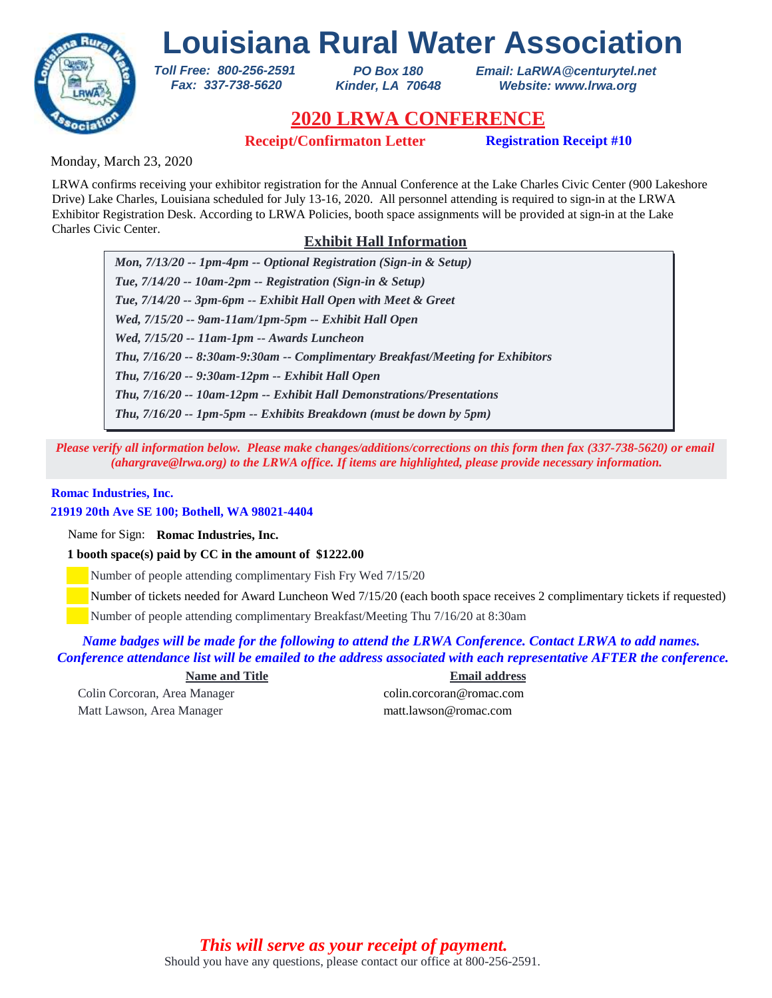

*PO Box 180 Kinder, LA 70648* *Email: LaRWA@centurytel.net Website: www.lrwa.org*

## **2020 LRWA CONFERENCE**

**Receipt/Confirmaton Letter Registration Receipt #10** 

Monday, March 23, 2020

LRWA confirms receiving your exhibitor registration for the Annual Conference at the Lake Charles Civic Center (900 Lakeshore Drive) Lake Charles, Louisiana scheduled for July 13-16, 2020. All personnel attending is required to sign-in at the LRWA Exhibitor Registration Desk. According to LRWA Policies, booth space assignments will be provided at sign-in at the Lake Charles Civic Center.

### **Exhibit Hall Information**

*Mon, 7/13/20 -- 1pm-4pm -- Optional Registration (Sign-in & Setup) Tue, 7/14/20 -- 10am-2pm -- Registration (Sign-in & Setup) Tue, 7/14/20 -- 3pm-6pm -- Exhibit Hall Open with Meet & Greet Wed, 7/15/20 -- 9am-11am/1pm-5pm -- Exhibit Hall Open Wed, 7/15/20 -- 11am-1pm -- Awards Luncheon Thu, 7/16/20 -- 9:30am-12pm -- Exhibit Hall Open Thu, 7/16/20 -- 8:30am-9:30am -- Complimentary Breakfast/Meeting for Exhibitors Thu, 7/16/20 -- 10am-12pm -- Exhibit Hall Demonstrations/Presentations Thu, 7/16/20 -- 1pm-5pm -- Exhibits Breakdown (must be down by 5pm)*

*Please verify all information below. Please make changes/additions/corrections on this form then fax (337-738-5620) or email (ahargrave@lrwa.org) to the LRWA office. If items are highlighted, please provide necessary information.*

### **Romac Industries, Inc.**

### **21919 20th Ave SE 100; Bothell, WA 98021-4404**

Name for Sign: **Romac Industries, Inc.**

**1 booth space(s) paid by CC in the amount of \$1222.00**

*Toll Free: 800-256-2591 Fax: 337-738-5620*

Number of people attending complimentary Fish Fry Wed 7/15/20

Number of tickets needed for Award Luncheon Wed 7/15/20 (each booth space receives 2 complimentary tickets if requested)

Number of people attending complimentary Breakfast/Meeting Thu 7/16/20 at 8:30am

*Name badges will be made for the following to attend the LRWA Conference. Contact LRWA to add names. Conference attendance list will be emailed to the address associated with each representative AFTER the conference.*

**Name and Title Email address**

Matt Lawson, Area Manager matt.lawson@romac.com

Colin Corcoran, Area Manager colin.corcoran@romac.com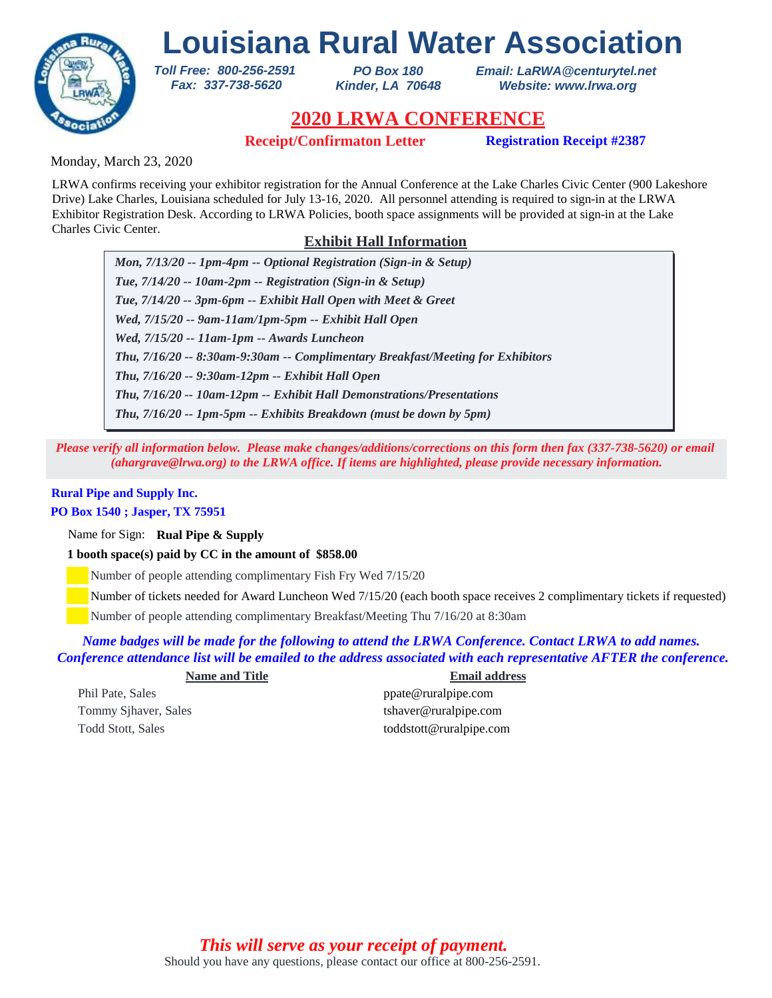

*PO Box 180 Kinder, LA 70648* *Email: LaRWA@centurytel.net Website: www.lrwa.org*

## **2020 LRWA CONFERENCE**

**Receipt/Confirmaton Letter Registration Receipt #2387**

Monday, March 23, 2020

LRWA confirms receiving your exhibitor registration for the Annual Conference at the Lake Charles Civic Center (900 Lakeshore Drive) Lake Charles, Louisiana scheduled for July 13-16, 2020. All personnel attending is required to sign-in at the LRWA Exhibitor Registration Desk. According to LRWA Policies, booth space assignments will be provided at sign-in at the Lake Charles Civic Center.

### **Exhibit Hall Information**

*Mon, 7/13/20 -- 1pm-4pm -- Optional Registration (Sign-in & Setup) Tue, 7/14/20 -- 10am-2pm -- Registration (Sign-in & Setup) Tue, 7/14/20 -- 3pm-6pm -- Exhibit Hall Open with Meet & Greet Wed, 7/15/20 -- 9am-11am/1pm-5pm -- Exhibit Hall Open Wed, 7/15/20 -- 11am-1pm -- Awards Luncheon Thu, 7/16/20 -- 9:30am-12pm -- Exhibit Hall Open Thu, 7/16/20 -- 8:30am-9:30am -- Complimentary Breakfast/Meeting for Exhibitors Thu, 7/16/20 -- 10am-12pm -- Exhibit Hall Demonstrations/Presentations Thu, 7/16/20 -- 1pm-5pm -- Exhibits Breakdown (must be down by 5pm)*

*Please verify all information below. Please make changes/additions/corrections on this form then fax (337-738-5620) or email (ahargrave@lrwa.org) to the LRWA office. If items are highlighted, please provide necessary information.*

## **Rural Pipe and Supply Inc.**

#### **PO Box 1540 ; Jasper, TX 75951**

Name for Sign: **Rual Pipe & Supply**

### **1 booth space(s) paid by CC in the amount of \$858.00**

*Toll Free: 800-256-2591 Fax: 337-738-5620*

Number of people attending complimentary Fish Fry Wed 7/15/20

Number of tickets needed for Award Luncheon Wed 7/15/20 (each booth space receives 2 complimentary tickets if requested)

Number of people attending complimentary Breakfast/Meeting Thu 7/16/20 at 8:30am

### *Name badges will be made for the following to attend the LRWA Conference. Contact LRWA to add names. Conference attendance list will be emailed to the address associated with each representative AFTER the conference.*

|    | <b>Name and Title</b> |  |
|----|-----------------------|--|
| эc |                       |  |

**Name and Title Email address** 

Phil Pate, Sales ppate @ruralpipe.com Tommy Sjhaver, Sales tshaver@ruralpipe.com Todd Stott, Sales toddstott@ruralpipe.com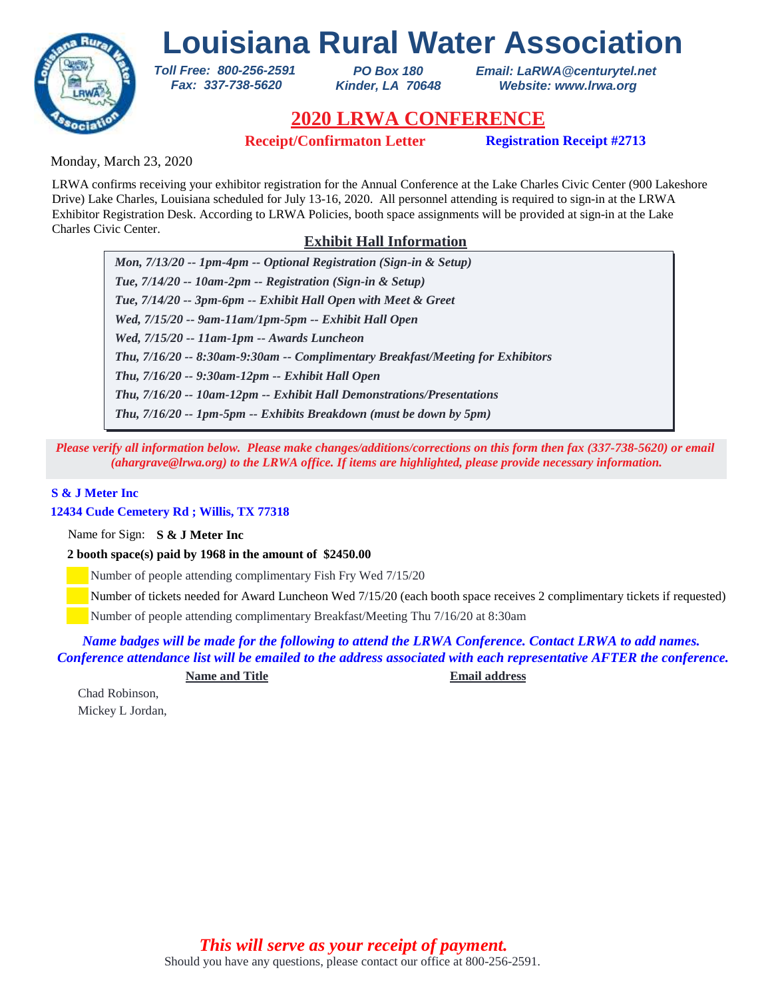

*PO Box 180 Kinder, LA 70648* *Email: LaRWA@centurytel.net Website: www.lrwa.org*

## **2020 LRWA CONFERENCE**

**Receipt/Confirmaton Letter Registration Receipt #2713**

Monday, March 23, 2020

LRWA confirms receiving your exhibitor registration for the Annual Conference at the Lake Charles Civic Center (900 Lakeshore Drive) Lake Charles, Louisiana scheduled for July 13-16, 2020. All personnel attending is required to sign-in at the LRWA Exhibitor Registration Desk. According to LRWA Policies, booth space assignments will be provided at sign-in at the Lake Charles Civic Center.

### **Exhibit Hall Information**

*Mon, 7/13/20 -- 1pm-4pm -- Optional Registration (Sign-in & Setup) Tue, 7/14/20 -- 10am-2pm -- Registration (Sign-in & Setup) Tue, 7/14/20 -- 3pm-6pm -- Exhibit Hall Open with Meet & Greet Wed, 7/15/20 -- 9am-11am/1pm-5pm -- Exhibit Hall Open Wed, 7/15/20 -- 11am-1pm -- Awards Luncheon Thu, 7/16/20 -- 9:30am-12pm -- Exhibit Hall Open Thu, 7/16/20 -- 8:30am-9:30am -- Complimentary Breakfast/Meeting for Exhibitors Thu, 7/16/20 -- 10am-12pm -- Exhibit Hall Demonstrations/Presentations Thu, 7/16/20 -- 1pm-5pm -- Exhibits Breakdown (must be down by 5pm)*

*Please verify all information below. Please make changes/additions/corrections on this form then fax (337-738-5620) or email (ahargrave@lrwa.org) to the LRWA office. If items are highlighted, please provide necessary information.*

### **S & J Meter Inc**

### **12434 Cude Cemetery Rd ; Willis, TX 77318**

Name for Sign: **S & J Meter Inc**

**2 booth space(s) paid by 1968 in the amount of \$2450.00**

*Toll Free: 800-256-2591 Fax: 337-738-5620*

Number of people attending complimentary Fish Fry Wed 7/15/20

Number of tickets needed for Award Luncheon Wed 7/15/20 (each booth space receives 2 complimentary tickets if requested)

Number of people attending complimentary Breakfast/Meeting Thu 7/16/20 at 8:30am

*Name badges will be made for the following to attend the LRWA Conference. Contact LRWA to add names. Conference attendance list will be emailed to the address associated with each representative AFTER the conference.*

**Name and Title Email address**

Chad Robinson, Mickey L Jordan,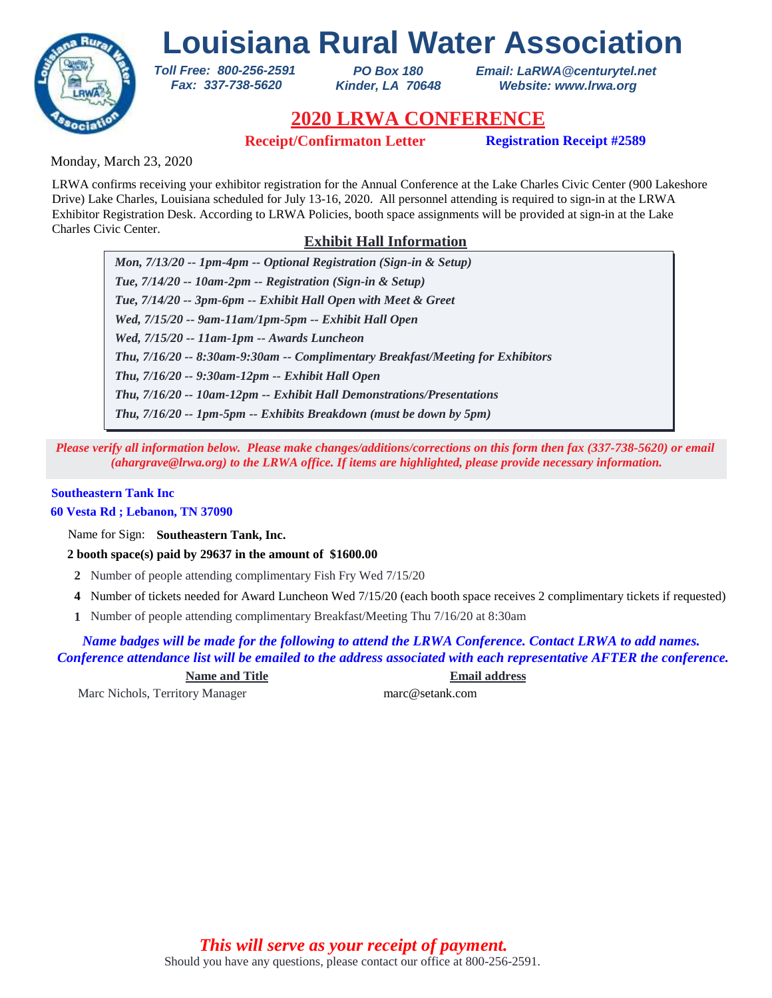

*PO Box 180 Kinder, LA 70648* *Email: LaRWA@centurytel.net Website: www.lrwa.org*

## **2020 LRWA CONFERENCE**

**Receipt/Confirmaton Letter Registration Receipt #2589**

Monday, March 23, 2020

LRWA confirms receiving your exhibitor registration for the Annual Conference at the Lake Charles Civic Center (900 Lakeshore Drive) Lake Charles, Louisiana scheduled for July 13-16, 2020. All personnel attending is required to sign-in at the LRWA Exhibitor Registration Desk. According to LRWA Policies, booth space assignments will be provided at sign-in at the Lake Charles Civic Center.

### **Exhibit Hall Information**

*Mon, 7/13/20 -- 1pm-4pm -- Optional Registration (Sign-in & Setup) Tue, 7/14/20 -- 10am-2pm -- Registration (Sign-in & Setup) Tue, 7/14/20 -- 3pm-6pm -- Exhibit Hall Open with Meet & Greet Wed, 7/15/20 -- 9am-11am/1pm-5pm -- Exhibit Hall Open Wed, 7/15/20 -- 11am-1pm -- Awards Luncheon Thu, 7/16/20 -- 9:30am-12pm -- Exhibit Hall Open Thu, 7/16/20 -- 8:30am-9:30am -- Complimentary Breakfast/Meeting for Exhibitors Thu, 7/16/20 -- 10am-12pm -- Exhibit Hall Demonstrations/Presentations Thu, 7/16/20 -- 1pm-5pm -- Exhibits Breakdown (must be down by 5pm)*

*Please verify all information below. Please make changes/additions/corrections on this form then fax (337-738-5620) or email (ahargrave@lrwa.org) to the LRWA office. If items are highlighted, please provide necessary information.*

### **Southeastern Tank Inc**

**60 Vesta Rd ; Lebanon, TN 37090**

Name for Sign: **Southeastern Tank, Inc.**

**2 booth space(s) paid by 29637 in the amount of \$1600.00**

*Toll Free: 800-256-2591 Fax: 337-738-5620*

- **2** Number of people attending complimentary Fish Fry Wed 7/15/20
- Number of tickets needed for Award Luncheon Wed 7/15/20 (each booth space receives 2 complimentary tickets if requested) **4**
- Number of people attending complimentary Breakfast/Meeting Thu 7/16/20 at 8:30am **1**

*Name badges will be made for the following to attend the LRWA Conference. Contact LRWA to add names. Conference attendance list will be emailed to the address associated with each representative AFTER the conference.*

**Name and Title Email address**

Marc Nichols, Territory Manager marc@setank.com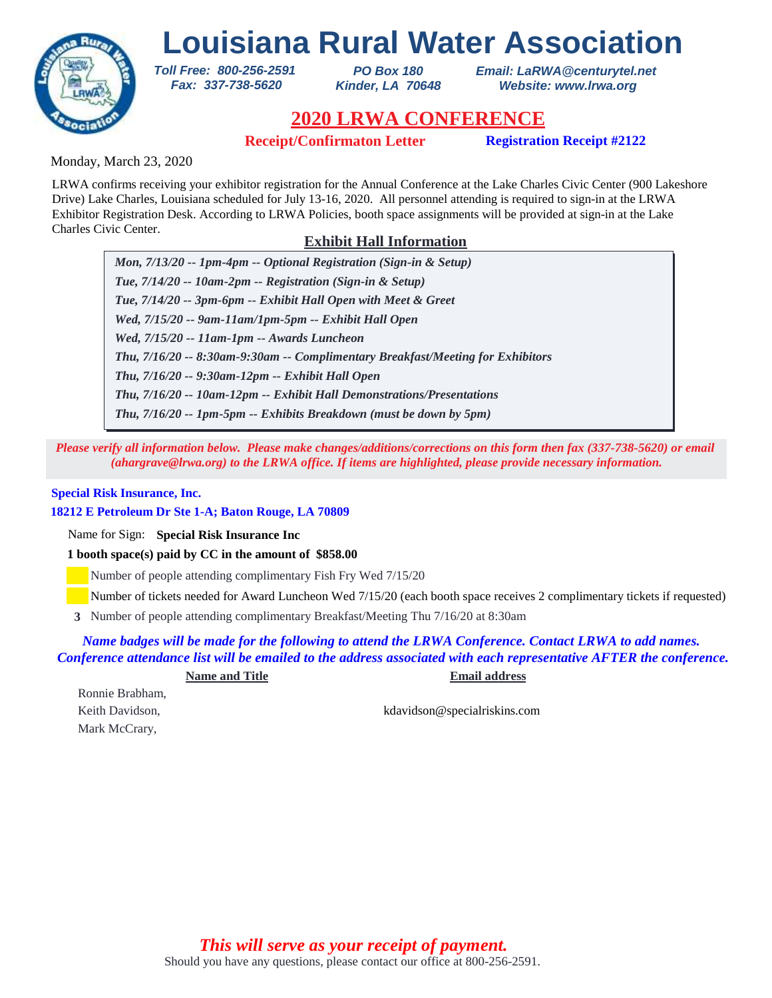

*PO Box 180 Kinder, LA 70648* *Email: LaRWA@centurytel.net Website: www.lrwa.org*

## **2020 LRWA CONFERENCE**

**Receipt/Confirmaton Letter Registration Receipt #2122**

Monday, March 23, 2020

LRWA confirms receiving your exhibitor registration for the Annual Conference at the Lake Charles Civic Center (900 Lakeshore Drive) Lake Charles, Louisiana scheduled for July 13-16, 2020. All personnel attending is required to sign-in at the LRWA Exhibitor Registration Desk. According to LRWA Policies, booth space assignments will be provided at sign-in at the Lake Charles Civic Center.

### **Exhibit Hall Information**

*Mon, 7/13/20 -- 1pm-4pm -- Optional Registration (Sign-in & Setup) Tue, 7/14/20 -- 10am-2pm -- Registration (Sign-in & Setup) Tue, 7/14/20 -- 3pm-6pm -- Exhibit Hall Open with Meet & Greet Wed, 7/15/20 -- 9am-11am/1pm-5pm -- Exhibit Hall Open Wed, 7/15/20 -- 11am-1pm -- Awards Luncheon Thu, 7/16/20 -- 9:30am-12pm -- Exhibit Hall Open Thu, 7/16/20 -- 8:30am-9:30am -- Complimentary Breakfast/Meeting for Exhibitors Thu, 7/16/20 -- 10am-12pm -- Exhibit Hall Demonstrations/Presentations Thu, 7/16/20 -- 1pm-5pm -- Exhibits Breakdown (must be down by 5pm)*

*Please verify all information below. Please make changes/additions/corrections on this form then fax (337-738-5620) or email (ahargrave@lrwa.org) to the LRWA office. If items are highlighted, please provide necessary information.*

#### **Special Risk Insurance, Inc.**

**18212 E Petroleum Dr Ste 1-A; Baton Rouge, LA 70809**

Name for Sign: **Special Risk Insurance Inc**

**1 booth space(s) paid by CC in the amount of \$858.00**

*Toll Free: 800-256-2591 Fax: 337-738-5620*

Number of people attending complimentary Fish Fry Wed 7/15/20

Number of tickets needed for Award Luncheon Wed 7/15/20 (each booth space receives 2 complimentary tickets if requested)

Number of people attending complimentary Breakfast/Meeting Thu 7/16/20 at 8:30am **3**

*Name badges will be made for the following to attend the LRWA Conference. Contact LRWA to add names. Conference attendance list will be emailed to the address associated with each representative AFTER the conference.*

**Name and Title Email address**

Ronnie Brabham, Mark McCrary,

Keith Davidson, kdavidson@specialriskins.com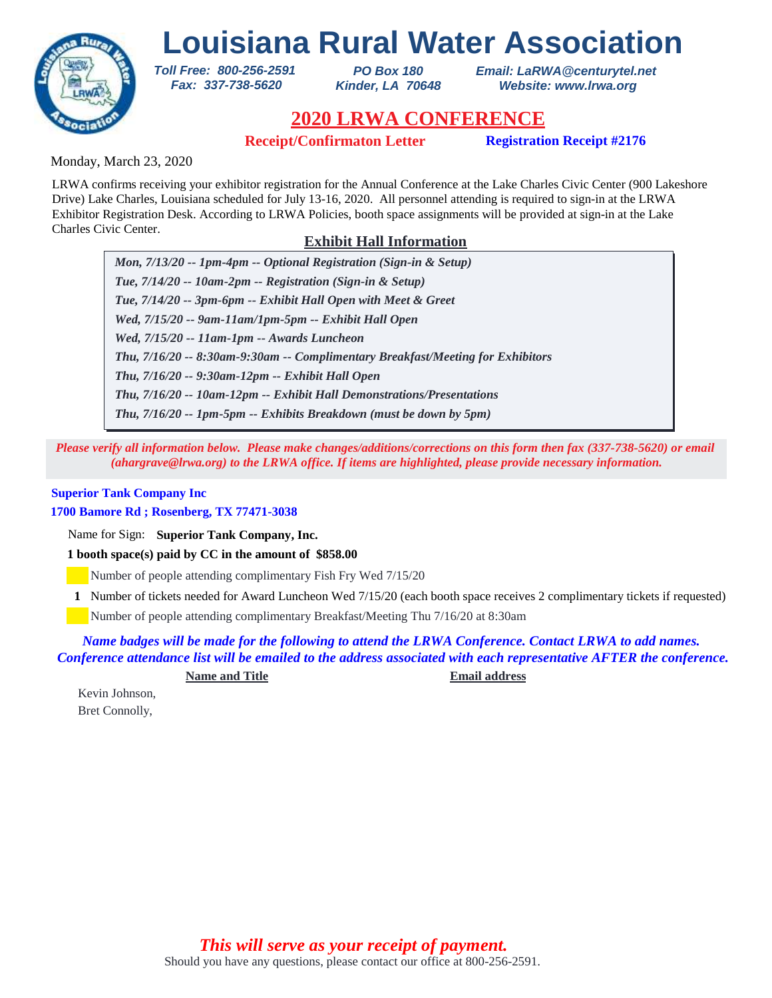

*PO Box 180 Kinder, LA 70648* *Email: LaRWA@centurytel.net Website: www.lrwa.org*

## **2020 LRWA CONFERENCE**

**Receipt/Confirmaton Letter Registration Receipt #2176**

Monday, March 23, 2020

LRWA confirms receiving your exhibitor registration for the Annual Conference at the Lake Charles Civic Center (900 Lakeshore Drive) Lake Charles, Louisiana scheduled for July 13-16, 2020. All personnel attending is required to sign-in at the LRWA Exhibitor Registration Desk. According to LRWA Policies, booth space assignments will be provided at sign-in at the Lake Charles Civic Center.

### **Exhibit Hall Information**

*Mon, 7/13/20 -- 1pm-4pm -- Optional Registration (Sign-in & Setup) Tue, 7/14/20 -- 10am-2pm -- Registration (Sign-in & Setup) Tue, 7/14/20 -- 3pm-6pm -- Exhibit Hall Open with Meet & Greet Wed, 7/15/20 -- 9am-11am/1pm-5pm -- Exhibit Hall Open Wed, 7/15/20 -- 11am-1pm -- Awards Luncheon Thu, 7/16/20 -- 9:30am-12pm -- Exhibit Hall Open Thu, 7/16/20 -- 8:30am-9:30am -- Complimentary Breakfast/Meeting for Exhibitors Thu, 7/16/20 -- 10am-12pm -- Exhibit Hall Demonstrations/Presentations Thu, 7/16/20 -- 1pm-5pm -- Exhibits Breakdown (must be down by 5pm)*

*Please verify all information below. Please make changes/additions/corrections on this form then fax (337-738-5620) or email (ahargrave@lrwa.org) to the LRWA office. If items are highlighted, please provide necessary information.*

### **Superior Tank Company Inc**

**1700 Bamore Rd ; Rosenberg, TX 77471-3038**

Name for Sign: **Superior Tank Company, Inc.**

**1 booth space(s) paid by CC in the amount of \$858.00**

*Toll Free: 800-256-2591 Fax: 337-738-5620*

Number of people attending complimentary Fish Fry Wed 7/15/20

Number of tickets needed for Award Luncheon Wed 7/15/20 (each booth space receives 2 complimentary tickets if requested) **1**

Number of people attending complimentary Breakfast/Meeting Thu 7/16/20 at 8:30am

*Name badges will be made for the following to attend the LRWA Conference. Contact LRWA to add names. Conference attendance list will be emailed to the address associated with each representative AFTER the conference.*

**Name and Title Email address**

Kevin Johnson, Bret Connolly,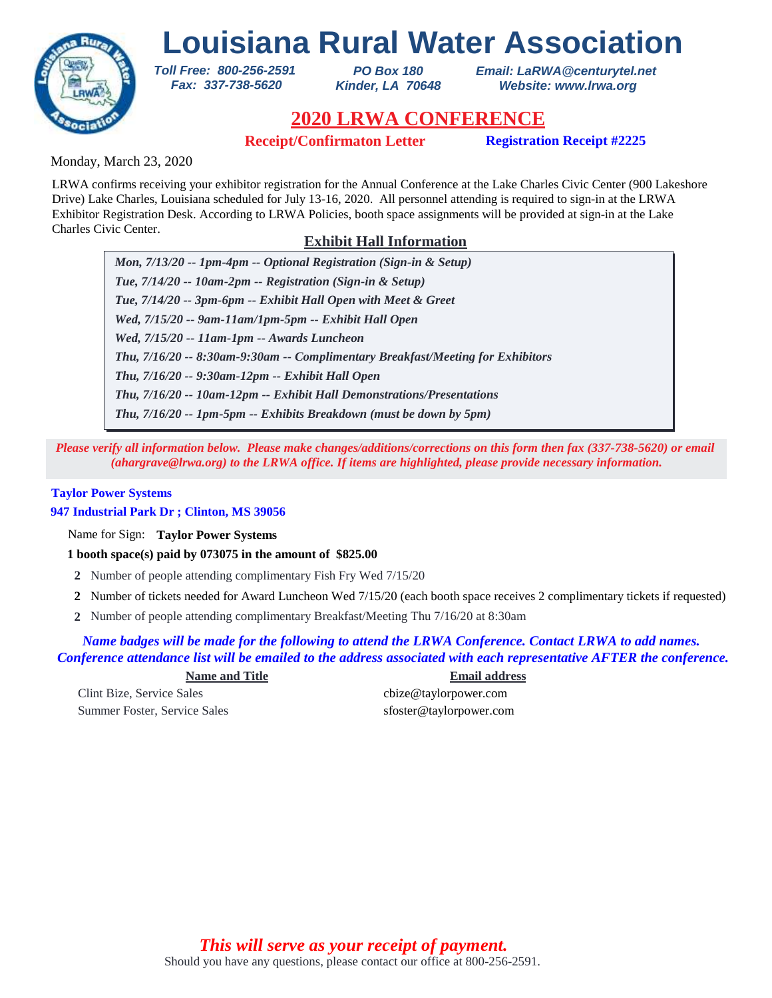

*PO Box 180 Kinder, LA 70648* *Email: LaRWA@centurytel.net Website: www.lrwa.org*

## **2020 LRWA CONFERENCE**

**Receipt/Confirmaton Letter Registration Receipt #2225**

Monday, March 23, 2020

LRWA confirms receiving your exhibitor registration for the Annual Conference at the Lake Charles Civic Center (900 Lakeshore Drive) Lake Charles, Louisiana scheduled for July 13-16, 2020. All personnel attending is required to sign-in at the LRWA Exhibitor Registration Desk. According to LRWA Policies, booth space assignments will be provided at sign-in at the Lake Charles Civic Center.

### **Exhibit Hall Information**

*Mon, 7/13/20 -- 1pm-4pm -- Optional Registration (Sign-in & Setup) Tue, 7/14/20 -- 10am-2pm -- Registration (Sign-in & Setup) Tue, 7/14/20 -- 3pm-6pm -- Exhibit Hall Open with Meet & Greet Wed, 7/15/20 -- 9am-11am/1pm-5pm -- Exhibit Hall Open Wed, 7/15/20 -- 11am-1pm -- Awards Luncheon Thu, 7/16/20 -- 9:30am-12pm -- Exhibit Hall Open Thu, 7/16/20 -- 8:30am-9:30am -- Complimentary Breakfast/Meeting for Exhibitors Thu, 7/16/20 -- 10am-12pm -- Exhibit Hall Demonstrations/Presentations Thu, 7/16/20 -- 1pm-5pm -- Exhibits Breakdown (must be down by 5pm)*

*Please verify all information below. Please make changes/additions/corrections on this form then fax (337-738-5620) or email (ahargrave@lrwa.org) to the LRWA office. If items are highlighted, please provide necessary information.*

### **Taylor Power Systems**

**947 Industrial Park Dr ; Clinton, MS 39056**

Name for Sign: **Taylor Power Systems**

**1 booth space(s) paid by 073075 in the amount of \$825.00**

*Toll Free: 800-256-2591 Fax: 337-738-5620*

- **2** Number of people attending complimentary Fish Fry Wed 7/15/20
- Number of tickets needed for Award Luncheon Wed 7/15/20 (each booth space receives 2 complimentary tickets if requested) **2**
- Number of people attending complimentary Breakfast/Meeting Thu 7/16/20 at 8:30am **2**

*Name badges will be made for the following to attend the LRWA Conference. Contact LRWA to add names. Conference attendance list will be emailed to the address associated with each representative AFTER the conference.*

Clint Bize, Service Sales cbize@taylorpower.com

**Name and Title Email address** Summer Foster, Service Sales sfoster@taylorpower.com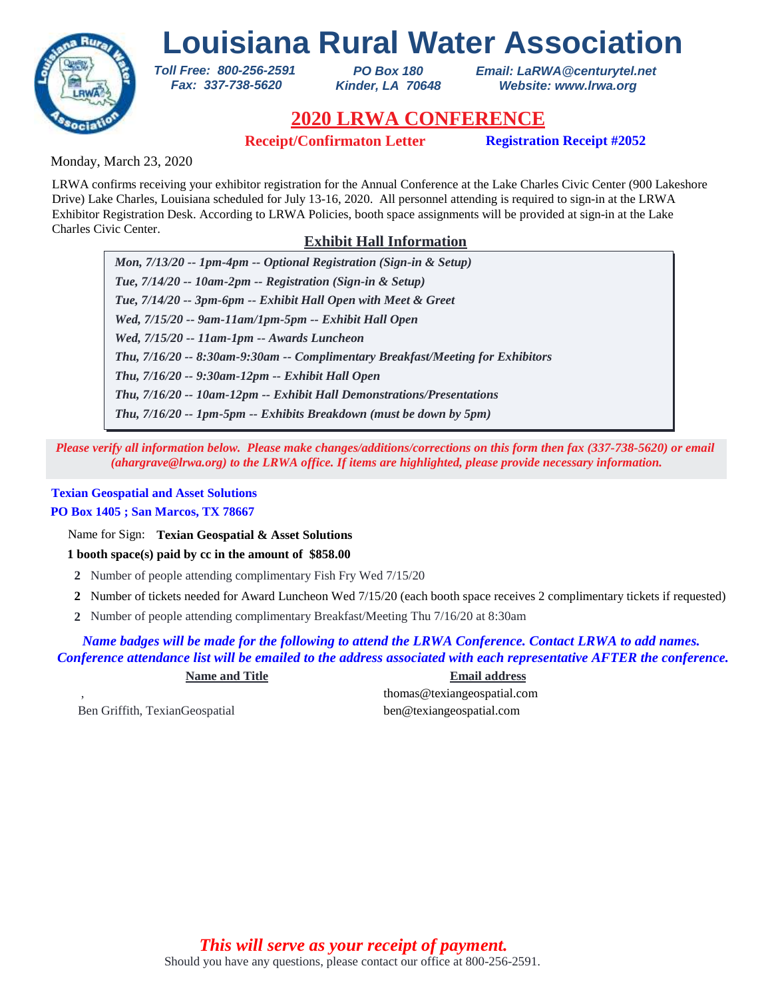

*PO Box 180 Kinder, LA 70648* *Email: LaRWA@centurytel.net Website: www.lrwa.org*

## **2020 LRWA CONFERENCE**

**Receipt/Confirmaton Letter Registration Receipt #2052**

Monday, March 23, 2020

LRWA confirms receiving your exhibitor registration for the Annual Conference at the Lake Charles Civic Center (900 Lakeshore Drive) Lake Charles, Louisiana scheduled for July 13-16, 2020. All personnel attending is required to sign-in at the LRWA Exhibitor Registration Desk. According to LRWA Policies, booth space assignments will be provided at sign-in at the Lake Charles Civic Center.

### **Exhibit Hall Information**

*Mon, 7/13/20 -- 1pm-4pm -- Optional Registration (Sign-in & Setup) Tue, 7/14/20 -- 10am-2pm -- Registration (Sign-in & Setup) Tue, 7/14/20 -- 3pm-6pm -- Exhibit Hall Open with Meet & Greet Wed, 7/15/20 -- 9am-11am/1pm-5pm -- Exhibit Hall Open Wed, 7/15/20 -- 11am-1pm -- Awards Luncheon Thu, 7/16/20 -- 9:30am-12pm -- Exhibit Hall Open Thu, 7/16/20 -- 8:30am-9:30am -- Complimentary Breakfast/Meeting for Exhibitors Thu, 7/16/20 -- 10am-12pm -- Exhibit Hall Demonstrations/Presentations Thu, 7/16/20 -- 1pm-5pm -- Exhibits Breakdown (must be down by 5pm)*

*Please verify all information below. Please make changes/additions/corrections on this form then fax (337-738-5620) or email (ahargrave@lrwa.org) to the LRWA office. If items are highlighted, please provide necessary information.*

### **Texian Geospatial and Asset Solutions**

### **PO Box 1405 ; San Marcos, TX 78667**

Name for Sign: **Texian Geospatial & Asset Solutions**

*Toll Free: 800-256-2591 Fax: 337-738-5620*

**1 booth space(s) paid by cc in the amount of \$858.00**

- **2** Number of people attending complimentary Fish Fry Wed 7/15/20
- Number of tickets needed for Award Luncheon Wed 7/15/20 (each booth space receives 2 complimentary tickets if requested) **2**
- Number of people attending complimentary Breakfast/Meeting Thu 7/16/20 at 8:30am **2**

*Name badges will be made for the following to attend the LRWA Conference. Contact LRWA to add names. Conference attendance list will be emailed to the address associated with each representative AFTER the conference.*

**Name and Title Email address** , thomas@texiangeospatial.com

Ben Griffith, TexianGeospatial ben@texiangeospatial.com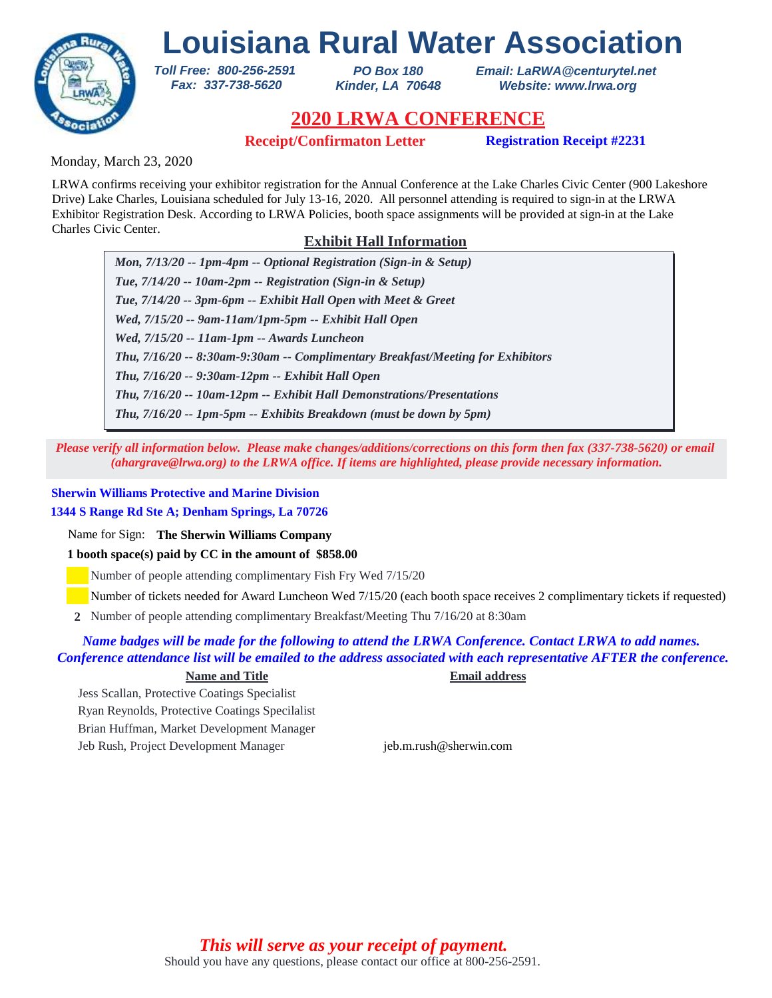

*PO Box 180 Kinder, LA 70648*

*Email: LaRWA@centurytel.net Website: www.lrwa.org*

# **2020 LRWA CONFERENCE**

**Receipt/Confirmaton Letter Registration Receipt #2231** 

Monday, March 23, 2020

LRWA confirms receiving your exhibitor registration for the Annual Conference at the Lake Charles Civic Center (900 Lakeshore Drive) Lake Charles, Louisiana scheduled for July 13-16, 2020. All personnel attending is required to sign-in at the LRWA Exhibitor Registration Desk. According to LRWA Policies, booth space assignments will be provided at sign-in at the Lake Charles Civic Center.

### **Exhibit Hall Information**

*Mon, 7/13/20 -- 1pm-4pm -- Optional Registration (Sign-in & Setup) Tue, 7/14/20 -- 10am-2pm -- Registration (Sign-in & Setup) Tue, 7/14/20 -- 3pm-6pm -- Exhibit Hall Open with Meet & Greet Wed, 7/15/20 -- 9am-11am/1pm-5pm -- Exhibit Hall Open Wed, 7/15/20 -- 11am-1pm -- Awards Luncheon Thu, 7/16/20 -- 9:30am-12pm -- Exhibit Hall Open Thu, 7/16/20 -- 8:30am-9:30am -- Complimentary Breakfast/Meeting for Exhibitors Thu, 7/16/20 -- 10am-12pm -- Exhibit Hall Demonstrations/Presentations Thu, 7/16/20 -- 1pm-5pm -- Exhibits Breakdown (must be down by 5pm)*

*Please verify all information below. Please make changes/additions/corrections on this form then fax (337-738-5620) or email (ahargrave@lrwa.org) to the LRWA office. If items are highlighted, please provide necessary information.*

### **Sherwin Williams Protective and Marine Division**

**1344 S Range Rd Ste A; Denham Springs, La 70726**

Name for Sign: **The Sherwin Williams Company**

**1 booth space(s) paid by CC in the amount of \$858.00**

*Toll Free: 800-256-2591 Fax: 337-738-5620*

Number of people attending complimentary Fish Fry Wed 7/15/20

Number of tickets needed for Award Luncheon Wed 7/15/20 (each booth space receives 2 complimentary tickets if requested)

Number of people attending complimentary Breakfast/Meeting Thu 7/16/20 at 8:30am **2**

### *Name badges will be made for the following to attend the LRWA Conference. Contact LRWA to add names. Conference attendance list will be emailed to the address associated with each representative AFTER the conference.*

#### **Name and Title Email address**

Jess Scallan, Protective Coatings Specialist Ryan Reynolds, Protective Coatings Specilalist Brian Huffman, Market Development Manager Jeb Rush, Project Development Manager jeb.m.rush@sherwin.com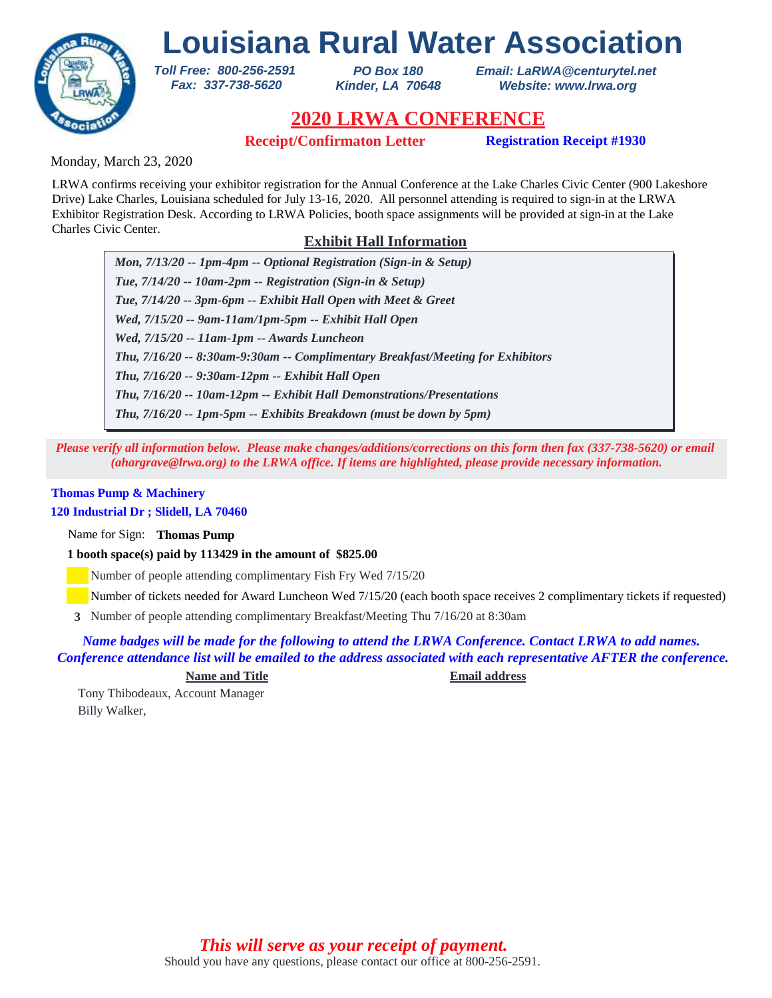

*PO Box 180 Kinder, LA 70648* *Email: LaRWA@centurytel.net Website: www.lrwa.org*

## **2020 LRWA CONFERENCE**

**Receipt/Confirmaton Letter Registration Receipt #1930**

Monday, March 23, 2020

LRWA confirms receiving your exhibitor registration for the Annual Conference at the Lake Charles Civic Center (900 Lakeshore Drive) Lake Charles, Louisiana scheduled for July 13-16, 2020. All personnel attending is required to sign-in at the LRWA Exhibitor Registration Desk. According to LRWA Policies, booth space assignments will be provided at sign-in at the Lake Charles Civic Center.

### **Exhibit Hall Information**

*Mon, 7/13/20 -- 1pm-4pm -- Optional Registration (Sign-in & Setup) Tue, 7/14/20 -- 10am-2pm -- Registration (Sign-in & Setup) Tue, 7/14/20 -- 3pm-6pm -- Exhibit Hall Open with Meet & Greet Wed, 7/15/20 -- 9am-11am/1pm-5pm -- Exhibit Hall Open Wed, 7/15/20 -- 11am-1pm -- Awards Luncheon Thu, 7/16/20 -- 9:30am-12pm -- Exhibit Hall Open Thu, 7/16/20 -- 8:30am-9:30am -- Complimentary Breakfast/Meeting for Exhibitors Thu, 7/16/20 -- 10am-12pm -- Exhibit Hall Demonstrations/Presentations Thu, 7/16/20 -- 1pm-5pm -- Exhibits Breakdown (must be down by 5pm)*

*Please verify all information below. Please make changes/additions/corrections on this form then fax (337-738-5620) or email (ahargrave@lrwa.org) to the LRWA office. If items are highlighted, please provide necessary information.*

#### **Thomas Pump & Machinery 120 Industrial Dr ; Slidell, LA 70460**

Name for Sign: **Thomas Pump**

**1 booth space(s) paid by 113429 in the amount of \$825.00**

*Toll Free: 800-256-2591 Fax: 337-738-5620*

Number of people attending complimentary Fish Fry Wed 7/15/20

Number of tickets needed for Award Luncheon Wed 7/15/20 (each booth space receives 2 complimentary tickets if requested)

Number of people attending complimentary Breakfast/Meeting Thu 7/16/20 at 8:30am **3**

*Name badges will be made for the following to attend the LRWA Conference. Contact LRWA to add names. Conference attendance list will be emailed to the address associated with each representative AFTER the conference.*

**Name and Title Email address**

Tony Thibodeaux, Account Manager Billy Walker,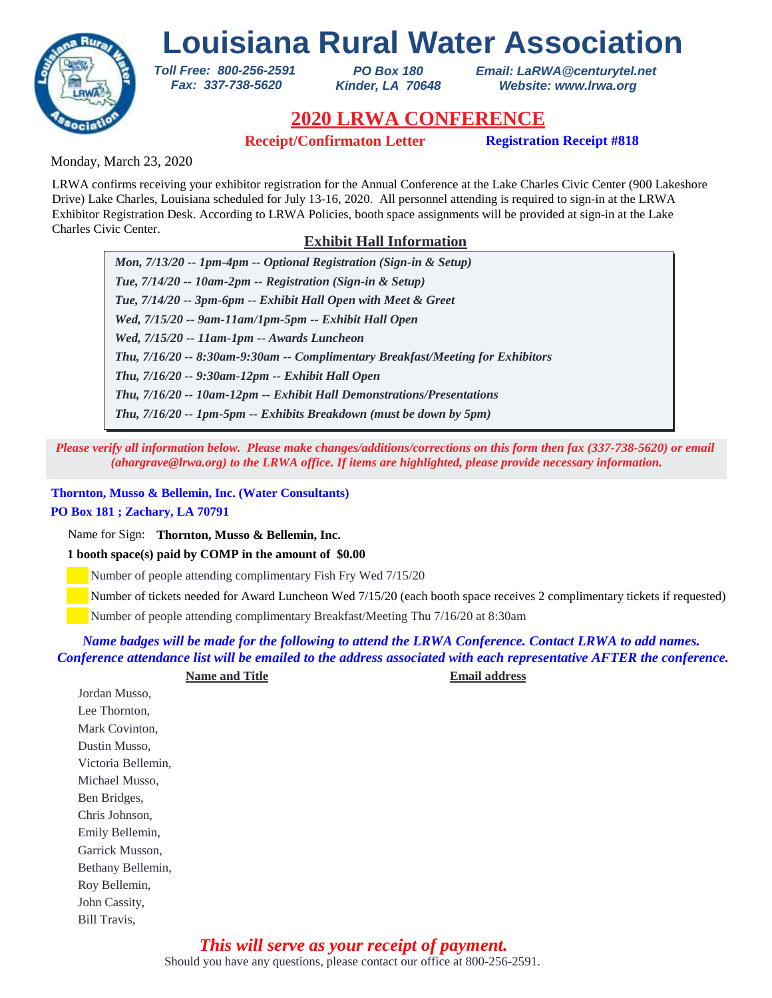# **Louisiana Rural Water Association** *Toll Free: 800-256-2591*



*PO Box 180 Kinder, LA 70648* *Email: LaRWA@centurytel.net Website: www.lrwa.org*

## **2020 LRWA CONFERENCE**

**Receipt/Confirmaton Letter Registration Receipt #818**

Monday, March 23, 2020

LRWA confirms receiving your exhibitor registration for the Annual Conference at the Lake Charles Civic Center (900 Lakeshore Drive) Lake Charles, Louisiana scheduled for July 13-16, 2020. All personnel attending is required to sign-in at the LRWA Exhibitor Registration Desk. According to LRWA Policies, booth space assignments will be provided at sign-in at the Lake Charles Civic Center.

### **Exhibit Hall Information**

*Mon, 7/13/20 -- 1pm-4pm -- Optional Registration (Sign-in & Setup) Tue, 7/14/20 -- 10am-2pm -- Registration (Sign-in & Setup) Tue, 7/14/20 -- 3pm-6pm -- Exhibit Hall Open with Meet & Greet Wed, 7/15/20 -- 9am-11am/1pm-5pm -- Exhibit Hall Open Wed, 7/15/20 -- 11am-1pm -- Awards Luncheon Thu, 7/16/20 -- 9:30am-12pm -- Exhibit Hall Open Thu, 7/16/20 -- 8:30am-9:30am -- Complimentary Breakfast/Meeting for Exhibitors Thu, 7/16/20 -- 10am-12pm -- Exhibit Hall Demonstrations/Presentations Thu, 7/16/20 -- 1pm-5pm -- Exhibits Breakdown (must be down by 5pm)*

*Please verify all information below. Please make changes/additions/corrections on this form then fax (337-738-5620) or email (ahargrave@lrwa.org) to the LRWA office. If items are highlighted, please provide necessary information.*

**Thornton, Musso & Bellemin, Inc. (Water Consultants) PO Box 181 ; Zachary, LA 70791**

Name for Sign: **Thornton, Musso & Bellemin, Inc.**

**1 booth space(s) paid by COMP in the amount of \$0.00**

 *Fax: 337-738-5620*

Number of people attending complimentary Fish Fry Wed 7/15/20

Number of tickets needed for Award Luncheon Wed 7/15/20 (each booth space receives 2 complimentary tickets if requested)

Number of people attending complimentary Breakfast/Meeting Thu 7/16/20 at 8:30am

*Name badges will be made for the following to attend the LRWA Conference. Contact LRWA to add names. Conference attendance list will be emailed to the address associated with each representative AFTER the conference.*

Jordan Musso, Lee Thornton, Mark Covinton, Dustin Musso, Victoria Bellemin, Michael Musso, Ben Bridges, Chris Johnson, Emily Bellemin, Garrick Musson, Bethany Bellemin,

Roy Bellemin, John Cassity, Bill Travis,

> Should you have any questions, please contact our office at 800-256-2591. *This will serve as your receipt of payment.*

**Name and Title Email address**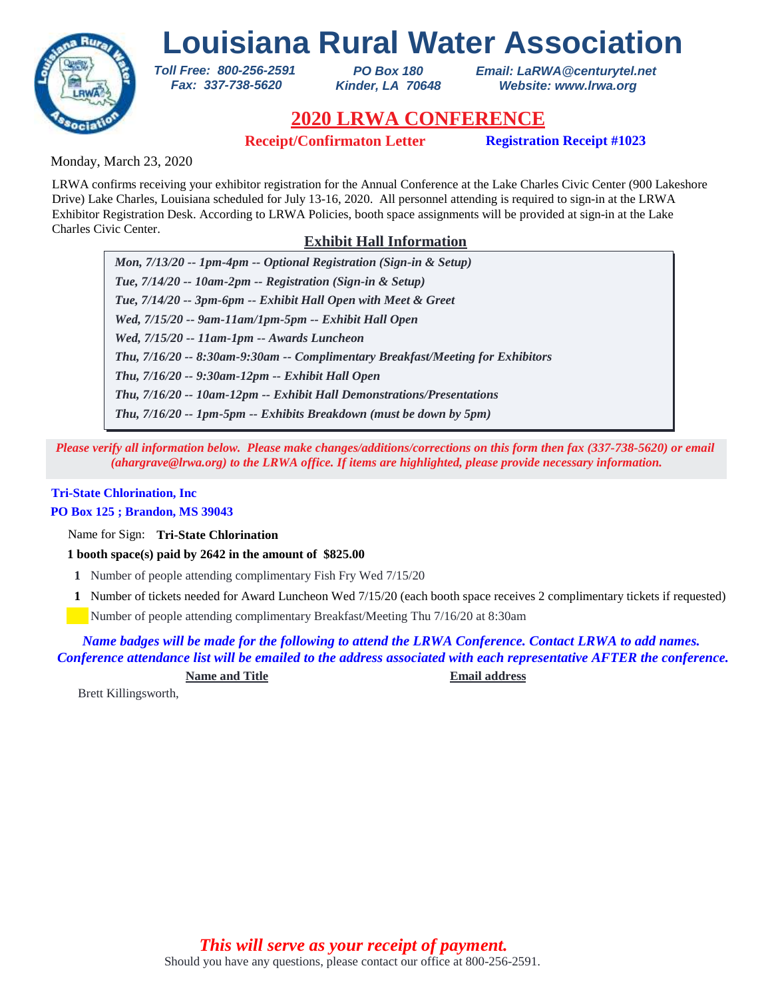

*PO Box 180 Kinder, LA 70648* *Email: LaRWA@centurytel.net Website: www.lrwa.org*

## **2020 LRWA CONFERENCE**

**Receipt/Confirmaton Letter Registration Receipt #1023**

Monday, March 23, 2020

LRWA confirms receiving your exhibitor registration for the Annual Conference at the Lake Charles Civic Center (900 Lakeshore Drive) Lake Charles, Louisiana scheduled for July 13-16, 2020. All personnel attending is required to sign-in at the LRWA Exhibitor Registration Desk. According to LRWA Policies, booth space assignments will be provided at sign-in at the Lake Charles Civic Center.

### **Exhibit Hall Information**

*Mon, 7/13/20 -- 1pm-4pm -- Optional Registration (Sign-in & Setup) Tue, 7/14/20 -- 10am-2pm -- Registration (Sign-in & Setup) Tue, 7/14/20 -- 3pm-6pm -- Exhibit Hall Open with Meet & Greet Wed, 7/15/20 -- 9am-11am/1pm-5pm -- Exhibit Hall Open Wed, 7/15/20 -- 11am-1pm -- Awards Luncheon Thu, 7/16/20 -- 9:30am-12pm -- Exhibit Hall Open Thu, 7/16/20 -- 8:30am-9:30am -- Complimentary Breakfast/Meeting for Exhibitors Thu, 7/16/20 -- 10am-12pm -- Exhibit Hall Demonstrations/Presentations Thu, 7/16/20 -- 1pm-5pm -- Exhibits Breakdown (must be down by 5pm)*

*Please verify all information below. Please make changes/additions/corrections on this form then fax (337-738-5620) or email (ahargrave@lrwa.org) to the LRWA office. If items are highlighted, please provide necessary information.*

## **Tri-State Chlorination, Inc**

### **PO Box 125 ; Brandon, MS 39043**

Name for Sign: **Tri-State Chlorination**

**1 booth space(s) paid by 2642 in the amount of \$825.00**

*Toll Free: 800-256-2591 Fax: 337-738-5620*

- **1** Number of people attending complimentary Fish Fry Wed 7/15/20
- Number of tickets needed for Award Luncheon Wed 7/15/20 (each booth space receives 2 complimentary tickets if requested) **1**

Number of people attending complimentary Breakfast/Meeting Thu 7/16/20 at 8:30am

*Name badges will be made for the following to attend the LRWA Conference. Contact LRWA to add names. Conference attendance list will be emailed to the address associated with each representative AFTER the conference.*

**Name and Title Email address**

Brett Killingsworth,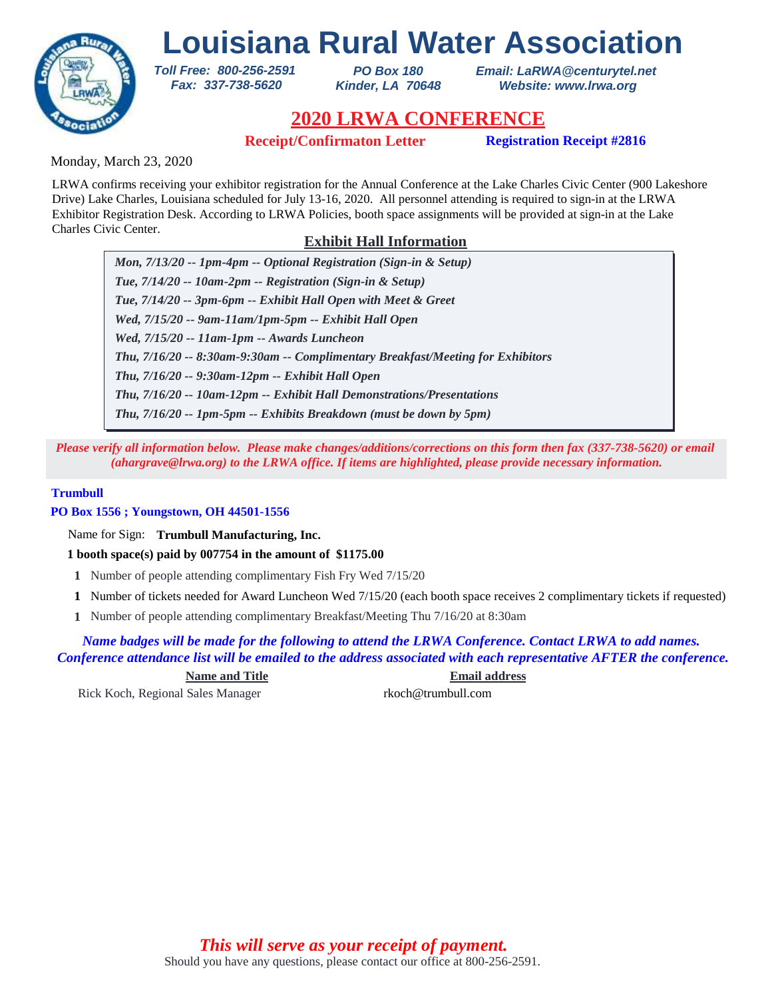

*PO Box 180 Kinder, LA 70648* *Email: LaRWA@centurytel.net Website: www.lrwa.org*

## **2020 LRWA CONFERENCE**

**Receipt/Confirmaton Letter Registration Receipt #2816**

Monday, March 23, 2020

LRWA confirms receiving your exhibitor registration for the Annual Conference at the Lake Charles Civic Center (900 Lakeshore Drive) Lake Charles, Louisiana scheduled for July 13-16, 2020. All personnel attending is required to sign-in at the LRWA Exhibitor Registration Desk. According to LRWA Policies, booth space assignments will be provided at sign-in at the Lake Charles Civic Center.

### **Exhibit Hall Information**

*Mon, 7/13/20 -- 1pm-4pm -- Optional Registration (Sign-in & Setup) Tue, 7/14/20 -- 10am-2pm -- Registration (Sign-in & Setup) Tue, 7/14/20 -- 3pm-6pm -- Exhibit Hall Open with Meet & Greet Wed, 7/15/20 -- 9am-11am/1pm-5pm -- Exhibit Hall Open Wed, 7/15/20 -- 11am-1pm -- Awards Luncheon Thu, 7/16/20 -- 9:30am-12pm -- Exhibit Hall Open Thu, 7/16/20 -- 8:30am-9:30am -- Complimentary Breakfast/Meeting for Exhibitors Thu, 7/16/20 -- 10am-12pm -- Exhibit Hall Demonstrations/Presentations Thu, 7/16/20 -- 1pm-5pm -- Exhibits Breakdown (must be down by 5pm)*

*Please verify all information below. Please make changes/additions/corrections on this form then fax (337-738-5620) or email (ahargrave@lrwa.org) to the LRWA office. If items are highlighted, please provide necessary information.*

#### **Trumbull**

**PO Box 1556 ; Youngstown, OH 44501-1556**

Name for Sign: **Trumbull Manufacturing, Inc.**

**1 booth space(s) paid by 007754 in the amount of \$1175.00**

*Toll Free: 800-256-2591 Fax: 337-738-5620*

- **1** Number of people attending complimentary Fish Fry Wed 7/15/20
- Number of tickets needed for Award Luncheon Wed 7/15/20 (each booth space receives 2 complimentary tickets if requested) **1**
- Number of people attending complimentary Breakfast/Meeting Thu 7/16/20 at 8:30am **1**

*Name badges will be made for the following to attend the LRWA Conference. Contact LRWA to add names. Conference attendance list will be emailed to the address associated with each representative AFTER the conference.*

**Name and Title Email address**

Rick Koch, Regional Sales Manager rkoch@trumbull.com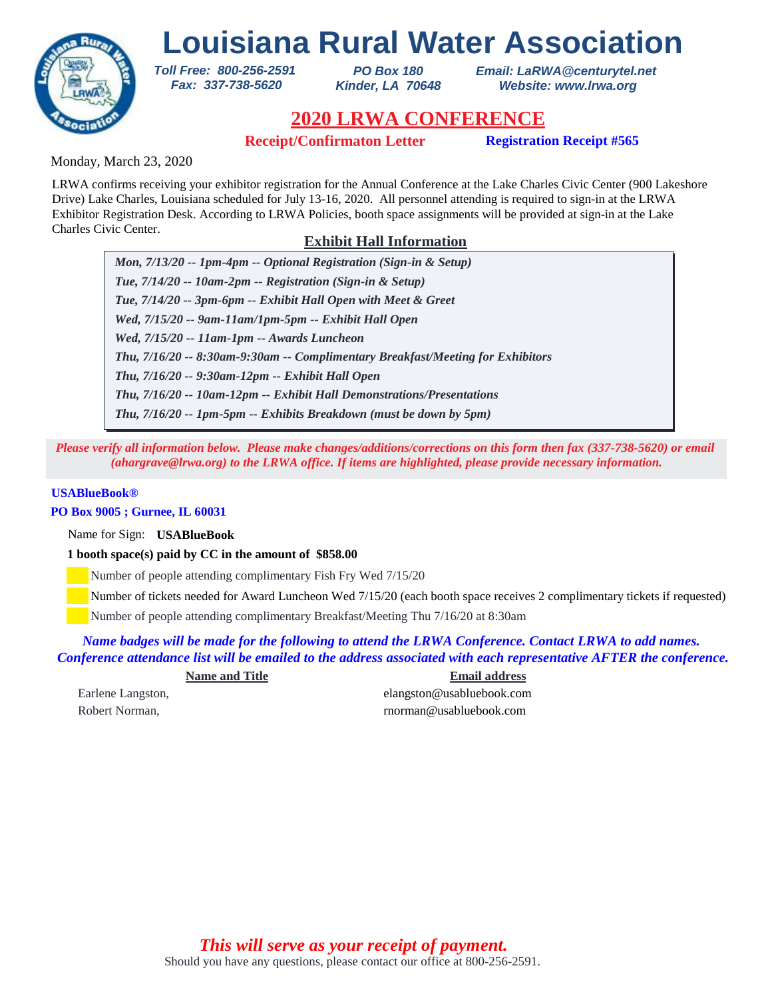

*PO Box 180 Kinder, LA 70648* *Email: LaRWA@centurytel.net Website: www.lrwa.org*

## **2020 LRWA CONFERENCE**

**Receipt/Confirmaton Letter Registration Receipt #565**

Monday, March 23, 2020

LRWA confirms receiving your exhibitor registration for the Annual Conference at the Lake Charles Civic Center (900 Lakeshore Drive) Lake Charles, Louisiana scheduled for July 13-16, 2020. All personnel attending is required to sign-in at the LRWA Exhibitor Registration Desk. According to LRWA Policies, booth space assignments will be provided at sign-in at the Lake Charles Civic Center.

### **Exhibit Hall Information**

*Mon, 7/13/20 -- 1pm-4pm -- Optional Registration (Sign-in & Setup) Tue, 7/14/20 -- 10am-2pm -- Registration (Sign-in & Setup) Tue, 7/14/20 -- 3pm-6pm -- Exhibit Hall Open with Meet & Greet Wed, 7/15/20 -- 9am-11am/1pm-5pm -- Exhibit Hall Open Wed, 7/15/20 -- 11am-1pm -- Awards Luncheon Thu, 7/16/20 -- 9:30am-12pm -- Exhibit Hall Open Thu, 7/16/20 -- 8:30am-9:30am -- Complimentary Breakfast/Meeting for Exhibitors Thu, 7/16/20 -- 10am-12pm -- Exhibit Hall Demonstrations/Presentations Thu, 7/16/20 -- 1pm-5pm -- Exhibits Breakdown (must be down by 5pm)*

*Please verify all information below. Please make changes/additions/corrections on this form then fax (337-738-5620) or email (ahargrave@lrwa.org) to the LRWA office. If items are highlighted, please provide necessary information.*

### **USABlueBook®**

#### **PO Box 9005 ; Gurnee, IL 60031**

Name for Sign: **USABlueBook**

**1 booth space(s) paid by CC in the amount of \$858.00**

*Toll Free: 800-256-2591 Fax: 337-738-5620*

Number of people attending complimentary Fish Fry Wed 7/15/20

Number of tickets needed for Award Luncheon Wed 7/15/20 (each booth space receives 2 complimentary tickets if requested)

Number of people attending complimentary Breakfast/Meeting Thu 7/16/20 at 8:30am

*Name badges will be made for the following to attend the LRWA Conference. Contact LRWA to add names. Conference attendance list will be emailed to the address associated with each representative AFTER the conference.*

| <b>Name and Title</b> | <b>Email address</b>      |
|-----------------------|---------------------------|
| Earlene Langston,     | elangston@usabluebook.com |
| Robert Norman,        | rnorman@usabluebook.com   |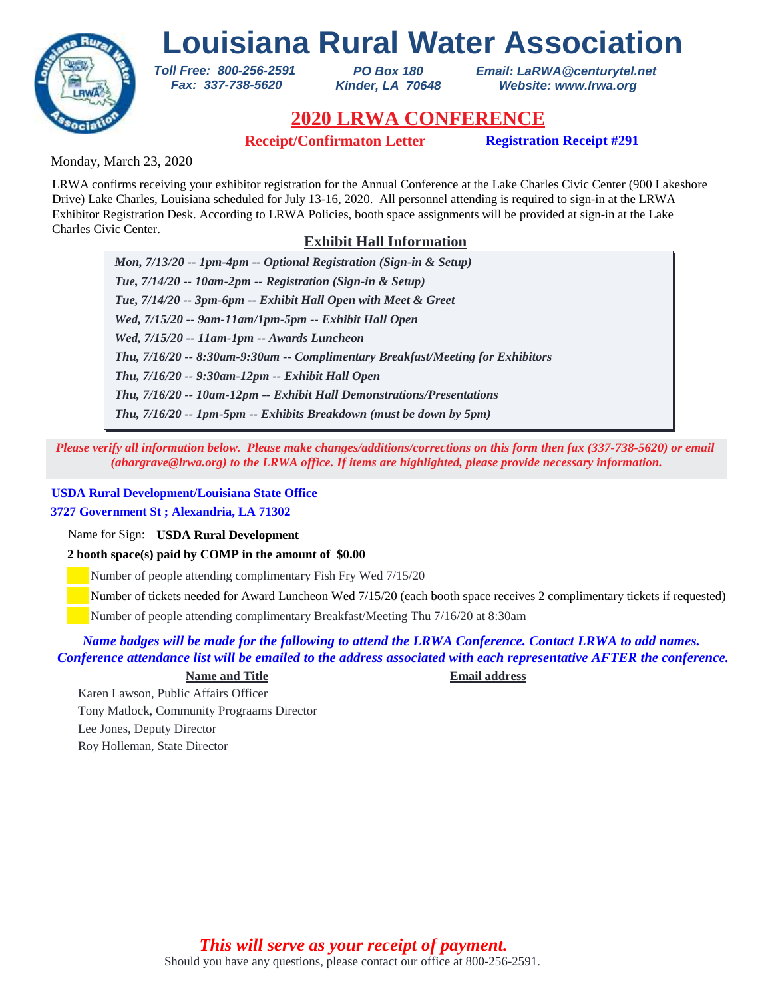

*PO Box 180 Kinder, LA 70648* *Email: LaRWA@centurytel.net Website: www.lrwa.org*

## **2020 LRWA CONFERENCE**

**Receipt/Confirmaton Letter Registration Receipt #291**

Monday, March 23, 2020

LRWA confirms receiving your exhibitor registration for the Annual Conference at the Lake Charles Civic Center (900 Lakeshore Drive) Lake Charles, Louisiana scheduled for July 13-16, 2020. All personnel attending is required to sign-in at the LRWA Exhibitor Registration Desk. According to LRWA Policies, booth space assignments will be provided at sign-in at the Lake Charles Civic Center.

### **Exhibit Hall Information**

*Mon, 7/13/20 -- 1pm-4pm -- Optional Registration (Sign-in & Setup) Tue, 7/14/20 -- 10am-2pm -- Registration (Sign-in & Setup) Tue, 7/14/20 -- 3pm-6pm -- Exhibit Hall Open with Meet & Greet Wed, 7/15/20 -- 9am-11am/1pm-5pm -- Exhibit Hall Open Wed, 7/15/20 -- 11am-1pm -- Awards Luncheon Thu, 7/16/20 -- 9:30am-12pm -- Exhibit Hall Open Thu, 7/16/20 -- 8:30am-9:30am -- Complimentary Breakfast/Meeting for Exhibitors Thu, 7/16/20 -- 10am-12pm -- Exhibit Hall Demonstrations/Presentations Thu, 7/16/20 -- 1pm-5pm -- Exhibits Breakdown (must be down by 5pm)*

*Please verify all information below. Please make changes/additions/corrections on this form then fax (337-738-5620) or email (ahargrave@lrwa.org) to the LRWA office. If items are highlighted, please provide necessary information.*

### **USDA Rural Development/Louisiana State Office**

### **3727 Government St ; Alexandria, LA 71302**

Name for Sign: **USDA Rural Development**

**2 booth space(s) paid by COMP in the amount of \$0.00**

*Toll Free: 800-256-2591 Fax: 337-738-5620*

Number of people attending complimentary Fish Fry Wed 7/15/20

Number of tickets needed for Award Luncheon Wed 7/15/20 (each booth space receives 2 complimentary tickets if requested)

Number of people attending complimentary Breakfast/Meeting Thu 7/16/20 at 8:30am

### *Name badges will be made for the following to attend the LRWA Conference. Contact LRWA to add names. Conference attendance list will be emailed to the address associated with each representative AFTER the conference.*

### **Name and Title Email address**

Karen Lawson, Public Affairs Officer Tony Matlock, Community Prograams Director Lee Jones, Deputy Director Roy Holleman, State Director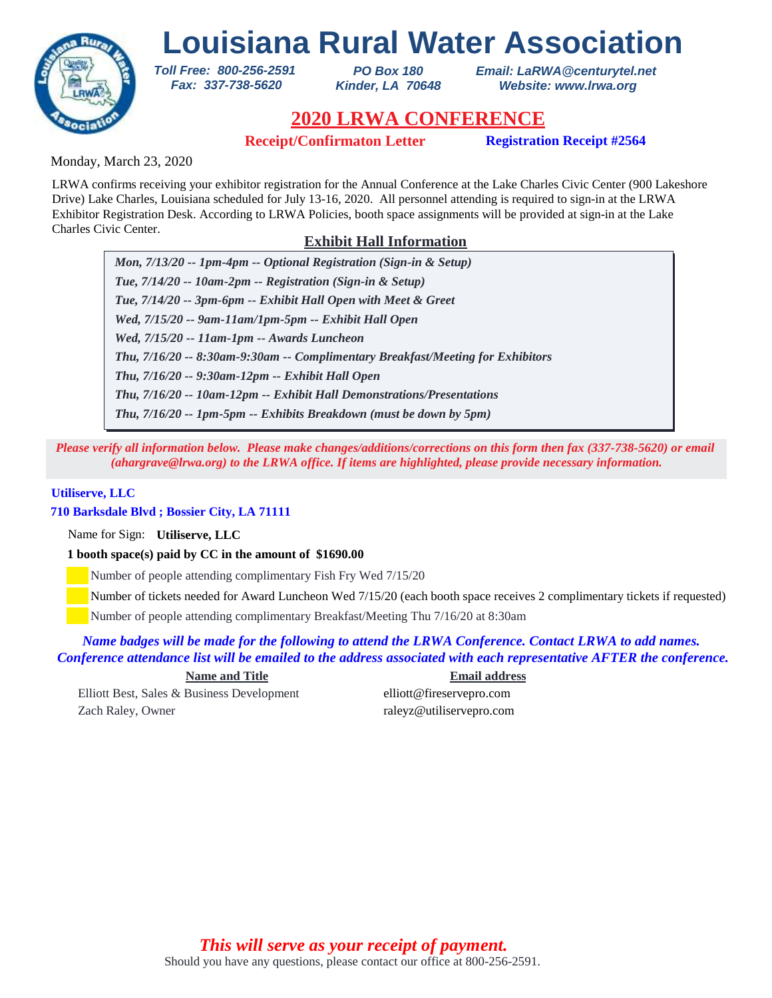

*PO Box 180 Kinder, LA 70648* *Email: LaRWA@centurytel.net Website: www.lrwa.org*

# **2020 LRWA CONFERENCE**

**Receipt/Confirmaton Letter Registration Receipt #2564**

Monday, March 23, 2020

LRWA confirms receiving your exhibitor registration for the Annual Conference at the Lake Charles Civic Center (900 Lakeshore Drive) Lake Charles, Louisiana scheduled for July 13-16, 2020. All personnel attending is required to sign-in at the LRWA Exhibitor Registration Desk. According to LRWA Policies, booth space assignments will be provided at sign-in at the Lake Charles Civic Center.

## **Exhibit Hall Information**

*Mon, 7/13/20 -- 1pm-4pm -- Optional Registration (Sign-in & Setup) Tue, 7/14/20 -- 10am-2pm -- Registration (Sign-in & Setup) Tue, 7/14/20 -- 3pm-6pm -- Exhibit Hall Open with Meet & Greet Wed, 7/15/20 -- 9am-11am/1pm-5pm -- Exhibit Hall Open Wed, 7/15/20 -- 11am-1pm -- Awards Luncheon Thu, 7/16/20 -- 9:30am-12pm -- Exhibit Hall Open Thu, 7/16/20 -- 8:30am-9:30am -- Complimentary Breakfast/Meeting for Exhibitors Thu, 7/16/20 -- 10am-12pm -- Exhibit Hall Demonstrations/Presentations Thu, 7/16/20 -- 1pm-5pm -- Exhibits Breakdown (must be down by 5pm)*

*Please verify all information below. Please make changes/additions/corrections on this form then fax (337-738-5620) or email (ahargrave@lrwa.org) to the LRWA office. If items are highlighted, please provide necessary information.*

#### **Utiliserve, LLC**

### **710 Barksdale Blvd ; Bossier City, LA 71111**

Name for Sign: **Utiliserve, LLC**

**1 booth space(s) paid by CC in the amount of \$1690.00**

*Toll Free: 800-256-2591 Fax: 337-738-5620*

Number of people attending complimentary Fish Fry Wed 7/15/20

Number of tickets needed for Award Luncheon Wed 7/15/20 (each booth space receives 2 complimentary tickets if requested)

Number of people attending complimentary Breakfast/Meeting Thu 7/16/20 at 8:30am

*Name badges will be made for the following to attend the LRWA Conference. Contact LRWA to add names. Conference attendance list will be emailed to the address associated with each representative AFTER the conference.*

Elliott Best, Sales & Business Development elliott@fireservepro.com Zach Raley, Owner raleyz@utiliservepro.com

**Name and Title Email address**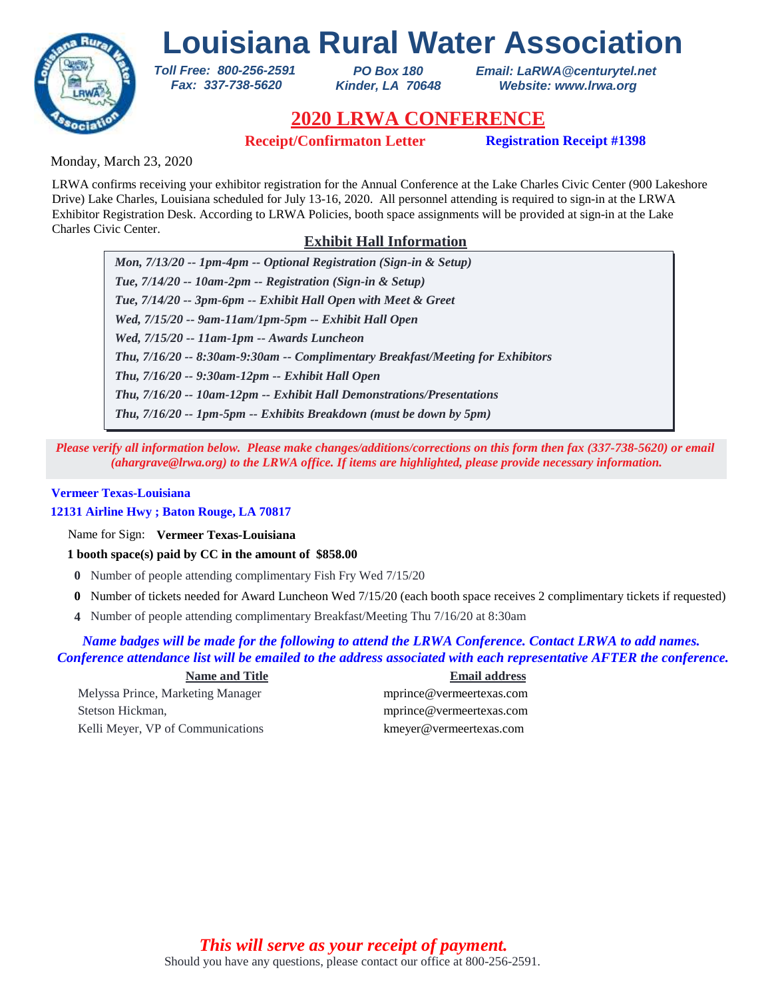

*PO Box 180 Kinder, LA 70648* *Email: LaRWA@centurytel.net Website: www.lrwa.org*

# **2020 LRWA CONFERENCE**

**Receipt/Confirmaton Letter Registration Receipt #1398**

Monday, March 23, 2020

LRWA confirms receiving your exhibitor registration for the Annual Conference at the Lake Charles Civic Center (900 Lakeshore Drive) Lake Charles, Louisiana scheduled for July 13-16, 2020. All personnel attending is required to sign-in at the LRWA Exhibitor Registration Desk. According to LRWA Policies, booth space assignments will be provided at sign-in at the Lake Charles Civic Center.

# **Exhibit Hall Information**

*Mon, 7/13/20 -- 1pm-4pm -- Optional Registration (Sign-in & Setup) Tue, 7/14/20 -- 10am-2pm -- Registration (Sign-in & Setup) Tue, 7/14/20 -- 3pm-6pm -- Exhibit Hall Open with Meet & Greet Wed, 7/15/20 -- 9am-11am/1pm-5pm -- Exhibit Hall Open Wed, 7/15/20 -- 11am-1pm -- Awards Luncheon Thu, 7/16/20 -- 9:30am-12pm -- Exhibit Hall Open Thu, 7/16/20 -- 8:30am-9:30am -- Complimentary Breakfast/Meeting for Exhibitors Thu, 7/16/20 -- 10am-12pm -- Exhibit Hall Demonstrations/Presentations Thu, 7/16/20 -- 1pm-5pm -- Exhibits Breakdown (must be down by 5pm)*

*Please verify all information below. Please make changes/additions/corrections on this form then fax (337-738-5620) or email (ahargrave@lrwa.org) to the LRWA office. If items are highlighted, please provide necessary information.*

### **Vermeer Texas-Louisiana**

**12131 Airline Hwy ; Baton Rouge, LA 70817**

Name for Sign: **Vermeer Texas-Louisiana**

**1 booth space(s) paid by CC in the amount of \$858.00**

*Toll Free: 800-256-2591 Fax: 337-738-5620*

- **0** Number of people attending complimentary Fish Fry Wed 7/15/20
- Number of tickets needed for Award Luncheon Wed 7/15/20 (each booth space receives 2 complimentary tickets if requested) **0**
- Number of people attending complimentary Breakfast/Meeting Thu 7/16/20 at 8:30am **4**

#### *Name badges will be made for the following to attend the LRWA Conference. Contact LRWA to add names. Conference attendance list will be emailed to the address associated with each representative AFTER the conference.*

#### **Name and Title Email address**

Melyssa Prince, Marketing Manager mprince@vermeertexas.com Stetson Hickman, mprince@vermeertexas.com Kelli Meyer, VP of Communications kmeyer@vermeertexas.com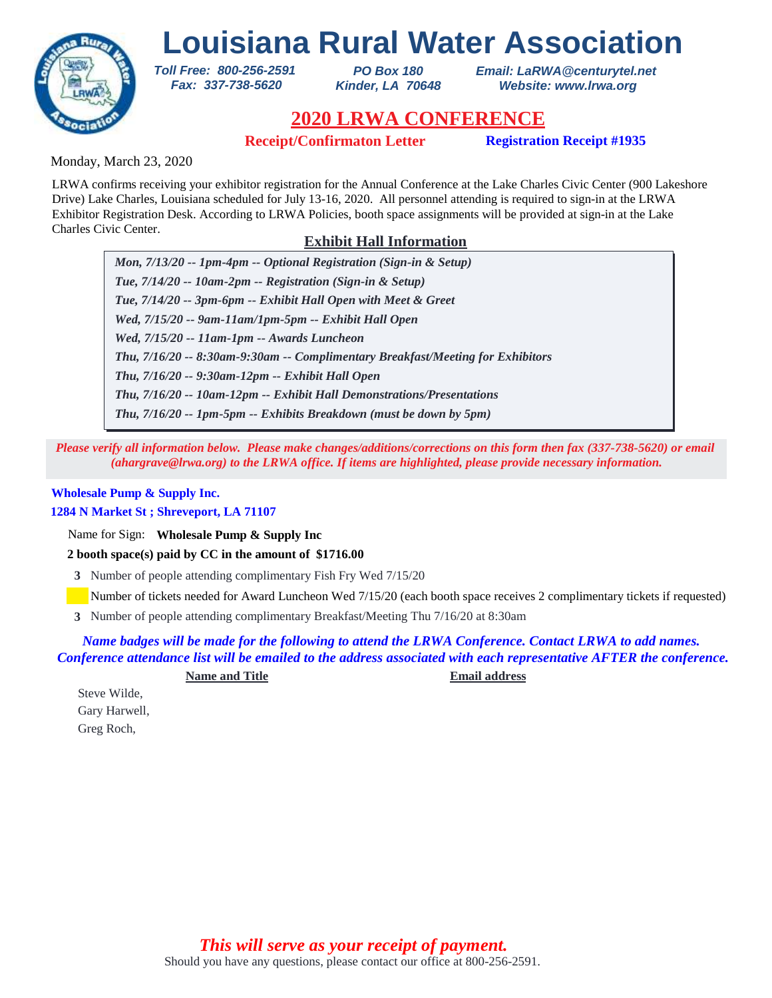

*PO Box 180 Kinder, LA 70648* *Email: LaRWA@centurytel.net Website: www.lrwa.org*

# **2020 LRWA CONFERENCE**

**Receipt/Confirmaton Letter Registration Receipt #1935**

Monday, March 23, 2020

LRWA confirms receiving your exhibitor registration for the Annual Conference at the Lake Charles Civic Center (900 Lakeshore Drive) Lake Charles, Louisiana scheduled for July 13-16, 2020. All personnel attending is required to sign-in at the LRWA Exhibitor Registration Desk. According to LRWA Policies, booth space assignments will be provided at sign-in at the Lake Charles Civic Center.

# **Exhibit Hall Information**

*Mon, 7/13/20 -- 1pm-4pm -- Optional Registration (Sign-in & Setup) Tue, 7/14/20 -- 10am-2pm -- Registration (Sign-in & Setup) Tue, 7/14/20 -- 3pm-6pm -- Exhibit Hall Open with Meet & Greet Wed, 7/15/20 -- 9am-11am/1pm-5pm -- Exhibit Hall Open Wed, 7/15/20 -- 11am-1pm -- Awards Luncheon Thu, 7/16/20 -- 9:30am-12pm -- Exhibit Hall Open Thu, 7/16/20 -- 8:30am-9:30am -- Complimentary Breakfast/Meeting for Exhibitors Thu, 7/16/20 -- 10am-12pm -- Exhibit Hall Demonstrations/Presentations Thu, 7/16/20 -- 1pm-5pm -- Exhibits Breakdown (must be down by 5pm)*

*Please verify all information below. Please make changes/additions/corrections on this form then fax (337-738-5620) or email (ahargrave@lrwa.org) to the LRWA office. If items are highlighted, please provide necessary information.*

## **Wholesale Pump & Supply Inc.**

#### **1284 N Market St ; Shreveport, LA 71107**

Name for Sign: **Wholesale Pump & Supply Inc**

**2 booth space(s) paid by CC in the amount of \$1716.00**

*Toll Free: 800-256-2591 Fax: 337-738-5620*

**3** Number of people attending complimentary Fish Fry Wed 7/15/20

Number of tickets needed for Award Luncheon Wed 7/15/20 (each booth space receives 2 complimentary tickets if requested)

Number of people attending complimentary Breakfast/Meeting Thu 7/16/20 at 8:30am **3**

*Name badges will be made for the following to attend the LRWA Conference. Contact LRWA to add names. Conference attendance list will be emailed to the address associated with each representative AFTER the conference.*

**Name and Title Email address**

Steve Wilde, Gary Harwell, Greg Roch,

> Should you have any questions, please contact our office at 800-256-2591. *This will serve as your receipt of payment.*